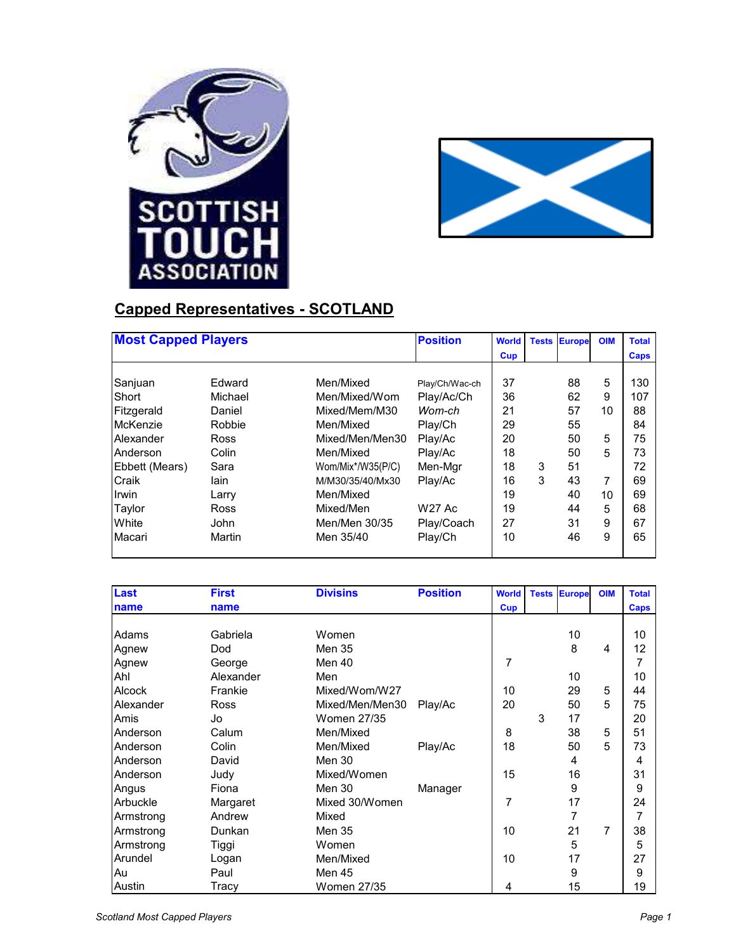



## **Capped Representatives - SCOTLAND**

| <b>Most Capped Players</b> |             |                   | <b>Position</b> | <b>World</b> | <b>Tests</b> | <b>Europe</b> | <b>OIM</b>     | <b>Total</b> |
|----------------------------|-------------|-------------------|-----------------|--------------|--------------|---------------|----------------|--------------|
|                            |             |                   |                 | <b>Cup</b>   |              |               |                | <b>Caps</b>  |
|                            |             |                   |                 |              |              |               |                |              |
| Sanjuan                    | Edward      | Men/Mixed         | Play/Ch/Wac-ch  | 37           |              | 88            | 5              | 130          |
| Short                      | Michael     | Men/Mixed/Wom     | Play/Ac/Ch      | 36           |              | 62            | 9              | 107          |
| Fitzgerald                 | Daniel      | Mixed/Mem/M30     | Wom-ch          | 21           |              | 57            | 10             | 88           |
| McKenzie                   | Robbie      | Men/Mixed         | Play/Ch         | 29           |              | 55            |                | 84           |
| Alexander                  | <b>Ross</b> | Mixed/Men/Men30   | Play/Ac         | 20           |              | 50            | 5              | 75           |
| Anderson                   | Colin       | Men/Mixed         | Play/Ac         | 18           |              | 50            | 5              | 73           |
| Ebbett (Mears)             | Sara        | Wom/Mix*/W35(P/C) | Men-Mgr         | 18           | 3            | 51            |                | 72           |
| Craik                      | lain        | M/M30/35/40/Mx30  | Play/Ac         | 16           | 3            | 43            | $\overline{7}$ | 69           |
| Irwin                      | Larry       | Men/Mixed         |                 | 19           |              | 40            | 10             | 69           |
| Taylor                     | Ross        | Mixed/Men         | <b>W27 Ac</b>   | 19           |              | 44            | 5              | 68           |
| White                      | John        | Men/Men 30/35     | Play/Coach      | 27           |              | 31            | 9              | 67           |
| Macari                     | Martin      | Men 35/40         | Play/Ch         | 10           |              | 46            | 9              | 65           |

| Last          | <b>First</b> | <b>Divisins</b>    | <b>Position</b> | <b>World</b> |   | <b>Tests Europe</b> | <b>OIM</b> | <b>Total</b> |
|---------------|--------------|--------------------|-----------------|--------------|---|---------------------|------------|--------------|
| name          | name         |                    |                 | <b>Cup</b>   |   |                     |            | Caps         |
|               |              |                    |                 |              |   |                     |            |              |
| Adams         | Gabriela     | Women              |                 |              |   | 10                  |            | 10           |
| Agnew         | Dod          | Men 35             |                 |              |   | 8                   | 4          | 12           |
| Agnew         | George       | Men 40             |                 | 7            |   |                     |            | 7            |
| Ahl           | Alexander    | Men                |                 |              |   | 10                  |            | 10           |
| <b>Alcock</b> | Frankie      | Mixed/Wom/W27      |                 | 10           |   | 29                  | 5          | 44           |
| Alexander     | Ross         | Mixed/Men/Men30    | Play/Ac         | 20           |   | 50                  | 5          | 75           |
| Amis          | Jo           | Women 27/35        |                 |              | 3 | 17                  |            | 20           |
| Anderson      | Calum        | Men/Mixed          |                 | 8            |   | 38                  | 5          | 51           |
| Anderson      | Colin        | Men/Mixed          | Play/Ac         | 18           |   | 50                  | 5          | 73           |
| Anderson      | David        | Men 30             |                 |              |   | 4                   |            | 4            |
| Anderson      | Judy         | Mixed/Women        |                 | 15           |   | 16                  |            | 31           |
| Angus         | Fiona        | Men 30             | Manager         |              |   | 9                   |            | 9            |
| Arbuckle      | Margaret     | Mixed 30/Women     |                 | 7            |   | 17                  |            | 24           |
| Armstrong     | Andrew       | Mixed              |                 |              |   | 7                   |            | 7            |
| Armstrong     | Dunkan       | <b>Men 35</b>      |                 | 10           |   | 21                  | 7          | 38           |
| Armstrong     | Tiggi        | Women              |                 |              |   | 5                   |            | 5            |
| Arundel       | Logan        | Men/Mixed          |                 | 10           |   | 17                  |            | 27           |
| Au            | Paul         | Men 45             |                 |              |   | 9                   |            | 9            |
| Austin        | Tracy        | <b>Women 27/35</b> |                 | 4            |   | 15                  |            | 19           |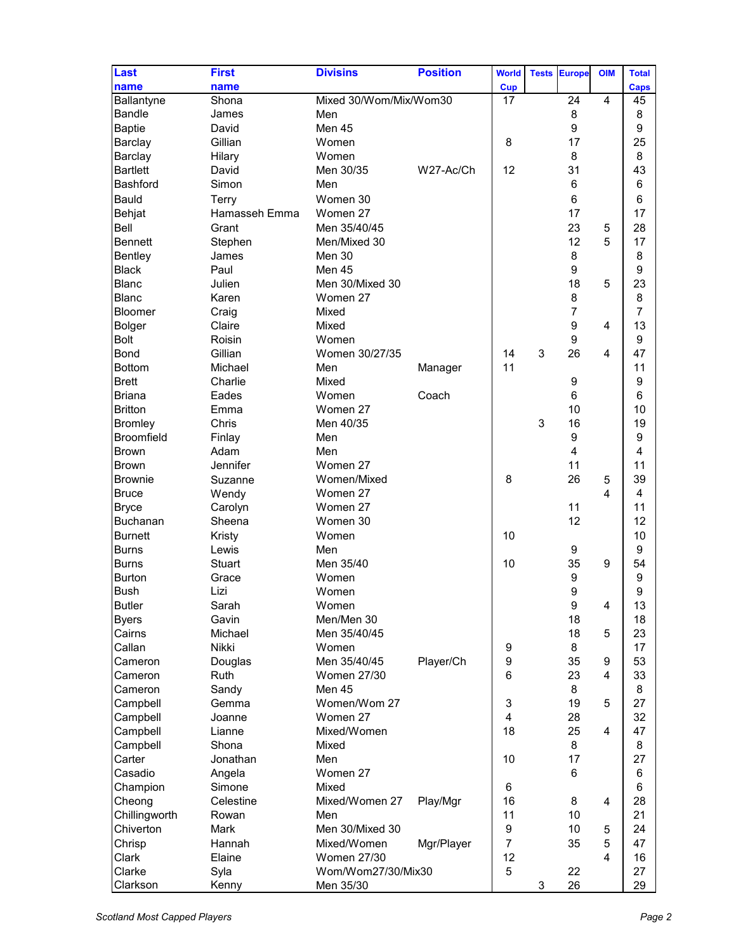| Last            | <b>First</b>  | <b>Divisins</b>        | <b>Position</b> | <b>World</b> | <b>Tests</b> | <b>Europe</b>           | <b>OIM</b> | <b>Total</b> |
|-----------------|---------------|------------------------|-----------------|--------------|--------------|-------------------------|------------|--------------|
|                 |               |                        |                 |              |              |                         |            |              |
| name            | name          |                        |                 | <b>Cup</b>   |              |                         |            | Caps         |
| Ballantyne      | Shona         | Mixed 30/Wom/Mix/Wom30 |                 | 17           |              | 24                      | 4          | 45           |
| Bandle          | James         | Men                    |                 |              |              | 8                       |            | 8            |
| <b>Baptie</b>   | David         | Men 45                 |                 |              |              | 9                       |            | 9            |
| Barclay         | Gillian       | Women                  |                 | 8            |              | 17                      |            | 25           |
| Barclay         | Hilary        | Women                  |                 |              |              | 8                       |            | 8            |
| <b>Bartlett</b> | David         | Men 30/35              | W27-Ac/Ch       | 12           |              | 31                      |            | 43           |
| <b>Bashford</b> | Simon         | Men                    |                 |              |              | 6                       |            | 6            |
| <b>Bauld</b>    | Terry         | Women 30               |                 |              |              | $6\phantom{1}$          |            | 6            |
| Behjat          | Hamasseh Emma | Women 27               |                 |              |              | 17                      |            | 17           |
| <b>Bell</b>     | Grant         | Men 35/40/45           |                 |              |              | 23                      | 5          | 28           |
| <b>Bennett</b>  | Stephen       | Men/Mixed 30           |                 |              |              | 12                      | 5          | 17           |
| Bentley         | James         | Men 30                 |                 |              |              | 8                       |            | 8            |
| <b>Black</b>    | Paul          | Men 45                 |                 |              |              | 9                       |            | 9            |
| <b>Blanc</b>    | Julien        | Men 30/Mixed 30        |                 |              |              | 18                      | 5          | 23           |
| <b>Blanc</b>    |               |                        |                 |              |              |                         |            | 8            |
|                 | Karen         | Women 27               |                 |              |              | 8                       |            |              |
| Bloomer         | Craig         | Mixed                  |                 |              |              | $\overline{7}$          |            | 7            |
| <b>Bolger</b>   | Claire        | Mixed                  |                 |              |              | 9                       | 4          | 13           |
| <b>Bolt</b>     | Roisin        | Women                  |                 |              |              | $\boldsymbol{9}$        |            | 9            |
| <b>Bond</b>     | Gillian       | Women 30/27/35         |                 | 14           | 3            | 26                      | 4          | 47           |
| <b>Bottom</b>   | Michael       | Men                    | Manager         | 11           |              |                         |            | 11           |
| <b>Brett</b>    | Charlie       | Mixed                  |                 |              |              | $\boldsymbol{9}$        |            | 9            |
| <b>Briana</b>   | Eades         | Women                  | Coach           |              |              | $6\phantom{1}$          |            | 6            |
| <b>Britton</b>  | Emma          | Women 27               |                 |              |              | 10                      |            | 10           |
| <b>Bromley</b>  | Chris         | Men 40/35              |                 |              | 3            | 16                      |            | 19           |
| Broomfield      | Finlay        | Men                    |                 |              |              | 9                       |            | 9            |
| <b>Brown</b>    | Adam          | Men                    |                 |              |              | $\overline{\mathbf{4}}$ |            | 4            |
| <b>Brown</b>    | Jennifer      | Women 27               |                 |              |              | 11                      |            | 11           |
| <b>Brownie</b>  | Suzanne       | Women/Mixed            |                 | 8            |              | 26                      | 5          | 39           |
| <b>Bruce</b>    | Wendy         | Women 27               |                 |              |              |                         | 4          | 4            |
| <b>Bryce</b>    | Carolyn       | Women 27               |                 |              |              | 11                      |            | 11           |
| Buchanan        | Sheena        | Women 30               |                 |              |              | 12                      |            | 12           |
| <b>Burnett</b>  | Kristy        | Women                  |                 | 10           |              |                         |            | 10           |
|                 | Lewis         | Men                    |                 |              |              | $\boldsymbol{9}$        |            | 9            |
| <b>Burns</b>    |               |                        |                 |              |              |                         |            |              |
| <b>Burns</b>    | <b>Stuart</b> | Men 35/40              |                 | 10           |              | 35                      | 9          | 54           |
| <b>Burton</b>   | Grace         | Women                  |                 |              |              | $\boldsymbol{9}$        |            | 9            |
| <b>Bush</b>     | Lizi          | Women                  |                 |              |              | 9                       |            | 9            |
| <b>Butler</b>   | Sarah         | Women                  |                 |              |              | $\boldsymbol{9}$        | 4          | 13           |
| <b>Byers</b>    | Gavin         | Men/Men 30             |                 |              |              | 18                      |            | 18           |
| Cairns          | Michael       | Men 35/40/45           |                 |              |              | 18                      | 5          | 23           |
| Callan          | <b>Nikki</b>  | Women                  |                 | 9            |              | 8                       |            | 17           |
| Cameron         | Douglas       | Men 35/40/45           | Player/Ch       | 9            |              | 35                      | 9          | 53           |
| Cameron         | Ruth          | <b>Women 27/30</b>     |                 | 6            |              | 23                      | 4          | 33           |
| Cameron         | Sandy         | Men 45                 |                 |              |              | 8                       |            | 8            |
| Campbell        | Gemma         | Women/Wom 27           |                 | 3            |              | 19                      | 5          | 27           |
| Campbell        | Joanne        | Women 27               |                 | 4            |              | 28                      |            | 32           |
| Campbell        | Lianne        | Mixed/Women            |                 | 18           |              | 25                      | 4          | 47           |
| Campbell        | Shona         | Mixed                  |                 |              |              | 8                       |            | 8            |
| Carter          | Jonathan      | Men                    |                 | 10           |              | 17                      |            | 27           |
| Casadio         | Angela        | Women 27               |                 |              |              | 6                       |            | 6            |
| Champion        | Simone        | Mixed                  |                 | 6            |              |                         |            | 6            |
| Cheong          | Celestine     | Mixed/Women 27         | Play/Mgr        | 16           |              | 8                       | 4          | 28           |
| Chillingworth   | Rowan         | Men                    |                 | 11           |              | 10                      |            | 21           |
|                 |               |                        |                 |              |              |                         |            |              |
| Chiverton       | <b>Mark</b>   | Men 30/Mixed 30        |                 | 9            |              | 10                      | 5          | 24           |
| Chrisp          | Hannah        | Mixed/Women            | Mgr/Player      | 7            |              | 35                      | 5          | 47           |
| Clark           | Elaine        | <b>Women 27/30</b>     |                 | 12           |              |                         | 4          | 16           |
| Clarke          | Syla          | Wom/Wom27/30/Mix30     |                 | 5            |              | 22                      |            | 27           |
| Clarkson        | Kenny         | Men 35/30              |                 |              | 3            | 26                      |            | 29           |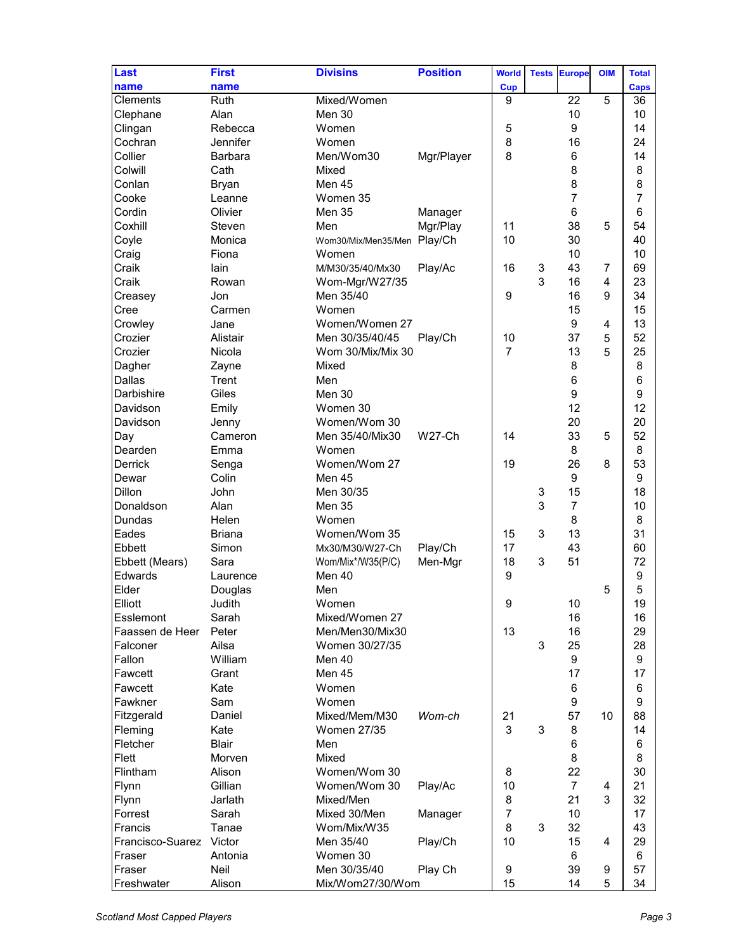| Last             | <b>First</b>   | <b>Divisins</b>             | <b>Position</b> | <b>World</b>     | <b>Tests</b> | <b>Europe</b>    | <b>OIM</b>     | <b>Total</b>   |
|------------------|----------------|-----------------------------|-----------------|------------------|--------------|------------------|----------------|----------------|
| name             | name           |                             |                 | <b>Cup</b>       |              |                  | 5              | <b>Caps</b>    |
| <b>Clements</b>  | Ruth           | Mixed/Women                 |                 | 9                |              | 22               |                | 36             |
| Clephane         | Alan           | Men 30                      |                 |                  |              | 10               |                | 10             |
| Clingan          | Rebecca        | Women                       |                 | 5                |              | 9                |                | 14             |
| Cochran          | Jennifer       | Women                       |                 | 8                |              | 16               |                | 24             |
| Collier          | <b>Barbara</b> | Men/Wom30                   | Mgr/Player      | 8                |              | 6                |                | 14             |
| Colwill          | Cath           | Mixed                       |                 |                  |              | 8                |                | 8              |
| Conlan           | <b>Bryan</b>   | Men 45                      |                 |                  |              | 8                |                | 8              |
| Cooke            | Leanne         | Women 35                    |                 |                  |              | $\overline{7}$   |                | $\overline{7}$ |
| Cordin           | Olivier        | Men 35                      | Manager         |                  |              | 6                |                | 6              |
| Coxhill          | Steven         | Men                         | Mgr/Play        | 11               |              | 38               | 5              | 54             |
| Coyle            | Monica         | Wom30/Mix/Men35/Men Play/Ch |                 | 10               |              | 30               |                | 40             |
| Craig            | Fiona          | Women                       |                 |                  |              | 10               |                | 10             |
| Craik            | lain           | M/M30/35/40/Mx30            | Play/Ac         | 16               | $\sqrt{3}$   | 43               | $\overline{7}$ | 69             |
| Craik            | Rowan          |                             |                 |                  | 3            | 16               | 4              | 23             |
|                  |                | Wom-Mgr/W27/35              |                 |                  |              |                  |                |                |
| Creasey          | Jon            | Men 35/40                   |                 | 9                |              | 16               | 9              | 34             |
| Cree             | Carmen         | Women                       |                 |                  |              | 15               |                | 15             |
| Crowley          | Jane           | Women/Women 27              |                 |                  |              | 9                | 4              | 13             |
| Crozier          | Alistair       | Men 30/35/40/45             | Play/Ch         | 10               |              | 37               | 5              | 52             |
| Crozier          | Nicola         | Wom 30/Mix/Mix 30           |                 | $\overline{7}$   |              | 13               | 5              | 25             |
| Dagher           | Zayne          | Mixed                       |                 |                  |              | 8                |                | 8              |
| <b>Dallas</b>    | Trent          | Men                         |                 |                  |              | $\,6$            |                | 6              |
| Darbishire       | Giles          | Men 30                      |                 |                  |              | $\boldsymbol{9}$ |                | 9              |
| Davidson         | Emily          | Women 30                    |                 |                  |              | 12               |                | 12             |
| Davidson         | Jenny          | Women/Wom 30                |                 |                  |              | 20               |                | 20             |
| Day              | Cameron        | Men 35/40/Mix30             | <b>W27-Ch</b>   | 14               |              | 33               | 5              | 52             |
| Dearden          | Emma           | Women                       |                 |                  |              | 8                |                | 8              |
|                  |                |                             |                 | 19               |              | 26               | 8              | 53             |
| Derrick          | Senga          | Women/Wom 27                |                 |                  |              |                  |                |                |
| Dewar            | Colin          | Men 45                      |                 |                  |              | 9                |                | 9              |
| <b>Dillon</b>    | John           | Men 30/35                   |                 |                  | 3            | 15               |                | 18             |
| Donaldson        | Alan           | Men 35                      |                 |                  | 3            | $\overline{7}$   |                | 10             |
| Dundas           | Helen          | Women                       |                 |                  |              | 8                |                | 8              |
| Eades            | <b>Briana</b>  | Women/Wom 35                |                 | 15               | 3            | 13               |                | 31             |
| <b>Ebbett</b>    | Simon          | Mx30/M30/W27-Ch             | Play/Ch         | 17               |              | 43               |                | 60             |
| Ebbett (Mears)   | Sara           | Wom/Mix*/W35(P/C)           | Men-Mgr         | 18               | 3            | 51               |                | 72             |
| Edwards          | Laurence       | Men 40                      |                 | $\boldsymbol{9}$ |              |                  |                | 9              |
| Elder            | Douglas        | Men                         |                 |                  |              |                  | 5              | 5              |
| Elliott          | Judith         | Women                       |                 | 9                |              | 10               |                | 19             |
| Esslemont        | Sarah          | Mixed/Women 27              |                 |                  |              | 16               |                | 16             |
| Faassen de Heer  | Peter          | Men/Men30/Mix30             |                 | 13               |              | 16               |                | 29             |
| Falconer         | Ailsa          | Women 30/27/35              |                 |                  | 3            | 25               |                | 28             |
| Fallon           | William        | Men 40                      |                 |                  |              | $\boldsymbol{9}$ |                | 9              |
|                  |                |                             |                 |                  |              |                  |                |                |
| Fawcett          | Grant          | Men 45                      |                 |                  |              | 17               |                | 17             |
| Fawcett          | Kate           | Women                       |                 |                  |              | 6                |                | 6              |
| Fawkner          | Sam            | Women                       |                 |                  |              | $\boldsymbol{9}$ |                | 9              |
| Fitzgerald       | Daniel         | Mixed/Mem/M30               | Wom-ch          | 21               |              | 57               | 10             | 88             |
| Fleming          | Kate           | <b>Women 27/35</b>          |                 | 3                | 3            | 8                |                | 14             |
| Fletcher         | <b>Blair</b>   | Men                         |                 |                  |              | 6                |                | 6              |
| Flett            | Morven         | Mixed                       |                 |                  |              | 8                |                | 8              |
| Flintham         | Alison         | Women/Wom 30                |                 | 8                |              | 22               |                | 30             |
| Flynn            | Gillian        | Women/Wom 30                | Play/Ac         | 10               |              | $\overline{7}$   | 4              | 21             |
| Flynn            | Jarlath        | Mixed/Men                   |                 | 8                |              | 21               | 3              | 32             |
| Forrest          | Sarah          | Mixed 30/Men                | Manager         | 7                |              | 10               |                | 17             |
| Francis          | Tanae          | Wom/Mix/W35                 |                 | 8                | 3            | 32               |                | 43             |
|                  |                |                             |                 |                  |              |                  |                |                |
| Francisco-Suarez | Victor         | Men 35/40                   | Play/Ch         | 10               |              | 15               | 4              | 29             |
| Fraser           | Antonia        | Women 30                    |                 |                  |              | 6                |                | 6              |
| Fraser           | Neil           | Men 30/35/40                | Play Ch         | $\boldsymbol{9}$ |              | 39               | 9              | 57             |
| Freshwater       | Alison         | Mix/Wom27/30/Wom            |                 | 15               |              | 14               | 5              | 34             |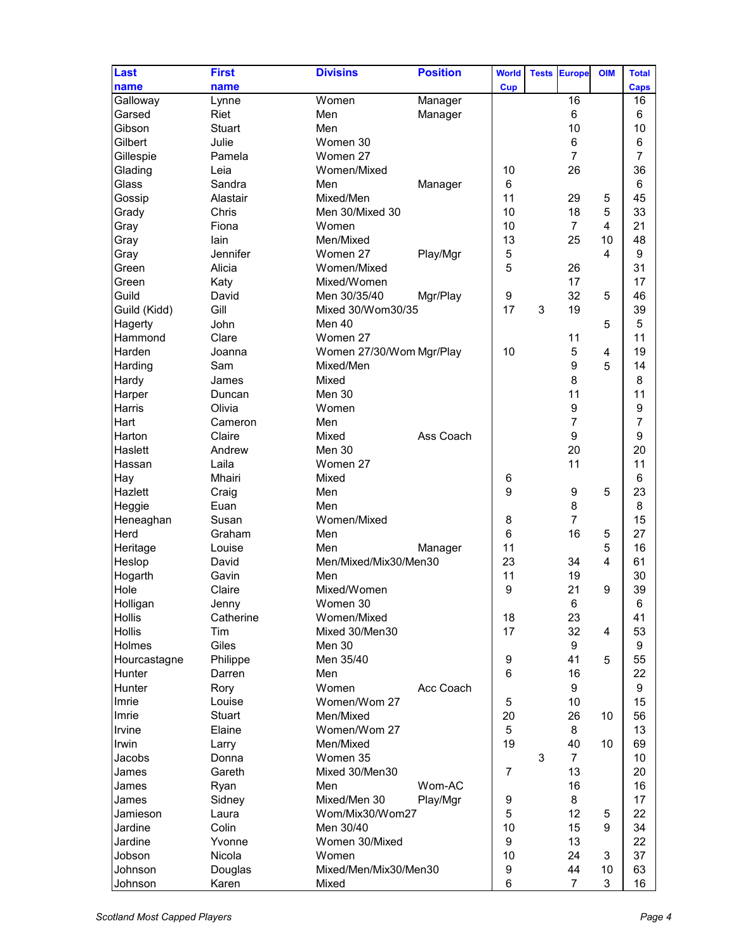| Last           | <b>First</b>  | <b>Divisins</b>          | <b>Position</b> | <b>World</b>     |              |                  |            |              |
|----------------|---------------|--------------------------|-----------------|------------------|--------------|------------------|------------|--------------|
|                |               |                          |                 |                  | <b>Tests</b> | <b>Europe</b>    | <b>OIM</b> | <b>Total</b> |
| name           | name          |                          |                 | <b>Cup</b>       |              |                  |            | <b>Caps</b>  |
| Galloway       | Lynne         | Women                    | Manager         |                  |              | 16               |            | 16           |
| Garsed         | Riet          | Men                      | Manager         |                  |              | 6                |            | 6            |
| Gibson         | <b>Stuart</b> | Men                      |                 |                  |              | 10               |            | 10           |
| Gilbert        | Julie         | Women 30                 |                 |                  |              | 6                |            | 6            |
| Gillespie      | Pamela        | Women 27                 |                 |                  |              | $\overline{7}$   |            | 7            |
| Glading        | Leia          | Women/Mixed              |                 | 10               |              | 26               |            | 36           |
| Glass          | Sandra        | Men                      | Manager         | 6                |              |                  |            | 6            |
| Gossip         | Alastair      | Mixed/Men                |                 | 11               |              | 29               | 5          | 45           |
| Grady          | Chris         | Men 30/Mixed 30          |                 | 10               |              | 18               | 5          | 33           |
| Gray           | Fiona         | Women                    |                 | 10               |              | $\overline{7}$   | 4          | 21           |
| Gray           | lain          | Men/Mixed                |                 | 13               |              | 25               | 10         | 48           |
|                | Jennifer      | Women 27                 |                 | 5                |              |                  |            | 9            |
| Gray           |               |                          | Play/Mgr        |                  |              |                  | 4          |              |
| Green          | Alicia        | Women/Mixed              |                 | 5                |              | 26               |            | 31           |
| Green          | Katy          | Mixed/Women              |                 |                  |              | 17               |            | 17           |
| Guild          | David         | Men 30/35/40             | Mgr/Play        | 9                |              | 32               | 5          | 46           |
| Guild (Kidd)   | Gill          | Mixed 30/Wom30/35        |                 | 17               | 3            | 19               |            | 39           |
| Hagerty        | John          | Men 40                   |                 |                  |              |                  | 5          | 5            |
| Hammond        | Clare         | Women 27                 |                 |                  |              | 11               |            | 11           |
| Harden         | Joanna        | Women 27/30/Wom Mgr/Play |                 | 10               |              | 5                | 4          | 19           |
| Harding        | Sam           | Mixed/Men                |                 |                  |              | 9                | 5          | 14           |
| Hardy          | James         | Mixed                    |                 |                  |              | 8                |            | 8            |
| Harper         | Duncan        | Men 30                   |                 |                  |              | 11               |            | 11           |
| Harris         | Olivia        | Women                    |                 |                  |              | $\boldsymbol{9}$ |            | 9            |
| Hart           | Cameron       | Men                      |                 |                  |              | $\overline{7}$   |            | 7            |
| Harton         | Claire        | Mixed                    | Ass Coach       |                  |              | 9                |            | 9            |
|                |               |                          |                 |                  |              |                  |            |              |
| Haslett        | Andrew        | Men 30                   |                 |                  |              | 20               |            | 20           |
| Hassan         | Laila         | Women 27                 |                 |                  |              | 11               |            | 11           |
| Hay            | Mhairi        | Mixed                    |                 | 6                |              |                  |            | 6            |
| <b>Hazlett</b> | Craig         | Men                      |                 | 9                |              | $\boldsymbol{9}$ | 5          | 23           |
| Heggie         | Euan          | Men                      |                 |                  |              | 8                |            | 8            |
| Heneaghan      | Susan         | Women/Mixed              |                 | 8                |              | $\overline{7}$   |            | 15           |
| Herd           | Graham        | Men                      |                 | 6                |              | 16               | 5          | 27           |
| Heritage       | Louise        | Men                      | Manager         | 11               |              |                  | 5          | 16           |
| Heslop         | David         | Men/Mixed/Mix30/Men30    |                 | 23               |              | 34               | 4          | 61           |
| Hogarth        | Gavin         | Men                      |                 | 11               |              | 19               |            | 30           |
| Hole           | Claire        | Mixed/Women              |                 | 9                |              | 21               | 9          | 39           |
| Holligan       | Jenny         | Women 30                 |                 |                  |              | 6                |            | 6            |
| <b>Hollis</b>  | Catherine     | Women/Mixed              |                 | 18               |              | 23               |            | 41           |
| <b>Hollis</b>  | Tim           | Mixed 30/Men30           |                 | 17               |              | 32               | 4          | 53           |
| Holmes         | Giles         | Men 30                   |                 |                  |              | $\boldsymbol{9}$ |            | 9            |
| Hourcastagne   | Philippe      | Men 35/40                |                 | $\boldsymbol{9}$ |              | 41               | 5          | 55           |
|                |               | Men                      |                 | 6                |              | 16               |            | 22           |
| Hunter         | Darren        |                          |                 |                  |              |                  |            |              |
| Hunter         | Rory          | Women                    | Acc Coach       |                  |              | 9                |            | 9            |
| Imrie          | Louise        | Women/Wom 27             |                 | 5                |              | 10               |            | 15           |
| Imrie          | <b>Stuart</b> | Men/Mixed                |                 | 20               |              | 26               | 10         | 56           |
| Irvine         | Elaine        | Women/Wom 27             |                 | 5                |              | 8                |            | 13           |
| Irwin          | Larry         | Men/Mixed                |                 | 19               |              | 40               | 10         | 69           |
| Jacobs         | Donna         | Women 35                 |                 |                  | 3            | $\overline{7}$   |            | 10           |
| James          | Gareth        | Mixed 30/Men30           |                 | $\overline{7}$   |              | 13               |            | 20           |
| James          | Ryan          | Men                      | Wom-AC          |                  |              | 16               |            | 16           |
| James          | Sidney        | Mixed/Men 30             | Play/Mgr        | 9                |              | 8                |            | 17           |
| Jamieson       | Laura         | Wom/Mix30/Wom27          |                 | 5                |              | 12               | 5          | 22           |
| Jardine        | Colin         | Men 30/40                |                 | 10               |              | 15               | 9          | 34           |
| Jardine        | Yvonne        | Women 30/Mixed           |                 | 9                |              | 13               |            | 22           |
| Jobson         | Nicola        | Women                    |                 | 10               |              | 24               | 3          | 37           |
| Johnson        |               |                          |                 | $\boldsymbol{9}$ |              | 44               |            | 63           |
|                | Douglas       | Mixed/Men/Mix30/Men30    |                 |                  |              |                  | 10         |              |
| Johnson        | Karen         | Mixed                    |                 | 6                |              | $\overline{7}$   | 3          | 16           |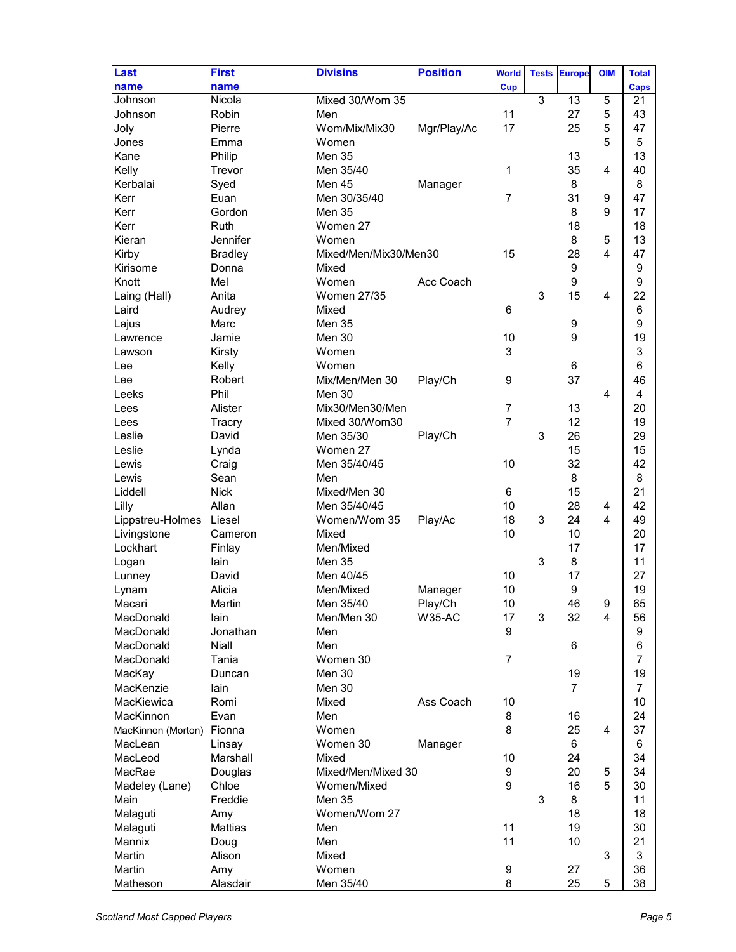| Last                      | <b>First</b>    | <b>Divisins</b>       | <b>Position</b> | <b>World</b>     | <b>Tests</b> | <b>Europe</b>    | <b>OIM</b>       | <b>Total</b>   |
|---------------------------|-----------------|-----------------------|-----------------|------------------|--------------|------------------|------------------|----------------|
| name                      | name            |                       |                 | <b>Cup</b>       |              |                  |                  | <b>Caps</b>    |
| Johnson                   | Nicola          | Mixed 30/Wom 35       |                 |                  | 3            | 13               | 5                | 21             |
| Johnson                   | Robin           | Men                   |                 | 11               |              | 27               | 5                | 43             |
| Joly                      | Pierre          | Wom/Mix/Mix30         | Mgr/Play/Ac     | 17               |              | 25               | 5                | 47             |
| Jones                     | Emma            | Women                 |                 |                  |              |                  | 5                | 5              |
| Kane                      | Philip          | Men 35                |                 |                  |              | 13               |                  | 13             |
| Kelly                     | Trevor          | Men 35/40             |                 | 1                |              | 35               | 4                | 40             |
| Kerbalai                  | Syed            | Men 45                | Manager         |                  |              | 8                |                  | 8              |
| Kerr                      | Euan            | Men 30/35/40          |                 | $\overline{7}$   |              | 31               | $\boldsymbol{9}$ | 47             |
| Kerr                      | Gordon          | Men 35                |                 |                  |              | 8                | 9                | 17             |
| Kerr                      | Ruth            | Women 27              |                 |                  |              | 18               |                  | 18             |
| Kieran                    | Jennifer        | Women                 |                 |                  |              | 8                | 5                | 13             |
| Kirby                     | <b>Bradley</b>  | Mixed/Men/Mix30/Men30 |                 | 15               |              | 28               | 4                | 47             |
| Kirisome                  | Donna           | Mixed                 |                 |                  |              | $\boldsymbol{9}$ |                  | 9              |
| Knott                     | Mel             | Women                 | Acc Coach       |                  |              | $\boldsymbol{9}$ |                  | 9              |
| Laing (Hall)              | Anita           | <b>Women 27/35</b>    |                 |                  | 3            | 15               | 4                | 22             |
| Laird                     | Audrey          | Mixed                 |                 | 6                |              |                  |                  | 6              |
| Lajus                     | Marc            | Men 35                |                 |                  |              | 9                |                  | 9              |
| Lawrence                  | Jamie           | Men 30                |                 | 10               |              | 9                |                  | 19             |
| Lawson                    | Kirsty          | Women                 |                 | 3                |              |                  |                  | 3              |
| Lee                       |                 | Women                 |                 |                  |              | 6                |                  | 6              |
|                           | Kelly<br>Robert |                       |                 |                  |              | 37               |                  | 46             |
| lLee                      |                 | Mix/Men/Men 30        | Play/Ch         | 9                |              |                  |                  |                |
| Leeks                     | Phil            | Men 30                |                 |                  |              |                  | 4                | 4              |
| Lees                      | Alister         | Mix30/Men30/Men       |                 | 7                |              | 13               |                  | 20             |
| Lees                      | Tracry          | Mixed 30/Wom30        |                 | $\overline{7}$   |              | 12               |                  | 19             |
| Leslie                    | David           | Men 35/30             | Play/Ch         |                  | 3            | 26               |                  | 29             |
| Leslie                    | Lynda           | Women 27              |                 |                  |              | 15               |                  | 15             |
| Lewis                     | Craig           | Men 35/40/45          |                 | 10               |              | 32               |                  | 42             |
| Lewis                     | Sean            | Men                   |                 |                  |              | 8                |                  | 8              |
| Liddell                   | <b>Nick</b>     | Mixed/Men 30          |                 | 6                |              | 15               |                  | 21             |
| Lilly                     | Allan           | Men 35/40/45          |                 | 10               |              | 28               | 4                | 42             |
| Lippstreu-Holmes          | Liesel          | Women/Wom 35          | Play/Ac         | 18               | 3            | 24               | 4                | 49             |
| Livingstone               | Cameron         | Mixed                 |                 | 10               |              | 10               |                  | 20             |
| Lockhart                  | Finlay          | Men/Mixed             |                 |                  |              | 17               |                  | 17             |
| Logan                     | lain            | Men 35                |                 |                  | 3            | 8                |                  | 11             |
| Lunney                    | David           | Men 40/45             |                 | 10               |              | 17               |                  | 27             |
| Lynam                     | Alicia          | Men/Mixed             | Manager         | 10               |              | 9                |                  | 19             |
| Macari                    | Martin          | Men 35/40             | Play/Ch         | 10               |              | 46               | 9                | 65             |
| MacDonald                 | lain            | Men/Men 30            | <b>W35-AC</b>   | 17               | 3            | 32               | $\overline{4}$   | 56             |
| MacDonald                 | Jonathan        | Men                   |                 | $\boldsymbol{9}$ |              |                  |                  | 9              |
| MacDonald                 | Niall           | Men                   |                 |                  |              | 6                |                  | 6              |
| MacDonald                 | Tania           | Women 30              |                 | $\overline{7}$   |              |                  |                  | $\overline{7}$ |
| MacKay                    | Duncan          | Men 30                |                 |                  |              | 19               |                  | 19             |
| MacKenzie                 | lain            | Men 30                |                 |                  |              | $\overline{7}$   |                  | $\overline{7}$ |
| MacKiewica                | Romi            | Mixed                 | Ass Coach       | 10               |              |                  |                  | 10             |
| MacKinnon                 | Evan            | Men                   |                 | 8                |              | 16               |                  | 24             |
|                           |                 | Women                 |                 | 8                |              | 25               | 4                | 37             |
| MacKinnon (Morton) Fionna |                 |                       |                 |                  |              |                  |                  |                |
| MacLean                   | Linsay          | Women 30              | Manager         |                  |              | 6                |                  | 6              |
| MacLeod                   | Marshall        | Mixed                 |                 | 10               |              | 24               |                  | 34             |
| MacRae                    | Douglas         | Mixed/Men/Mixed 30    |                 | 9                |              | 20               | 5                | 34             |
| Madeley (Lane)            | Chloe           | Women/Mixed           |                 | 9                |              | 16               | 5                | 30             |
| Main                      | Freddie         | <b>Men 35</b>         |                 |                  | 3            | 8                |                  | 11             |
| Malaguti                  | Amy             | Women/Wom 27          |                 |                  |              | 18               |                  | 18             |
| Malaguti                  | <b>Mattias</b>  | Men                   |                 | 11               |              | 19               |                  | 30             |
| Mannix                    | Doug            | Men                   |                 | 11               |              | 10               |                  | 21             |
| Martin                    | Alison          | Mixed                 |                 |                  |              |                  | 3                | 3              |
| Martin                    | Amy             | Women                 |                 | $\boldsymbol{9}$ |              | 27               |                  | 36             |
| Matheson                  | Alasdair        | Men 35/40             |                 | 8                |              | 25               | 5                | 38             |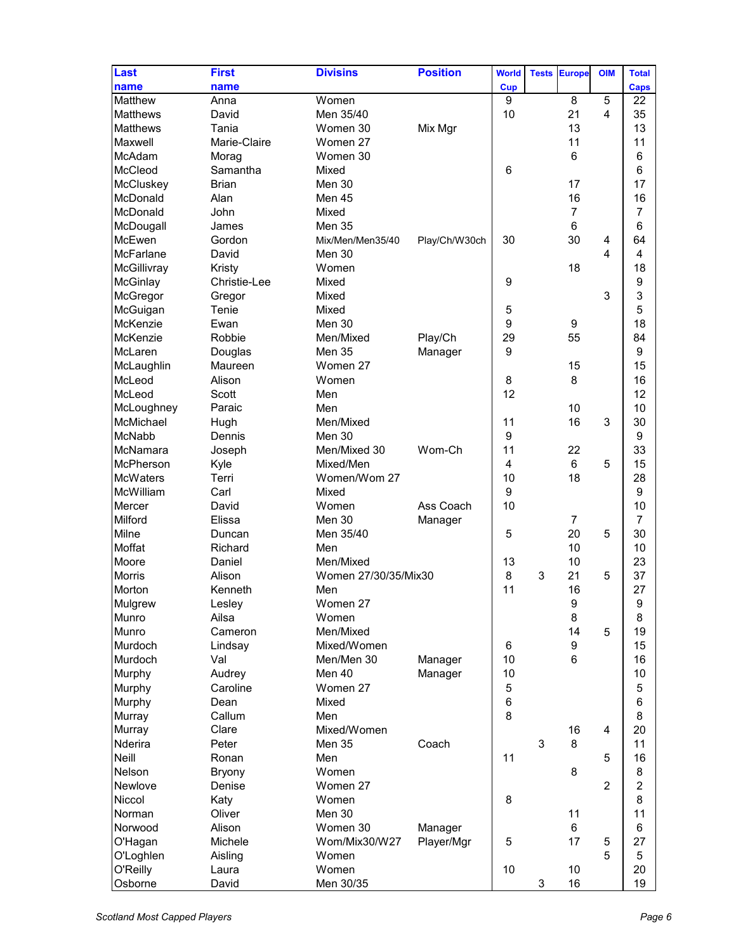| Last             | <b>First</b>  | <b>Divisins</b>      | <b>Position</b> | <b>World</b> | <b>Tests</b> | <b>Europe</b>    | <b>OIM</b>     | <b>Total</b>   |
|------------------|---------------|----------------------|-----------------|--------------|--------------|------------------|----------------|----------------|
| name             | name          |                      |                 | <b>Cup</b>   |              |                  |                | Caps           |
| Matthew          | Anna          | Women                |                 | 9            |              | 8                | 5              | 22             |
| <b>Matthews</b>  | David         | Men 35/40            |                 | 10           |              | 21               | 4              | 35             |
| <b>Matthews</b>  | Tania         | Women 30             | Mix Mgr         |              |              | 13               |                | 13             |
| Maxwell          | Marie-Claire  | Women 27             |                 |              |              | 11               |                | 11             |
| McAdam           | Morag         | Women 30             |                 |              |              | $6\phantom{1}$   |                | 6              |
| McCleod          | Samantha      | Mixed                |                 | 6            |              |                  |                | 6              |
| McCluskey        | <b>Brian</b>  | Men 30               |                 |              |              | 17               |                | 17             |
| McDonald         | Alan          | Men 45               |                 |              |              | 16               |                | 16             |
| McDonald         | John          | Mixed                |                 |              |              | $\overline{7}$   |                | $\overline{7}$ |
| McDougall        | James         | Men 35               |                 |              |              | 6                |                | 6              |
| McEwen           | Gordon        | Mix/Men/Men35/40     | Play/Ch/W30ch   | 30           |              | 30               | 4              | 64             |
| <b>McFarlane</b> | David         | Men 30               |                 |              |              |                  | 4              | 4              |
| McGillivray      | Kristy        | Women                |                 |              |              | 18               |                | 18             |
| McGinlay         | Christie-Lee  | Mixed                |                 | 9            |              |                  |                | 9              |
| McGregor         | Gregor        | Mixed                |                 |              |              |                  | 3              | 3              |
| McGuigan         | Tenie         | Mixed                |                 | 5            |              |                  |                | 5              |
| McKenzie         | Ewan          | Men 30               |                 | 9            |              | 9                |                | 18             |
| McKenzie         | Robbie        | Men/Mixed            | Play/Ch         | 29           |              | 55               |                | 84             |
| McLaren          | Douglas       | <b>Men 35</b>        | Manager         | 9            |              |                  |                | 9              |
| McLaughlin       | Maureen       | Women 27             |                 |              |              | 15               |                | 15             |
| McLeod           | Alison        | Women                |                 | 8            |              | 8                |                | 16             |
| McLeod           | Scott         | Men                  |                 | 12           |              |                  |                | 12             |
| McLoughney       | Paraic        | Men                  |                 |              |              | 10               |                | 10             |
| McMichael        | Hugh          | Men/Mixed            |                 | 11           |              | 16               | 3              | 30             |
| <b>McNabb</b>    | Dennis        | Men 30               |                 | 9            |              |                  |                | 9              |
| McNamara         |               | Men/Mixed 30         | Wom-Ch          | 11           |              | 22               |                | 33             |
| McPherson        | Joseph        | Mixed/Men            |                 | 4            |              | 6                | 5              | 15             |
| McWaters         | Kyle<br>Terri | Women/Wom 27         |                 | 10           |              | 18               |                | 28             |
| McWilliam        |               |                      |                 | 9            |              |                  |                | 9              |
|                  | Carl          | Mixed                | Ass Coach       | 10           |              |                  |                |                |
| Mercer           | David         | Women                |                 |              |              |                  |                | 10             |
| Milford          | Elissa        | Men 30               | Manager         |              |              | $\overline{7}$   |                | $\overline{7}$ |
| Milne            | Duncan        | Men 35/40            |                 | 5            |              | 20               | 5              | 30             |
| Moffat           | Richard       | Men                  |                 |              |              | 10               |                | 10             |
| Moore            | Daniel        | Men/Mixed            |                 | 13           |              | 10               |                | 23             |
| <b>Morris</b>    | Alison        | Women 27/30/35/Mix30 |                 | 8            | 3            | 21               | 5              | 37             |
| Morton           | Kenneth       | Men                  |                 | 11           |              | 16               |                | 27             |
| Mulgrew          | Lesley        | Women 27             |                 |              |              | 9                |                | 9              |
| Munro            | Ailsa         | Women                |                 |              |              | 8                |                | 8              |
| <b>Munro</b>     | Cameron       | Men/Mixed            |                 |              |              | 14               | 5              | 19             |
| Murdoch          | Lindsay       | Mixed/Women          |                 | 6            |              | $\boldsymbol{9}$ |                | 15             |
| Murdoch          | Val           | Men/Men 30           | Manager         | 10           |              | $6\phantom{1}6$  |                | 16             |
| Murphy           | Audrey        | Men 40               | Manager         | 10           |              |                  |                | 10             |
| Murphy           | Caroline      | Women 27             |                 | 5            |              |                  |                | 5              |
| Murphy           | Dean          | Mixed                |                 | 6            |              |                  |                | 6              |
| <b>Murray</b>    | Callum        | Men                  |                 | 8            |              |                  |                | 8              |
| Murray           | Clare         | Mixed/Women          |                 |              |              | 16               | 4              | 20             |
| Nderira          | Peter         | <b>Men 35</b>        | Coach           |              | 3            | 8                |                | 11             |
| Neill            | Ronan         | Men                  |                 | 11           |              |                  | 5              | 16             |
| Nelson           | <b>Bryony</b> | Women                |                 |              |              | 8                |                | 8              |
| Newlove          | Denise        | Women 27             |                 |              |              |                  | $\overline{2}$ | $\overline{2}$ |
| Niccol           | Katy          | Women                |                 | 8            |              |                  |                | 8              |
| Norman           | Oliver        | Men 30               |                 |              |              | 11               |                | 11             |
| Norwood          | Alison        | Women 30             | Manager         |              |              | 6                |                | 6              |
| O'Hagan          | Michele       | Wom/Mix30/W27        | Player/Mgr      | 5            |              | 17               | 5              | 27             |
| O'Loghlen        | Aisling       | Women                |                 |              |              |                  | 5              | 5              |
| O'Reilly         | Laura         | Women                |                 | 10           |              | 10               |                | 20             |
| Osborne          | David         | Men 30/35            |                 |              | 3            | 16               |                | 19             |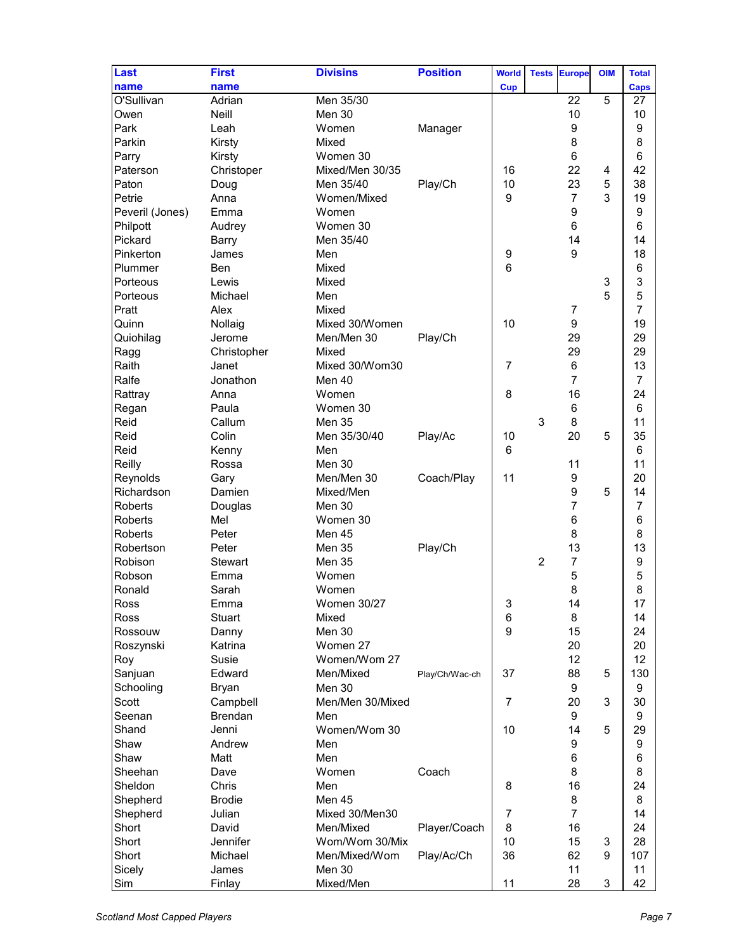| Last            | <b>First</b>   | <b>Divisins</b>  | <b>Position</b> | <b>World</b>     | <b>Tests</b>   | <b>Europe</b>    | <b>OIM</b> | <b>Total</b>   |
|-----------------|----------------|------------------|-----------------|------------------|----------------|------------------|------------|----------------|
|                 |                |                  |                 |                  |                |                  |            |                |
| name            | name           |                  |                 | <b>Cup</b>       |                |                  |            | <b>Caps</b>    |
| O'Sullivan      | Adrian         | Men 35/30        |                 |                  |                | 22               | 5          | 27             |
| Owen            | Neill          | Men 30           |                 |                  |                | 10               |            | 10             |
| Park            | Leah           | Women            | Manager         |                  |                | $\boldsymbol{9}$ |            | 9              |
| Parkin          | Kirsty         | Mixed            |                 |                  |                | 8                |            | 8              |
| Parry           | Kirsty         | Women 30         |                 |                  |                | $6\phantom{1}6$  |            | 6              |
| Paterson        | Christoper     | Mixed/Men 30/35  |                 | 16               |                | 22               | 4          | 42             |
| Paton           | Doug           | Men 35/40        | Play/Ch         | 10               |                | 23               | 5          | 38             |
| Petrie          | Anna           | Women/Mixed      |                 | 9                |                | $\overline{7}$   | 3          | 19             |
| Peveril (Jones) | Emma           | Women            |                 |                  |                | $\boldsymbol{9}$ |            | 9              |
| Philpott        | Audrey         | Women 30         |                 |                  |                | $\,6$            |            | 6              |
| Pickard         | <b>Barry</b>   | Men 35/40        |                 |                  |                | 14               |            | 14             |
| Pinkerton       | James          | Men              |                 | 9                |                | 9                |            | 18             |
| Plummer         | Ben            | Mixed            |                 | 6                |                |                  |            | 6              |
| Porteous        | Lewis          | Mixed            |                 |                  |                |                  | 3          | 3              |
| Porteous        | Michael        | Men              |                 |                  |                |                  | 5          | 5              |
| Pratt           | Alex           | Mixed            |                 |                  |                | $\overline{7}$   |            | 7              |
| Quinn           | Nollaig        | Mixed 30/Women   |                 | 10               |                | 9                |            | 19             |
| Quiohilag       | Jerome         | Men/Men 30       | Play/Ch         |                  |                | 29               |            | 29             |
|                 |                |                  |                 |                  |                |                  |            |                |
| Ragg            | Christopher    | Mixed            |                 |                  |                | 29               |            | 29             |
| Raith           | Janet          | Mixed 30/Wom30   |                 | 7                |                | $\,6$            |            | 13             |
| Ralfe           | Jonathon       | Men 40           |                 |                  |                | $\overline{7}$   |            | $\overline{7}$ |
| Rattray         | Anna           | Women            |                 | 8                |                | 16               |            | 24             |
| Regan           | Paula          | Women 30         |                 |                  |                | $\,6$            |            | 6              |
| Reid            | Callum         | Men 35           |                 |                  | 3              | 8                |            | 11             |
| Reid            | Colin          | Men 35/30/40     | Play/Ac         | 10               |                | 20               | 5          | 35             |
| Reid            | Kenny          | Men              |                 | 6                |                |                  |            | 6              |
| Reilly          | Rossa          | Men 30           |                 |                  |                | 11               |            | 11             |
| Reynolds        | Gary           | Men/Men 30       | Coach/Play      | 11               |                | 9                |            | 20             |
| Richardson      | Damien         | Mixed/Men        |                 |                  |                | $\boldsymbol{9}$ | 5          | 14             |
| <b>Roberts</b>  | Douglas        | Men 30           |                 |                  |                | $\overline{7}$   |            | 7              |
| <b>Roberts</b>  | Mel            | Women 30         |                 |                  |                | 6                |            | 6              |
| <b>Roberts</b>  | Peter          | Men 45           |                 |                  |                | 8                |            | 8              |
| Robertson       | Peter          | Men 35           | Play/Ch         |                  |                | 13               |            | 13             |
| Robison         | Stewart        | Men 35           |                 |                  | $\overline{2}$ | $\overline{7}$   |            | 9              |
| Robson          | Emma           | Women            |                 |                  |                | 5                |            | 5              |
| Ronald          | Sarah          | Women            |                 |                  |                | 8                |            | 8              |
| Ross            | Emma           | Women 30/27      |                 | 3                |                | 14               |            | 17             |
| <b>Ross</b>     | <b>Stuart</b>  | Mixed            |                 | 6                |                | 8                |            | 14             |
| Rossouw         |                | Men 30           |                 | $\boldsymbol{9}$ |                | 15               |            | 24             |
|                 | Danny          | Women 27         |                 |                  |                | 20               |            | 20             |
| Roszynski       | Katrina        | Women/Wom 27     |                 |                  |                | 12               |            | 12             |
| Roy             | Susie          |                  |                 |                  |                |                  |            |                |
| Sanjuan         | Edward         | Men/Mixed        | Play/Ch/Wac-ch  | 37               |                | 88               | 5          | 130            |
| Schooling       | <b>Bryan</b>   | Men 30           |                 |                  |                | $\boldsymbol{9}$ |            | 9              |
| Scott           | Campbell       | Men/Men 30/Mixed |                 | $\overline{7}$   |                | 20               | 3          | 30             |
| Seenan          | <b>Brendan</b> | Men              |                 |                  |                | 9                |            | 9              |
| Shand           | Jenni          | Women/Wom 30     |                 | 10               |                | 14               | 5          | 29             |
| Shaw            | Andrew         | Men              |                 |                  |                | 9                |            | 9              |
| Shaw            | Matt           | Men              |                 |                  |                | 6                |            | 6              |
| Sheehan         | Dave           | Women            | Coach           |                  |                | 8                |            | 8              |
| Sheldon         | Chris          | Men              |                 | 8                |                | 16               |            | 24             |
| Shepherd        | <b>Brodie</b>  | Men 45           |                 |                  |                | 8                |            | 8              |
| Shepherd        | Julian         | Mixed 30/Men30   |                 | $\overline{7}$   |                | $\overline{7}$   |            | 14             |
| Short           | David          | Men/Mixed        | Player/Coach    | 8                |                | 16               |            | 24             |
| Short           | Jennifer       | Wom/Wom 30/Mix   |                 | 10               |                | 15               | 3          | 28             |
| Short           | Michael        | Men/Mixed/Wom    | Play/Ac/Ch      | 36               |                | 62               | 9          | 107            |
| Sicely          | James          | Men 30           |                 |                  |                | 11               |            | 11             |
| Sim             | Finlay         | Mixed/Men        |                 | 11               |                | 28               | 3          | 42             |
|                 |                |                  |                 |                  |                |                  |            |                |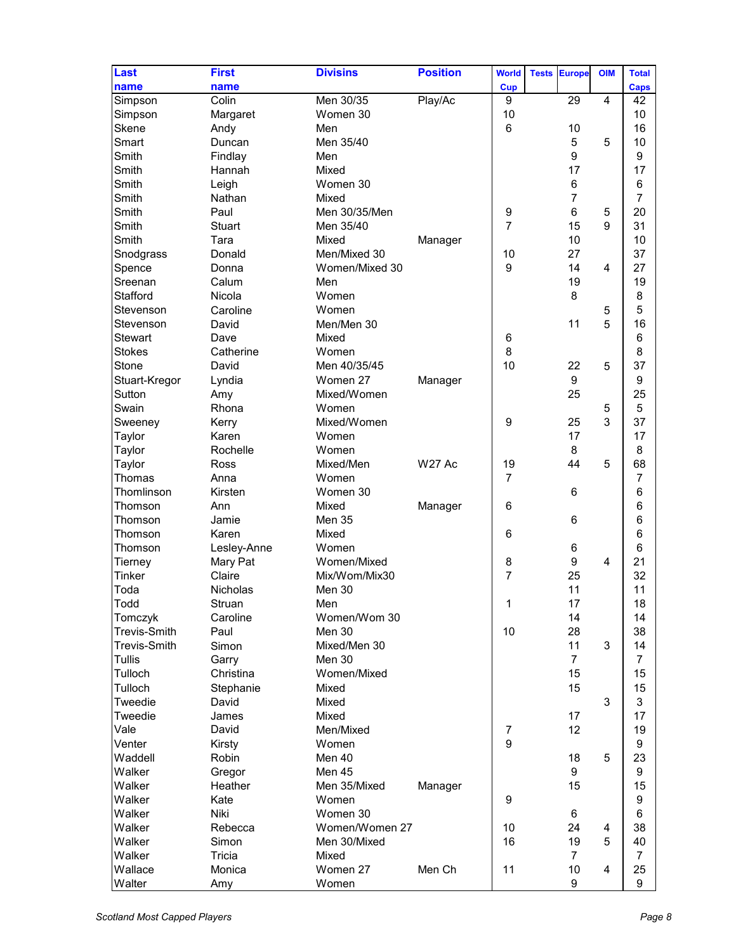| name<br>name<br><b>Cup</b><br><b>Caps</b><br>Colin<br>Men 30/35<br>9<br>29<br>4<br>42<br>Play/Ac<br>Simpson<br>Women 30<br>10<br>10<br>Simpson<br>Margaret<br>6<br>16<br>Skene<br>Men<br>10<br>Andy<br>Smart<br>5<br>Men 35/40<br>5<br>10<br>Duncan<br>9<br>Smith<br>9<br>Findlay<br>Men<br>17<br>17<br>Smith<br>Hannah<br>Mixed<br>$\,6$<br>Smith<br>6<br>Leigh<br>Women 30<br>$\overline{7}$<br>$\overline{7}$<br>Smith<br>Nathan<br>Mixed<br>6<br>Smith<br>Paul<br>Men 30/35/Men<br>9<br>5<br>20<br>$\overline{7}$<br>Smith<br>Men 35/40<br>15<br>9<br>31<br><b>Stuart</b><br>Smith<br>10<br>10<br>Tara<br>Mixed<br>Manager<br>37<br>Snodgrass<br>Men/Mixed 30<br>10<br>27<br>Donald<br>9<br>14<br>27<br>Spence<br>Women/Mixed 30<br>4<br>Donna<br>Sreenan<br>Calum<br>19<br>19<br>Men<br>8<br>Stafford<br>Nicola<br>8<br>Women<br>Women<br>5<br>Stevenson<br>Caroline<br>5<br>11<br>5<br>Men/Men 30<br>16<br>Stevenson<br>David<br><b>Stewart</b><br>Dave<br>Mixed<br>6<br>6<br>8<br><b>Stokes</b><br>Catherine<br>8<br>Women<br>10<br>37<br>Men 40/35/45<br>22<br>5<br>Stone<br>David<br>9<br>9<br>Stuart-Kregor<br>Lyndia<br>Women 27<br>Manager<br>25<br>Sutton<br>Mixed/Women<br>25<br>Amy<br>5<br>Swain<br>Rhona<br>Women<br>5<br>3<br>9<br>37<br>Mixed/Women<br>25<br>Sweeney<br>Kerry<br>17<br>17<br>Taylor<br>Karen<br>Women<br>8<br>8<br>Taylor<br>Rochelle<br>Women<br>44<br>5<br>Mixed/Men<br><b>W27 Ac</b><br>19<br>68<br>Taylor<br><b>Ross</b><br>$\overline{7}$<br>$\overline{7}$<br>Thomas<br>Anna<br>Women<br>Thomlinson<br>6<br>6<br>Kirsten<br>Women 30<br>6<br>6<br>Ann<br>Mixed<br>Manager<br>Thomson<br>6<br>6<br>Jamie<br>Men 35<br>Thomson<br>6<br>6<br>Karen<br>Mixed<br>Thomson<br>6<br>Lesley-Anne<br>Women<br>6<br>Thomson<br>$\boldsymbol{9}$<br>Women/Mixed<br>$\overline{4}$<br>21<br>Mary Pat<br>8<br>Tierney<br>$\overline{7}$<br>Tinker<br>25<br>32<br>Claire<br>Mix/Wom/Mix30<br>Toda<br>11<br>11<br><b>Nicholas</b><br>Men 30<br>Todd<br>Struan<br>Men<br>1<br>17<br>18<br>14<br>14<br>Caroline<br>Women/Wom 30<br>Tomczyk<br>Paul<br>38<br><b>Trevis-Smith</b><br>Men 30<br>10<br>28<br>11<br><b>Trevis-Smith</b><br>Simon<br>3<br>14<br>Mixed/Men 30<br><b>Tullis</b><br><b>Men 30</b><br>$\overline{7}$<br>$\overline{7}$<br>Garry<br>Tulloch<br>15<br>15<br>Christina<br>Women/Mixed<br>15<br>15<br>Tulloch<br>Stephanie<br>Mixed<br>3<br>3<br>Tweedie<br>David<br>Mixed<br>17<br>17<br>Tweedie<br>James<br>Mixed<br>12<br>19<br>Vale<br>David<br>Men/Mixed<br>$\overline{7}$<br>$\boldsymbol{9}$<br>9<br>Venter<br>Kirsty<br>Women<br>Waddell<br>Men 40<br>5<br>23<br>Robin<br>18<br>Men 45<br>9<br>Walker<br>9<br>Gregor<br>Walker<br>Men 35/Mixed<br>Heather<br>15<br>15<br>Manager<br>Walker<br>9<br>Kate<br>Women<br>9<br>Walker<br>Niki<br>Women 30<br>6<br>6<br>Walker<br>Women/Women 27<br>10<br>38<br>Rebecca<br>24<br>4<br>16<br>19<br>Walker<br>5<br>Simon<br>Men 30/Mixed<br>40<br>Walker<br>Tricia<br>$\overline{7}$<br>$\overline{7}$<br>Mixed<br>Wallace<br>Women 27<br>Men Ch<br>11<br>10<br>25<br>Monica<br>4 | Last   | <b>First</b> | <b>Divisins</b> | <b>Position</b> | <b>World</b> | <b>Tests</b> | <b>Europe</b> | <b>OIM</b> | <b>Total</b> |
|---------------------------------------------------------------------------------------------------------------------------------------------------------------------------------------------------------------------------------------------------------------------------------------------------------------------------------------------------------------------------------------------------------------------------------------------------------------------------------------------------------------------------------------------------------------------------------------------------------------------------------------------------------------------------------------------------------------------------------------------------------------------------------------------------------------------------------------------------------------------------------------------------------------------------------------------------------------------------------------------------------------------------------------------------------------------------------------------------------------------------------------------------------------------------------------------------------------------------------------------------------------------------------------------------------------------------------------------------------------------------------------------------------------------------------------------------------------------------------------------------------------------------------------------------------------------------------------------------------------------------------------------------------------------------------------------------------------------------------------------------------------------------------------------------------------------------------------------------------------------------------------------------------------------------------------------------------------------------------------------------------------------------------------------------------------------------------------------------------------------------------------------------------------------------------------------------------------------------------------------------------------------------------------------------------------------------------------------------------------------------------------------------------------------------------------------------------------------------------------------------------------------------------------------------------------------------------------------------------------------------------------------------------------------------------------------------------------------------------------------------------------------------------------------------------------------------------------------------------------------------------------------------------------------------------------------------------------------------------------------------------------------------------------------------------------------------|--------|--------------|-----------------|-----------------|--------------|--------------|---------------|------------|--------------|
|                                                                                                                                                                                                                                                                                                                                                                                                                                                                                                                                                                                                                                                                                                                                                                                                                                                                                                                                                                                                                                                                                                                                                                                                                                                                                                                                                                                                                                                                                                                                                                                                                                                                                                                                                                                                                                                                                                                                                                                                                                                                                                                                                                                                                                                                                                                                                                                                                                                                                                                                                                                                                                                                                                                                                                                                                                                                                                                                                                                                                                                                           |        |              |                 |                 |              |              |               |            |              |
|                                                                                                                                                                                                                                                                                                                                                                                                                                                                                                                                                                                                                                                                                                                                                                                                                                                                                                                                                                                                                                                                                                                                                                                                                                                                                                                                                                                                                                                                                                                                                                                                                                                                                                                                                                                                                                                                                                                                                                                                                                                                                                                                                                                                                                                                                                                                                                                                                                                                                                                                                                                                                                                                                                                                                                                                                                                                                                                                                                                                                                                                           |        |              |                 |                 |              |              |               |            |              |
|                                                                                                                                                                                                                                                                                                                                                                                                                                                                                                                                                                                                                                                                                                                                                                                                                                                                                                                                                                                                                                                                                                                                                                                                                                                                                                                                                                                                                                                                                                                                                                                                                                                                                                                                                                                                                                                                                                                                                                                                                                                                                                                                                                                                                                                                                                                                                                                                                                                                                                                                                                                                                                                                                                                                                                                                                                                                                                                                                                                                                                                                           |        |              |                 |                 |              |              |               |            |              |
|                                                                                                                                                                                                                                                                                                                                                                                                                                                                                                                                                                                                                                                                                                                                                                                                                                                                                                                                                                                                                                                                                                                                                                                                                                                                                                                                                                                                                                                                                                                                                                                                                                                                                                                                                                                                                                                                                                                                                                                                                                                                                                                                                                                                                                                                                                                                                                                                                                                                                                                                                                                                                                                                                                                                                                                                                                                                                                                                                                                                                                                                           |        |              |                 |                 |              |              |               |            |              |
|                                                                                                                                                                                                                                                                                                                                                                                                                                                                                                                                                                                                                                                                                                                                                                                                                                                                                                                                                                                                                                                                                                                                                                                                                                                                                                                                                                                                                                                                                                                                                                                                                                                                                                                                                                                                                                                                                                                                                                                                                                                                                                                                                                                                                                                                                                                                                                                                                                                                                                                                                                                                                                                                                                                                                                                                                                                                                                                                                                                                                                                                           |        |              |                 |                 |              |              |               |            |              |
|                                                                                                                                                                                                                                                                                                                                                                                                                                                                                                                                                                                                                                                                                                                                                                                                                                                                                                                                                                                                                                                                                                                                                                                                                                                                                                                                                                                                                                                                                                                                                                                                                                                                                                                                                                                                                                                                                                                                                                                                                                                                                                                                                                                                                                                                                                                                                                                                                                                                                                                                                                                                                                                                                                                                                                                                                                                                                                                                                                                                                                                                           |        |              |                 |                 |              |              |               |            |              |
|                                                                                                                                                                                                                                                                                                                                                                                                                                                                                                                                                                                                                                                                                                                                                                                                                                                                                                                                                                                                                                                                                                                                                                                                                                                                                                                                                                                                                                                                                                                                                                                                                                                                                                                                                                                                                                                                                                                                                                                                                                                                                                                                                                                                                                                                                                                                                                                                                                                                                                                                                                                                                                                                                                                                                                                                                                                                                                                                                                                                                                                                           |        |              |                 |                 |              |              |               |            |              |
|                                                                                                                                                                                                                                                                                                                                                                                                                                                                                                                                                                                                                                                                                                                                                                                                                                                                                                                                                                                                                                                                                                                                                                                                                                                                                                                                                                                                                                                                                                                                                                                                                                                                                                                                                                                                                                                                                                                                                                                                                                                                                                                                                                                                                                                                                                                                                                                                                                                                                                                                                                                                                                                                                                                                                                                                                                                                                                                                                                                                                                                                           |        |              |                 |                 |              |              |               |            |              |
|                                                                                                                                                                                                                                                                                                                                                                                                                                                                                                                                                                                                                                                                                                                                                                                                                                                                                                                                                                                                                                                                                                                                                                                                                                                                                                                                                                                                                                                                                                                                                                                                                                                                                                                                                                                                                                                                                                                                                                                                                                                                                                                                                                                                                                                                                                                                                                                                                                                                                                                                                                                                                                                                                                                                                                                                                                                                                                                                                                                                                                                                           |        |              |                 |                 |              |              |               |            |              |
|                                                                                                                                                                                                                                                                                                                                                                                                                                                                                                                                                                                                                                                                                                                                                                                                                                                                                                                                                                                                                                                                                                                                                                                                                                                                                                                                                                                                                                                                                                                                                                                                                                                                                                                                                                                                                                                                                                                                                                                                                                                                                                                                                                                                                                                                                                                                                                                                                                                                                                                                                                                                                                                                                                                                                                                                                                                                                                                                                                                                                                                                           |        |              |                 |                 |              |              |               |            |              |
|                                                                                                                                                                                                                                                                                                                                                                                                                                                                                                                                                                                                                                                                                                                                                                                                                                                                                                                                                                                                                                                                                                                                                                                                                                                                                                                                                                                                                                                                                                                                                                                                                                                                                                                                                                                                                                                                                                                                                                                                                                                                                                                                                                                                                                                                                                                                                                                                                                                                                                                                                                                                                                                                                                                                                                                                                                                                                                                                                                                                                                                                           |        |              |                 |                 |              |              |               |            |              |
|                                                                                                                                                                                                                                                                                                                                                                                                                                                                                                                                                                                                                                                                                                                                                                                                                                                                                                                                                                                                                                                                                                                                                                                                                                                                                                                                                                                                                                                                                                                                                                                                                                                                                                                                                                                                                                                                                                                                                                                                                                                                                                                                                                                                                                                                                                                                                                                                                                                                                                                                                                                                                                                                                                                                                                                                                                                                                                                                                                                                                                                                           |        |              |                 |                 |              |              |               |            |              |
|                                                                                                                                                                                                                                                                                                                                                                                                                                                                                                                                                                                                                                                                                                                                                                                                                                                                                                                                                                                                                                                                                                                                                                                                                                                                                                                                                                                                                                                                                                                                                                                                                                                                                                                                                                                                                                                                                                                                                                                                                                                                                                                                                                                                                                                                                                                                                                                                                                                                                                                                                                                                                                                                                                                                                                                                                                                                                                                                                                                                                                                                           |        |              |                 |                 |              |              |               |            |              |
|                                                                                                                                                                                                                                                                                                                                                                                                                                                                                                                                                                                                                                                                                                                                                                                                                                                                                                                                                                                                                                                                                                                                                                                                                                                                                                                                                                                                                                                                                                                                                                                                                                                                                                                                                                                                                                                                                                                                                                                                                                                                                                                                                                                                                                                                                                                                                                                                                                                                                                                                                                                                                                                                                                                                                                                                                                                                                                                                                                                                                                                                           |        |              |                 |                 |              |              |               |            |              |
|                                                                                                                                                                                                                                                                                                                                                                                                                                                                                                                                                                                                                                                                                                                                                                                                                                                                                                                                                                                                                                                                                                                                                                                                                                                                                                                                                                                                                                                                                                                                                                                                                                                                                                                                                                                                                                                                                                                                                                                                                                                                                                                                                                                                                                                                                                                                                                                                                                                                                                                                                                                                                                                                                                                                                                                                                                                                                                                                                                                                                                                                           |        |              |                 |                 |              |              |               |            |              |
|                                                                                                                                                                                                                                                                                                                                                                                                                                                                                                                                                                                                                                                                                                                                                                                                                                                                                                                                                                                                                                                                                                                                                                                                                                                                                                                                                                                                                                                                                                                                                                                                                                                                                                                                                                                                                                                                                                                                                                                                                                                                                                                                                                                                                                                                                                                                                                                                                                                                                                                                                                                                                                                                                                                                                                                                                                                                                                                                                                                                                                                                           |        |              |                 |                 |              |              |               |            |              |
|                                                                                                                                                                                                                                                                                                                                                                                                                                                                                                                                                                                                                                                                                                                                                                                                                                                                                                                                                                                                                                                                                                                                                                                                                                                                                                                                                                                                                                                                                                                                                                                                                                                                                                                                                                                                                                                                                                                                                                                                                                                                                                                                                                                                                                                                                                                                                                                                                                                                                                                                                                                                                                                                                                                                                                                                                                                                                                                                                                                                                                                                           |        |              |                 |                 |              |              |               |            |              |
|                                                                                                                                                                                                                                                                                                                                                                                                                                                                                                                                                                                                                                                                                                                                                                                                                                                                                                                                                                                                                                                                                                                                                                                                                                                                                                                                                                                                                                                                                                                                                                                                                                                                                                                                                                                                                                                                                                                                                                                                                                                                                                                                                                                                                                                                                                                                                                                                                                                                                                                                                                                                                                                                                                                                                                                                                                                                                                                                                                                                                                                                           |        |              |                 |                 |              |              |               |            |              |
|                                                                                                                                                                                                                                                                                                                                                                                                                                                                                                                                                                                                                                                                                                                                                                                                                                                                                                                                                                                                                                                                                                                                                                                                                                                                                                                                                                                                                                                                                                                                                                                                                                                                                                                                                                                                                                                                                                                                                                                                                                                                                                                                                                                                                                                                                                                                                                                                                                                                                                                                                                                                                                                                                                                                                                                                                                                                                                                                                                                                                                                                           |        |              |                 |                 |              |              |               |            |              |
|                                                                                                                                                                                                                                                                                                                                                                                                                                                                                                                                                                                                                                                                                                                                                                                                                                                                                                                                                                                                                                                                                                                                                                                                                                                                                                                                                                                                                                                                                                                                                                                                                                                                                                                                                                                                                                                                                                                                                                                                                                                                                                                                                                                                                                                                                                                                                                                                                                                                                                                                                                                                                                                                                                                                                                                                                                                                                                                                                                                                                                                                           |        |              |                 |                 |              |              |               |            |              |
|                                                                                                                                                                                                                                                                                                                                                                                                                                                                                                                                                                                                                                                                                                                                                                                                                                                                                                                                                                                                                                                                                                                                                                                                                                                                                                                                                                                                                                                                                                                                                                                                                                                                                                                                                                                                                                                                                                                                                                                                                                                                                                                                                                                                                                                                                                                                                                                                                                                                                                                                                                                                                                                                                                                                                                                                                                                                                                                                                                                                                                                                           |        |              |                 |                 |              |              |               |            |              |
|                                                                                                                                                                                                                                                                                                                                                                                                                                                                                                                                                                                                                                                                                                                                                                                                                                                                                                                                                                                                                                                                                                                                                                                                                                                                                                                                                                                                                                                                                                                                                                                                                                                                                                                                                                                                                                                                                                                                                                                                                                                                                                                                                                                                                                                                                                                                                                                                                                                                                                                                                                                                                                                                                                                                                                                                                                                                                                                                                                                                                                                                           |        |              |                 |                 |              |              |               |            |              |
|                                                                                                                                                                                                                                                                                                                                                                                                                                                                                                                                                                                                                                                                                                                                                                                                                                                                                                                                                                                                                                                                                                                                                                                                                                                                                                                                                                                                                                                                                                                                                                                                                                                                                                                                                                                                                                                                                                                                                                                                                                                                                                                                                                                                                                                                                                                                                                                                                                                                                                                                                                                                                                                                                                                                                                                                                                                                                                                                                                                                                                                                           |        |              |                 |                 |              |              |               |            |              |
|                                                                                                                                                                                                                                                                                                                                                                                                                                                                                                                                                                                                                                                                                                                                                                                                                                                                                                                                                                                                                                                                                                                                                                                                                                                                                                                                                                                                                                                                                                                                                                                                                                                                                                                                                                                                                                                                                                                                                                                                                                                                                                                                                                                                                                                                                                                                                                                                                                                                                                                                                                                                                                                                                                                                                                                                                                                                                                                                                                                                                                                                           |        |              |                 |                 |              |              |               |            |              |
|                                                                                                                                                                                                                                                                                                                                                                                                                                                                                                                                                                                                                                                                                                                                                                                                                                                                                                                                                                                                                                                                                                                                                                                                                                                                                                                                                                                                                                                                                                                                                                                                                                                                                                                                                                                                                                                                                                                                                                                                                                                                                                                                                                                                                                                                                                                                                                                                                                                                                                                                                                                                                                                                                                                                                                                                                                                                                                                                                                                                                                                                           |        |              |                 |                 |              |              |               |            |              |
|                                                                                                                                                                                                                                                                                                                                                                                                                                                                                                                                                                                                                                                                                                                                                                                                                                                                                                                                                                                                                                                                                                                                                                                                                                                                                                                                                                                                                                                                                                                                                                                                                                                                                                                                                                                                                                                                                                                                                                                                                                                                                                                                                                                                                                                                                                                                                                                                                                                                                                                                                                                                                                                                                                                                                                                                                                                                                                                                                                                                                                                                           |        |              |                 |                 |              |              |               |            |              |
|                                                                                                                                                                                                                                                                                                                                                                                                                                                                                                                                                                                                                                                                                                                                                                                                                                                                                                                                                                                                                                                                                                                                                                                                                                                                                                                                                                                                                                                                                                                                                                                                                                                                                                                                                                                                                                                                                                                                                                                                                                                                                                                                                                                                                                                                                                                                                                                                                                                                                                                                                                                                                                                                                                                                                                                                                                                                                                                                                                                                                                                                           |        |              |                 |                 |              |              |               |            |              |
|                                                                                                                                                                                                                                                                                                                                                                                                                                                                                                                                                                                                                                                                                                                                                                                                                                                                                                                                                                                                                                                                                                                                                                                                                                                                                                                                                                                                                                                                                                                                                                                                                                                                                                                                                                                                                                                                                                                                                                                                                                                                                                                                                                                                                                                                                                                                                                                                                                                                                                                                                                                                                                                                                                                                                                                                                                                                                                                                                                                                                                                                           |        |              |                 |                 |              |              |               |            |              |
|                                                                                                                                                                                                                                                                                                                                                                                                                                                                                                                                                                                                                                                                                                                                                                                                                                                                                                                                                                                                                                                                                                                                                                                                                                                                                                                                                                                                                                                                                                                                                                                                                                                                                                                                                                                                                                                                                                                                                                                                                                                                                                                                                                                                                                                                                                                                                                                                                                                                                                                                                                                                                                                                                                                                                                                                                                                                                                                                                                                                                                                                           |        |              |                 |                 |              |              |               |            |              |
|                                                                                                                                                                                                                                                                                                                                                                                                                                                                                                                                                                                                                                                                                                                                                                                                                                                                                                                                                                                                                                                                                                                                                                                                                                                                                                                                                                                                                                                                                                                                                                                                                                                                                                                                                                                                                                                                                                                                                                                                                                                                                                                                                                                                                                                                                                                                                                                                                                                                                                                                                                                                                                                                                                                                                                                                                                                                                                                                                                                                                                                                           |        |              |                 |                 |              |              |               |            |              |
|                                                                                                                                                                                                                                                                                                                                                                                                                                                                                                                                                                                                                                                                                                                                                                                                                                                                                                                                                                                                                                                                                                                                                                                                                                                                                                                                                                                                                                                                                                                                                                                                                                                                                                                                                                                                                                                                                                                                                                                                                                                                                                                                                                                                                                                                                                                                                                                                                                                                                                                                                                                                                                                                                                                                                                                                                                                                                                                                                                                                                                                                           |        |              |                 |                 |              |              |               |            |              |
|                                                                                                                                                                                                                                                                                                                                                                                                                                                                                                                                                                                                                                                                                                                                                                                                                                                                                                                                                                                                                                                                                                                                                                                                                                                                                                                                                                                                                                                                                                                                                                                                                                                                                                                                                                                                                                                                                                                                                                                                                                                                                                                                                                                                                                                                                                                                                                                                                                                                                                                                                                                                                                                                                                                                                                                                                                                                                                                                                                                                                                                                           |        |              |                 |                 |              |              |               |            |              |
|                                                                                                                                                                                                                                                                                                                                                                                                                                                                                                                                                                                                                                                                                                                                                                                                                                                                                                                                                                                                                                                                                                                                                                                                                                                                                                                                                                                                                                                                                                                                                                                                                                                                                                                                                                                                                                                                                                                                                                                                                                                                                                                                                                                                                                                                                                                                                                                                                                                                                                                                                                                                                                                                                                                                                                                                                                                                                                                                                                                                                                                                           |        |              |                 |                 |              |              |               |            |              |
|                                                                                                                                                                                                                                                                                                                                                                                                                                                                                                                                                                                                                                                                                                                                                                                                                                                                                                                                                                                                                                                                                                                                                                                                                                                                                                                                                                                                                                                                                                                                                                                                                                                                                                                                                                                                                                                                                                                                                                                                                                                                                                                                                                                                                                                                                                                                                                                                                                                                                                                                                                                                                                                                                                                                                                                                                                                                                                                                                                                                                                                                           |        |              |                 |                 |              |              |               |            |              |
|                                                                                                                                                                                                                                                                                                                                                                                                                                                                                                                                                                                                                                                                                                                                                                                                                                                                                                                                                                                                                                                                                                                                                                                                                                                                                                                                                                                                                                                                                                                                                                                                                                                                                                                                                                                                                                                                                                                                                                                                                                                                                                                                                                                                                                                                                                                                                                                                                                                                                                                                                                                                                                                                                                                                                                                                                                                                                                                                                                                                                                                                           |        |              |                 |                 |              |              |               |            |              |
|                                                                                                                                                                                                                                                                                                                                                                                                                                                                                                                                                                                                                                                                                                                                                                                                                                                                                                                                                                                                                                                                                                                                                                                                                                                                                                                                                                                                                                                                                                                                                                                                                                                                                                                                                                                                                                                                                                                                                                                                                                                                                                                                                                                                                                                                                                                                                                                                                                                                                                                                                                                                                                                                                                                                                                                                                                                                                                                                                                                                                                                                           |        |              |                 |                 |              |              |               |            |              |
|                                                                                                                                                                                                                                                                                                                                                                                                                                                                                                                                                                                                                                                                                                                                                                                                                                                                                                                                                                                                                                                                                                                                                                                                                                                                                                                                                                                                                                                                                                                                                                                                                                                                                                                                                                                                                                                                                                                                                                                                                                                                                                                                                                                                                                                                                                                                                                                                                                                                                                                                                                                                                                                                                                                                                                                                                                                                                                                                                                                                                                                                           |        |              |                 |                 |              |              |               |            |              |
|                                                                                                                                                                                                                                                                                                                                                                                                                                                                                                                                                                                                                                                                                                                                                                                                                                                                                                                                                                                                                                                                                                                                                                                                                                                                                                                                                                                                                                                                                                                                                                                                                                                                                                                                                                                                                                                                                                                                                                                                                                                                                                                                                                                                                                                                                                                                                                                                                                                                                                                                                                                                                                                                                                                                                                                                                                                                                                                                                                                                                                                                           |        |              |                 |                 |              |              |               |            |              |
|                                                                                                                                                                                                                                                                                                                                                                                                                                                                                                                                                                                                                                                                                                                                                                                                                                                                                                                                                                                                                                                                                                                                                                                                                                                                                                                                                                                                                                                                                                                                                                                                                                                                                                                                                                                                                                                                                                                                                                                                                                                                                                                                                                                                                                                                                                                                                                                                                                                                                                                                                                                                                                                                                                                                                                                                                                                                                                                                                                                                                                                                           |        |              |                 |                 |              |              |               |            |              |
|                                                                                                                                                                                                                                                                                                                                                                                                                                                                                                                                                                                                                                                                                                                                                                                                                                                                                                                                                                                                                                                                                                                                                                                                                                                                                                                                                                                                                                                                                                                                                                                                                                                                                                                                                                                                                                                                                                                                                                                                                                                                                                                                                                                                                                                                                                                                                                                                                                                                                                                                                                                                                                                                                                                                                                                                                                                                                                                                                                                                                                                                           |        |              |                 |                 |              |              |               |            |              |
|                                                                                                                                                                                                                                                                                                                                                                                                                                                                                                                                                                                                                                                                                                                                                                                                                                                                                                                                                                                                                                                                                                                                                                                                                                                                                                                                                                                                                                                                                                                                                                                                                                                                                                                                                                                                                                                                                                                                                                                                                                                                                                                                                                                                                                                                                                                                                                                                                                                                                                                                                                                                                                                                                                                                                                                                                                                                                                                                                                                                                                                                           |        |              |                 |                 |              |              |               |            |              |
|                                                                                                                                                                                                                                                                                                                                                                                                                                                                                                                                                                                                                                                                                                                                                                                                                                                                                                                                                                                                                                                                                                                                                                                                                                                                                                                                                                                                                                                                                                                                                                                                                                                                                                                                                                                                                                                                                                                                                                                                                                                                                                                                                                                                                                                                                                                                                                                                                                                                                                                                                                                                                                                                                                                                                                                                                                                                                                                                                                                                                                                                           |        |              |                 |                 |              |              |               |            |              |
|                                                                                                                                                                                                                                                                                                                                                                                                                                                                                                                                                                                                                                                                                                                                                                                                                                                                                                                                                                                                                                                                                                                                                                                                                                                                                                                                                                                                                                                                                                                                                                                                                                                                                                                                                                                                                                                                                                                                                                                                                                                                                                                                                                                                                                                                                                                                                                                                                                                                                                                                                                                                                                                                                                                                                                                                                                                                                                                                                                                                                                                                           |        |              |                 |                 |              |              |               |            |              |
|                                                                                                                                                                                                                                                                                                                                                                                                                                                                                                                                                                                                                                                                                                                                                                                                                                                                                                                                                                                                                                                                                                                                                                                                                                                                                                                                                                                                                                                                                                                                                                                                                                                                                                                                                                                                                                                                                                                                                                                                                                                                                                                                                                                                                                                                                                                                                                                                                                                                                                                                                                                                                                                                                                                                                                                                                                                                                                                                                                                                                                                                           |        |              |                 |                 |              |              |               |            |              |
|                                                                                                                                                                                                                                                                                                                                                                                                                                                                                                                                                                                                                                                                                                                                                                                                                                                                                                                                                                                                                                                                                                                                                                                                                                                                                                                                                                                                                                                                                                                                                                                                                                                                                                                                                                                                                                                                                                                                                                                                                                                                                                                                                                                                                                                                                                                                                                                                                                                                                                                                                                                                                                                                                                                                                                                                                                                                                                                                                                                                                                                                           |        |              |                 |                 |              |              |               |            |              |
|                                                                                                                                                                                                                                                                                                                                                                                                                                                                                                                                                                                                                                                                                                                                                                                                                                                                                                                                                                                                                                                                                                                                                                                                                                                                                                                                                                                                                                                                                                                                                                                                                                                                                                                                                                                                                                                                                                                                                                                                                                                                                                                                                                                                                                                                                                                                                                                                                                                                                                                                                                                                                                                                                                                                                                                                                                                                                                                                                                                                                                                                           |        |              |                 |                 |              |              |               |            |              |
|                                                                                                                                                                                                                                                                                                                                                                                                                                                                                                                                                                                                                                                                                                                                                                                                                                                                                                                                                                                                                                                                                                                                                                                                                                                                                                                                                                                                                                                                                                                                                                                                                                                                                                                                                                                                                                                                                                                                                                                                                                                                                                                                                                                                                                                                                                                                                                                                                                                                                                                                                                                                                                                                                                                                                                                                                                                                                                                                                                                                                                                                           |        |              |                 |                 |              |              |               |            |              |
|                                                                                                                                                                                                                                                                                                                                                                                                                                                                                                                                                                                                                                                                                                                                                                                                                                                                                                                                                                                                                                                                                                                                                                                                                                                                                                                                                                                                                                                                                                                                                                                                                                                                                                                                                                                                                                                                                                                                                                                                                                                                                                                                                                                                                                                                                                                                                                                                                                                                                                                                                                                                                                                                                                                                                                                                                                                                                                                                                                                                                                                                           |        |              |                 |                 |              |              |               |            |              |
|                                                                                                                                                                                                                                                                                                                                                                                                                                                                                                                                                                                                                                                                                                                                                                                                                                                                                                                                                                                                                                                                                                                                                                                                                                                                                                                                                                                                                                                                                                                                                                                                                                                                                                                                                                                                                                                                                                                                                                                                                                                                                                                                                                                                                                                                                                                                                                                                                                                                                                                                                                                                                                                                                                                                                                                                                                                                                                                                                                                                                                                                           |        |              |                 |                 |              |              |               |            |              |
|                                                                                                                                                                                                                                                                                                                                                                                                                                                                                                                                                                                                                                                                                                                                                                                                                                                                                                                                                                                                                                                                                                                                                                                                                                                                                                                                                                                                                                                                                                                                                                                                                                                                                                                                                                                                                                                                                                                                                                                                                                                                                                                                                                                                                                                                                                                                                                                                                                                                                                                                                                                                                                                                                                                                                                                                                                                                                                                                                                                                                                                                           |        |              |                 |                 |              |              |               |            |              |
|                                                                                                                                                                                                                                                                                                                                                                                                                                                                                                                                                                                                                                                                                                                                                                                                                                                                                                                                                                                                                                                                                                                                                                                                                                                                                                                                                                                                                                                                                                                                                                                                                                                                                                                                                                                                                                                                                                                                                                                                                                                                                                                                                                                                                                                                                                                                                                                                                                                                                                                                                                                                                                                                                                                                                                                                                                                                                                                                                                                                                                                                           |        |              |                 |                 |              |              |               |            |              |
|                                                                                                                                                                                                                                                                                                                                                                                                                                                                                                                                                                                                                                                                                                                                                                                                                                                                                                                                                                                                                                                                                                                                                                                                                                                                                                                                                                                                                                                                                                                                                                                                                                                                                                                                                                                                                                                                                                                                                                                                                                                                                                                                                                                                                                                                                                                                                                                                                                                                                                                                                                                                                                                                                                                                                                                                                                                                                                                                                                                                                                                                           |        |              |                 |                 |              |              |               |            |              |
|                                                                                                                                                                                                                                                                                                                                                                                                                                                                                                                                                                                                                                                                                                                                                                                                                                                                                                                                                                                                                                                                                                                                                                                                                                                                                                                                                                                                                                                                                                                                                                                                                                                                                                                                                                                                                                                                                                                                                                                                                                                                                                                                                                                                                                                                                                                                                                                                                                                                                                                                                                                                                                                                                                                                                                                                                                                                                                                                                                                                                                                                           |        |              |                 |                 |              |              |               |            |              |
|                                                                                                                                                                                                                                                                                                                                                                                                                                                                                                                                                                                                                                                                                                                                                                                                                                                                                                                                                                                                                                                                                                                                                                                                                                                                                                                                                                                                                                                                                                                                                                                                                                                                                                                                                                                                                                                                                                                                                                                                                                                                                                                                                                                                                                                                                                                                                                                                                                                                                                                                                                                                                                                                                                                                                                                                                                                                                                                                                                                                                                                                           |        |              |                 |                 |              |              |               |            |              |
|                                                                                                                                                                                                                                                                                                                                                                                                                                                                                                                                                                                                                                                                                                                                                                                                                                                                                                                                                                                                                                                                                                                                                                                                                                                                                                                                                                                                                                                                                                                                                                                                                                                                                                                                                                                                                                                                                                                                                                                                                                                                                                                                                                                                                                                                                                                                                                                                                                                                                                                                                                                                                                                                                                                                                                                                                                                                                                                                                                                                                                                                           |        |              |                 |                 |              |              |               |            |              |
|                                                                                                                                                                                                                                                                                                                                                                                                                                                                                                                                                                                                                                                                                                                                                                                                                                                                                                                                                                                                                                                                                                                                                                                                                                                                                                                                                                                                                                                                                                                                                                                                                                                                                                                                                                                                                                                                                                                                                                                                                                                                                                                                                                                                                                                                                                                                                                                                                                                                                                                                                                                                                                                                                                                                                                                                                                                                                                                                                                                                                                                                           |        |              |                 |                 |              |              |               |            |              |
|                                                                                                                                                                                                                                                                                                                                                                                                                                                                                                                                                                                                                                                                                                                                                                                                                                                                                                                                                                                                                                                                                                                                                                                                                                                                                                                                                                                                                                                                                                                                                                                                                                                                                                                                                                                                                                                                                                                                                                                                                                                                                                                                                                                                                                                                                                                                                                                                                                                                                                                                                                                                                                                                                                                                                                                                                                                                                                                                                                                                                                                                           |        |              |                 |                 |              |              |               |            |              |
|                                                                                                                                                                                                                                                                                                                                                                                                                                                                                                                                                                                                                                                                                                                                                                                                                                                                                                                                                                                                                                                                                                                                                                                                                                                                                                                                                                                                                                                                                                                                                                                                                                                                                                                                                                                                                                                                                                                                                                                                                                                                                                                                                                                                                                                                                                                                                                                                                                                                                                                                                                                                                                                                                                                                                                                                                                                                                                                                                                                                                                                                           |        |              |                 |                 |              |              |               |            |              |
|                                                                                                                                                                                                                                                                                                                                                                                                                                                                                                                                                                                                                                                                                                                                                                                                                                                                                                                                                                                                                                                                                                                                                                                                                                                                                                                                                                                                                                                                                                                                                                                                                                                                                                                                                                                                                                                                                                                                                                                                                                                                                                                                                                                                                                                                                                                                                                                                                                                                                                                                                                                                                                                                                                                                                                                                                                                                                                                                                                                                                                                                           |        |              |                 |                 |              |              |               |            |              |
|                                                                                                                                                                                                                                                                                                                                                                                                                                                                                                                                                                                                                                                                                                                                                                                                                                                                                                                                                                                                                                                                                                                                                                                                                                                                                                                                                                                                                                                                                                                                                                                                                                                                                                                                                                                                                                                                                                                                                                                                                                                                                                                                                                                                                                                                                                                                                                                                                                                                                                                                                                                                                                                                                                                                                                                                                                                                                                                                                                                                                                                                           | Walter | Amy          | Women           |                 |              |              | 9             |            | 9            |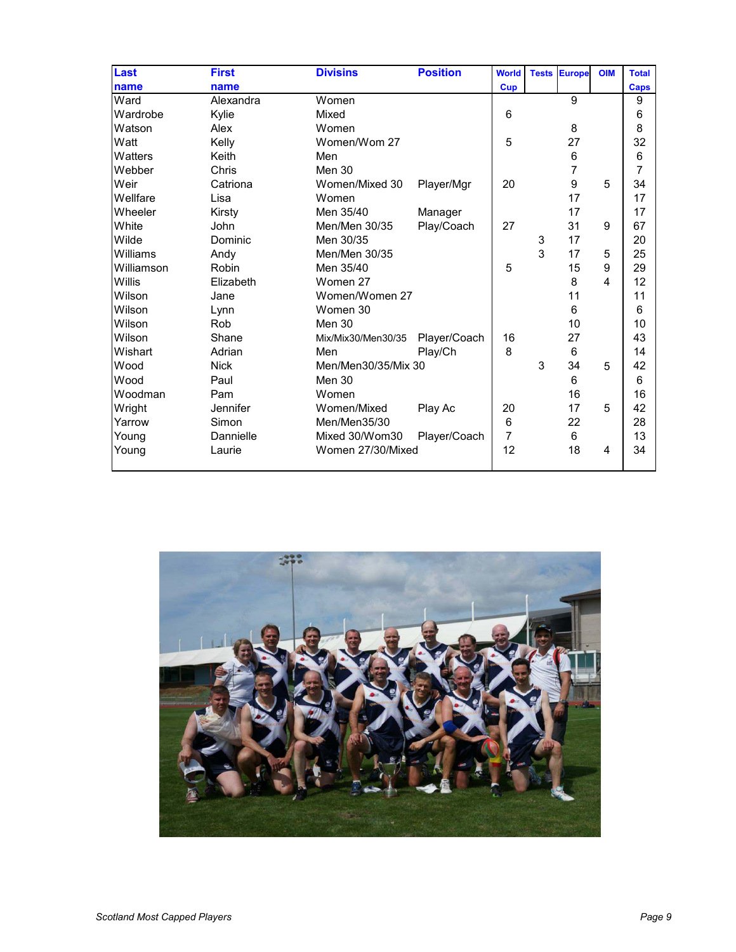| Last       | <b>First</b> | <b>Divisins</b>     | <b>Position</b> | <b>World</b> |   | <b>Tests Europe</b> | <b>OIM</b> | <b>Total</b> |
|------------|--------------|---------------------|-----------------|--------------|---|---------------------|------------|--------------|
| name       | name         |                     |                 | <b>Cup</b>   |   |                     |            | Caps         |
| Ward       | Alexandra    | Women               |                 |              |   | 9                   |            | 9            |
| Wardrobe   | Kylie        | Mixed               |                 | 6            |   |                     |            | 6            |
| Watson     | Alex         | Women               |                 |              |   | 8                   |            | 8            |
| Watt       | Kelly        | Women/Wom 27        |                 | 5            |   | 27                  |            | 32           |
| Watters    | Keith        | Men                 |                 |              |   | 6                   |            | 6            |
| Webber     | Chris        | Men 30              |                 |              |   | $\overline{7}$      |            | 7            |
| Weir       | Catriona     | Women/Mixed 30      | Player/Mgr      | 20           |   | 9                   | 5          | 34           |
| Wellfare   | Lisa         | Women               |                 |              |   | 17                  |            | 17           |
| Wheeler    | Kirsty       | Men 35/40           | Manager         |              |   | 17                  |            | 17           |
| White      | John         | Men/Men 30/35       | Play/Coach      | 27           |   | 31                  | 9          | 67           |
| Wilde      | Dominic      | Men 30/35           |                 |              | 3 | 17                  |            | 20           |
| Williams   | Andy         | Men/Men 30/35       |                 |              | 3 | 17                  | 5          | 25           |
| Williamson | Robin        | Men 35/40           |                 | 5            |   | 15                  | 9          | 29           |
| Willis     | Elizabeth    | Women 27            |                 |              |   | 8                   | 4          | 12           |
| Wilson     | Jane         | Women/Women 27      |                 |              |   | 11                  |            | 11           |
| Wilson     | Lynn         | Women 30            |                 |              |   | 6                   |            | 6            |
| Wilson     | Rob          | Men 30              |                 |              |   | 10                  |            | 10           |
| Wilson     | Shane        | Mix/Mix30/Men30/35  | Player/Coach    | 16           |   | 27                  |            | 43           |
| Wishart    | Adrian       | Men                 | Play/Ch         | 8            |   | 6                   |            | 14           |
| Wood       | <b>Nick</b>  | Men/Men30/35/Mix 30 |                 |              | 3 | 34                  | 5          | 42           |
| Wood       | Paul         | Men 30              |                 |              |   | 6                   |            | 6            |
| Woodman    | Pam          | Women               |                 |              |   | 16                  |            | 16           |
| Wright     | Jennifer     | Women/Mixed         | Play Ac         | 20           |   | 17                  | 5          | 42           |
| Yarrow     | Simon        | Men/Men35/30        |                 | $\,6$        |   | 22                  |            | 28           |
| Young      | Dannielle    | Mixed 30/Wom30      | Player/Coach    | 7            |   | 6                   |            | 13           |
| Young      | Laurie       | Women 27/30/Mixed   |                 | 12           |   | 18                  | 4          | 34           |
|            |              |                     |                 |              |   |                     |            |              |

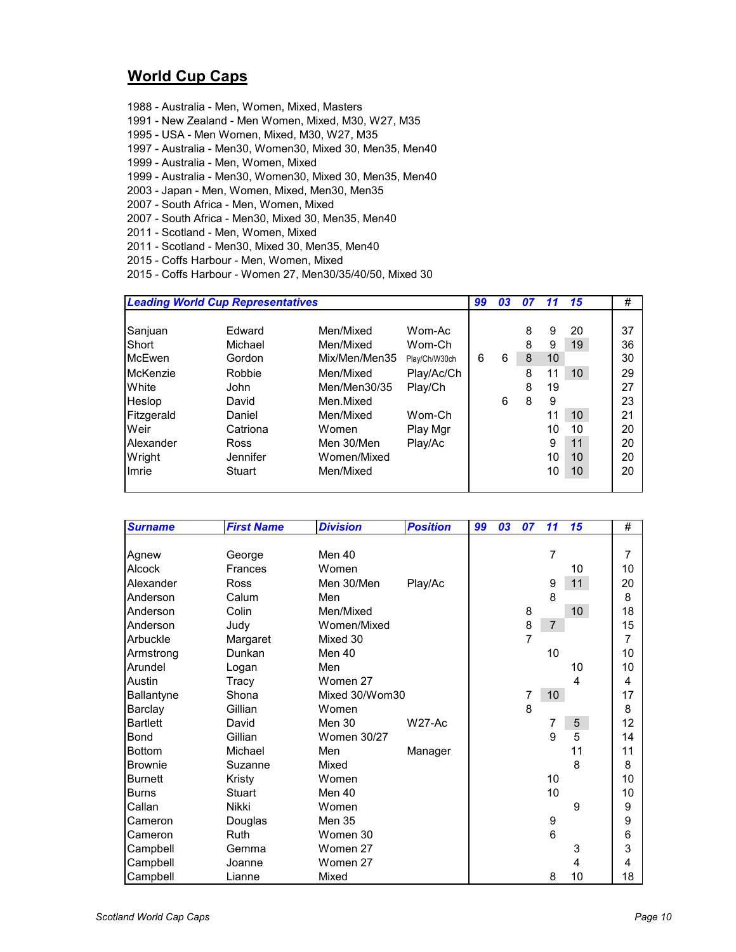#### **World Cup Caps**

- 1988 Australia Men, Women, Mixed, Masters
- 1991 New Zealand Men Women, Mixed, M30, W27, M35
- 1995 USA Men Women, Mixed, M30, W27, M35
- 1997 Australia Men30, Women30, Mixed 30, Men35, Men40
- 1999 Australia Men, Women, Mixed
- 1999 Australia Men30, Women30, Mixed 30, Men35, Men40
- 2003 Japan Men, Women, Mixed, Men30, Men35
- 2007 South Africa Men, Women, Mixed
- 2007 South Africa Men30, Mixed 30, Men35, Men40
- 2011 Scotland Men, Women, Mixed
- 2011 Scotland Men30, Mixed 30, Men35, Men40
- 2015 Coffs Harbour Men, Women, Mixed
- 2015 Coffs Harbour Women 27, Men30/35/40/50, Mixed 30

|                                                                                 | <b>Leading World Cup Representatives</b>                                     |                                                                                                         |                                                                                  |         | 03     | 07                         | 11                                        | 15                                      | #                                            |
|---------------------------------------------------------------------------------|------------------------------------------------------------------------------|---------------------------------------------------------------------------------------------------------|----------------------------------------------------------------------------------|---------|--------|----------------------------|-------------------------------------------|-----------------------------------------|----------------------------------------------|
| Sanjuan<br>Short<br>McEwen<br>McKenzie<br>White<br>Heslop<br>Fitzgerald<br>Weir | Edward<br>Michael<br>Gordon<br>Robbie<br>John<br>David<br>Daniel<br>Catriona | Men/Mixed<br>Men/Mixed<br>Mix/Men/Men35<br>Men/Mixed<br>Men/Men30/35<br>Men Mixed<br>Men/Mixed<br>Women | Wom-Ac<br>Wom-Ch<br>Play/Ch/W30ch<br>Play/Ac/Ch<br>Play/Ch<br>Wom-Ch<br>Play Mgr | 99<br>6 | 6<br>6 | 8<br>8<br>8<br>8<br>8<br>8 | 9<br>9<br>10<br>11<br>19<br>9<br>11<br>10 | 20<br>19<br>10<br>10 <sup>°</sup><br>10 | 37<br>36<br>30<br>29<br>27<br>23<br>21<br>20 |
| Alexander<br>Wright<br>Imrie                                                    | <b>Ross</b><br>Jennifer<br>Stuart                                            | Men 30/Men<br>Women/Mixed<br>Men/Mixed                                                                  | Play/Ac                                                                          |         |        |                            | 9<br>10<br>10                             | 11<br>10<br>10                          | 20<br>20<br>20                               |

| <b>Surname</b>  | <b>First Name</b> | <b>Division</b>    | <b>Position</b> | 99 | 03 | 07             | 11              | 15         | #              |
|-----------------|-------------------|--------------------|-----------------|----|----|----------------|-----------------|------------|----------------|
|                 |                   |                    |                 |    |    |                |                 |            |                |
| Agnew           | George            | Men 40             |                 |    |    |                | $\overline{7}$  |            | $\overline{7}$ |
| <b>Alcock</b>   | Frances           | Women              |                 |    |    |                |                 | 10         | 10             |
| Alexander       | <b>Ross</b>       | Men 30/Men         | Play/Ac         |    |    |                | 9               | 11         | 20             |
| Anderson        | Calum             | Men                |                 |    |    |                | 8               |            | 8              |
| Anderson        | Colin             | Men/Mixed          |                 |    |    | 8              |                 | 10         | 18             |
| Anderson        | Judy              | Women/Mixed        |                 |    |    | 8              | $\overline{7}$  |            | 15             |
| Arbuckle        | Margaret          | Mixed 30           |                 |    |    | $\overline{7}$ |                 |            | 7              |
| Armstrong       | Dunkan            | Men 40             |                 |    |    |                | 10              |            | 10             |
| Arundel         | Logan             | Men                |                 |    |    |                |                 | 10         | 10             |
| Austin          | Tracy             | Women 27           |                 |    |    |                |                 | 4          | 4              |
| Ballantyne      | Shona             | Mixed 30/Wom30     |                 |    |    | 7              | 10 <sup>°</sup> |            | 17             |
| Barclay         | Gillian           | Women              |                 |    |    | 8              |                 |            | 8              |
| <b>Bartlett</b> | David             | Men 30             | W27-Ac          |    |    |                | 7               | $\sqrt{5}$ | 12             |
| <b>Bond</b>     | Gillian           | <b>Women 30/27</b> |                 |    |    |                | 9               | 5          | 14             |
| <b>Bottom</b>   | Michael           | Men                | Manager         |    |    |                |                 | 11         | 11             |
| <b>Brownie</b>  | Suzanne           | Mixed              |                 |    |    |                |                 | 8          | 8              |
| <b>Burnett</b>  | Kristy            | Women              |                 |    |    |                | 10              |            | 10             |
| <b>Burns</b>    | <b>Stuart</b>     | Men 40             |                 |    |    |                | 10              |            | 10             |
| Callan          | Nikki             | Women              |                 |    |    |                |                 | 9          | 9              |
| Cameron         | Douglas           | Men 35             |                 |    |    |                | 9               |            | 9              |
| Cameron         | Ruth              | Women 30           |                 |    |    |                | 6               |            | 6              |
| Campbell        | Gemma             | Women 27           |                 |    |    |                |                 | 3          | 3              |
| Campbell        | Joanne            | Women 27           |                 |    |    |                |                 | 4          | 4              |
| Campbell        | Lianne            | Mixed              |                 |    |    |                | 8               | 10         | 18             |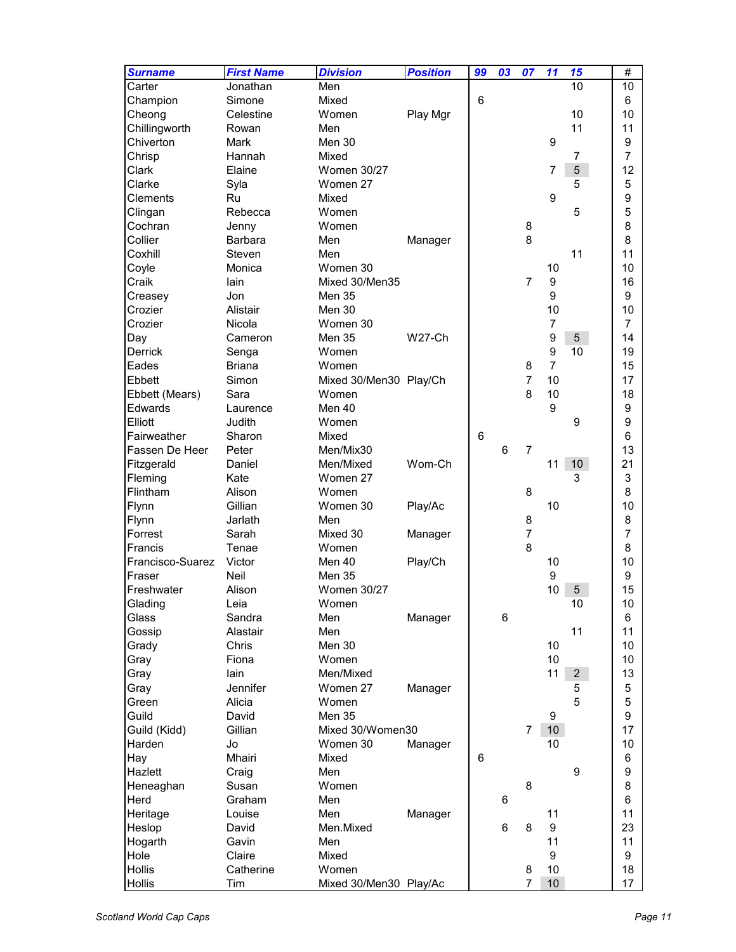| <b>Surname</b>   | <b>First Name</b> | <b>Division</b>        | <b>Position</b> | 99 | 03 | 07             | 11               | 15              | $\#$             |
|------------------|-------------------|------------------------|-----------------|----|----|----------------|------------------|-----------------|------------------|
| Carter           | Jonathan          | Men                    |                 |    |    |                |                  | 10              | 10               |
| Champion         | Simone            | Mixed                  |                 | 6  |    |                |                  |                 | 6                |
| Cheong           | Celestine         | Women                  | Play Mgr        |    |    |                |                  | 10              | 10               |
| Chillingworth    | Rowan             | Men                    |                 |    |    |                |                  | 11              | 11               |
| Chiverton        | Mark              | Men 30                 |                 |    |    |                | 9                |                 | $\boldsymbol{9}$ |
| Chrisp           | Hannah            | Mixed                  |                 |    |    |                |                  | $\overline{7}$  | $\overline{7}$   |
| Clark            | Elaine            | <b>Women 30/27</b>     |                 |    |    |                | $\overline{7}$   | 5               | 12               |
| Clarke           | Syla              | Women 27               |                 |    |    |                |                  | 5               | 5                |
| Clements         | Ru                | Mixed                  |                 |    |    |                | 9                |                 | 9                |
| Clingan          | Rebecca           | Women                  |                 |    |    |                |                  | 5               | 5                |
| Cochran          | Jenny             | Women                  |                 |    |    | 8              |                  |                 | 8                |
| Collier          | Barbara           | Men                    | Manager         |    |    | 8              |                  |                 | 8                |
| Coxhill          | Steven            | Men                    |                 |    |    |                |                  | 11              | 11               |
| Coyle            | Monica            | Women 30               |                 |    |    |                | 10               |                 | 10               |
| Craik            | lain              | Mixed 30/Men35         |                 |    |    | $\overline{7}$ | $\boldsymbol{9}$ |                 | 16               |
| Creasey          | Jon               | Men 35                 |                 |    |    |                | 9                |                 | 9                |
| Crozier          | Alistair          | Men 30                 |                 |    |    |                | 10               |                 | 10               |
| Crozier          | Nicola            | Women 30               |                 |    |    |                | $\overline{7}$   |                 | $\overline{7}$   |
| Day              | Cameron           | Men 35                 | <b>W27-Ch</b>   |    |    |                | $\boldsymbol{9}$ | $\overline{5}$  | 14               |
| Derrick          | Senga             | Women                  |                 |    |    |                | $\boldsymbol{9}$ | 10              | 19               |
| Eades            | <b>Briana</b>     | Women                  |                 |    |    | 8              | $\overline{7}$   |                 | 15               |
| Ebbett           | Simon             | Mixed 30/Men30 Play/Ch |                 |    |    | $\overline{7}$ | 10               |                 | 17               |
| Ebbett (Mears)   | Sara              | Women                  |                 |    |    | 8              | 10               |                 | 18               |
| Edwards          | Laurence          | Men 40                 |                 |    |    |                | 9                |                 | $\boldsymbol{9}$ |
| Elliott          | Judith            | Women                  |                 |    |    |                |                  | 9               | 9                |
| Fairweather      | Sharon            | Mixed                  |                 | 6  |    |                |                  |                 | 6                |
| Fassen De Heer   | Peter             | Men/Mix30              |                 |    | 6  | $\overline{7}$ |                  |                 | 13               |
| Fitzgerald       | Daniel            | Men/Mixed              | Wom-Ch          |    |    |                | 11               | 10 <sub>1</sub> | 21               |
| Fleming          | Kate              | Women 27               |                 |    |    |                |                  | 3               | 3                |
| Flintham         | Alison            | Women                  |                 |    |    | 8              |                  |                 | 8                |
| Flynn            | Gillian           | Women 30               | Play/Ac         |    |    |                | 10               |                 | 10               |
| Flynn            | Jarlath           | Men                    |                 |    |    | 8              |                  |                 | 8                |
| Forrest          | Sarah             | Mixed 30               | Manager         |    |    | $\overline{7}$ |                  |                 | $\overline{7}$   |
| Francis          | Tenae             | Women                  |                 |    |    | 8              |                  |                 | 8                |
| Francisco-Suarez | Victor            | Men 40                 | Play/Ch         |    |    |                | 10               |                 | 10               |
| Fraser           | Neil              | Men 35                 |                 |    |    |                | 9                |                 | 9                |
| Freshwater       | Alison            | <b>Women 30/27</b>     |                 |    |    |                | 10               | 5               | 15               |
| Glading          | Leia              | Women                  |                 |    |    |                |                  | 10              | 10               |
| Glass            | Sandra            | Men                    | Manager         |    | 6  |                |                  |                 | 6                |
| Gossip           | Alastair          | Men                    |                 |    |    |                |                  | 11              | 11               |
| Grady            | Chris             | Men 30                 |                 |    |    |                | 10               |                 | 10               |
| Gray             | Fiona             | Women                  |                 |    |    |                | 10               |                 | 10               |
| Gray             | lain              | Men/Mixed              |                 |    |    |                | 11               | 2 <sup>1</sup>  | 13               |
| Gray             | Jennifer          | Women 27               |                 |    |    |                |                  | 5               | 5                |
|                  |                   | Women                  | Manager         |    |    |                |                  | 5               | 5                |
| Green<br>Guild   | Alicia<br>David   | Men 35                 |                 |    |    |                |                  |                 |                  |
|                  | Gillian           | Mixed 30/Women30       |                 |    |    | $\overline{7}$ | 9                |                 | 9<br>17          |
| Guild (Kidd)     |                   |                        |                 |    |    |                | 10 <sup>°</sup>  |                 |                  |
| Harden           | Jo                | Women 30               | Manager         |    |    |                | 10               |                 | 10               |
| Hay              | Mhairi            | Mixed                  |                 | 6  |    |                |                  |                 | 6                |
| Hazlett          | Craig             | Men                    |                 |    |    |                |                  | 9               | 9                |
| Heneaghan        | Susan             | Women                  |                 |    |    | 8              |                  |                 | 8                |
| Herd             | Graham            | Men                    |                 |    | 6  |                |                  |                 | 6                |
| Heritage         | Louise            | Men                    | Manager         |    |    |                | 11               |                 | 11               |
| Heslop           | David             | Men.Mixed              |                 |    | 6  | 8              | 9                |                 | 23               |
| Hogarth          | Gavin             | Men                    |                 |    |    |                | 11               |                 | 11               |
| Hole             | Claire            | Mixed                  |                 |    |    |                | 9                |                 | 9                |
| Hollis           | Catherine         | Women                  |                 |    |    | 8              | 10               |                 | 18               |
| Hollis           | Tim               | Mixed 30/Men30 Play/Ac |                 |    |    | $\overline{7}$ | 10               |                 | 17               |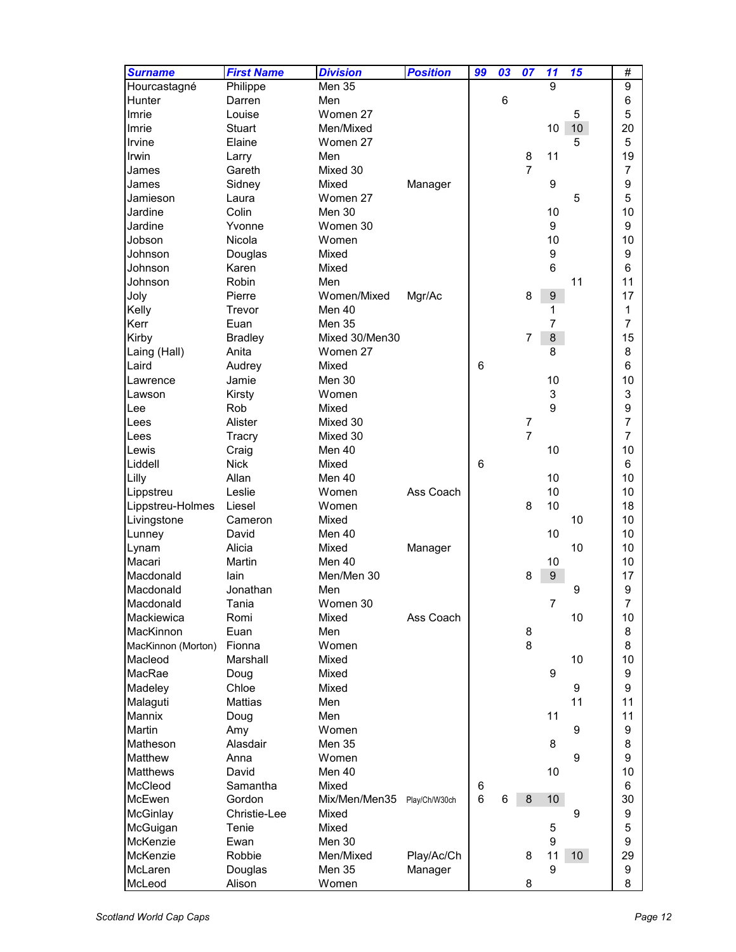| <b>Surname</b>     | <b>First Name</b> | <b>Division</b> | <b>Position</b> | 99 | 03 | 07             | 11               | 15               | #                |
|--------------------|-------------------|-----------------|-----------------|----|----|----------------|------------------|------------------|------------------|
| Hourcastagné       | Philippe          | Men 35          |                 |    |    |                | 9                |                  | 9                |
| Hunter             | Darren            | Men             |                 |    | 6  |                |                  |                  | 6                |
| Imrie              | Louise            | Women 27        |                 |    |    |                |                  | 5                | 5                |
| Imrie              | <b>Stuart</b>     | Men/Mixed       |                 |    |    |                | 10               | $10$             | 20               |
| Irvine             | Elaine            | Women 27        |                 |    |    |                |                  | 5                | 5                |
|                    |                   |                 |                 |    |    |                |                  |                  |                  |
| Irwin              | Larry             | Men             |                 |    |    | 8              | 11               |                  | 19               |
| James              | Gareth            | Mixed 30        |                 |    |    | $\overline{7}$ |                  |                  | $\overline{7}$   |
| James              | Sidney            | Mixed           | Manager         |    |    |                | 9                |                  | 9                |
| Jamieson           | Laura             | Women 27        |                 |    |    |                |                  | 5                | 5                |
| Jardine            | Colin             | Men 30          |                 |    |    |                | 10               |                  | 10               |
| Jardine            | Yvonne            | Women 30        |                 |    |    |                | 9                |                  | 9                |
| Jobson             | Nicola            | Women           |                 |    |    |                | 10               |                  | 10               |
| Johnson            | Douglas           | Mixed           |                 |    |    |                | 9                |                  | 9                |
| Johnson            | Karen             | Mixed           |                 |    |    |                | 6                |                  | 6                |
| Johnson            | Robin             | Men             |                 |    |    |                |                  | 11               | 11               |
| Joly               | Pierre            | Women/Mixed     | Mgr/Ac          |    |    | 8              | $\boldsymbol{9}$ |                  | 17               |
| Kelly              | Trevor            | Men 40          |                 |    |    |                | 1                |                  | 1                |
| Kerr               | Euan              | Men 35          |                 |    |    |                | 7                |                  | 7                |
| Kirby              | <b>Bradley</b>    | Mixed 30/Men30  |                 |    |    | $\overline{7}$ | $\,8\,$          |                  | 15               |
| Laing (Hall)       | Anita             | Women 27        |                 |    |    |                | 8                |                  | 8                |
| Laird              | Audrey            | Mixed           |                 | 6  |    |                |                  |                  | 6                |
| Lawrence           | Jamie             | Men 30          |                 |    |    |                | 10               |                  | 10               |
| Lawson             |                   | Women           |                 |    |    |                | 3                |                  | 3                |
|                    | Kirsty            |                 |                 |    |    |                | 9                |                  |                  |
| Lee                | Rob               | Mixed           |                 |    |    |                |                  |                  | 9                |
| Lees               | Alister           | Mixed 30        |                 |    |    | $\overline{7}$ |                  |                  | 7                |
| Lees               | Tracry            | Mixed 30        |                 |    |    | $\overline{7}$ |                  |                  | $\overline{7}$   |
| Lewis              | Craig             | Men 40          |                 |    |    |                | 10               |                  | 10               |
| Liddell            | <b>Nick</b>       | Mixed           |                 | 6  |    |                |                  |                  | 6                |
| Lilly              | Allan             | Men 40          |                 |    |    |                | 10               |                  | 10               |
| Lippstreu          | Leslie            | Women           | Ass Coach       |    |    |                | 10               |                  | 10               |
| Lippstreu-Holmes   | Liesel            | Women           |                 |    |    | 8              | 10               |                  | 18               |
| Livingstone        | Cameron           | Mixed           |                 |    |    |                |                  | 10               | 10               |
| Lunney             | David             | Men 40          |                 |    |    |                | 10               |                  | 10               |
| Lynam              | Alicia            | Mixed           | Manager         |    |    |                |                  | 10               | 10               |
| Macari             | Martin            | Men 40          |                 |    |    |                | 10               |                  | 10               |
| Macdonald          | lain              | Men/Men 30      |                 |    |    | 8              | 9                |                  | 17               |
| Macdonald          | Jonathan          | Men             |                 |    |    |                |                  | 9                | 9                |
| Macdonald          | Tania             | Women 30        |                 |    |    |                | 7                |                  | $\overline{7}$   |
| Mackiewica         | Romi              | Mixed           | Ass Coach       |    |    |                |                  | 10               | 10               |
| MacKinnon          | Euan              | Men             |                 |    |    | 8              |                  |                  | 8                |
| MacKinnon (Morton) | Fionna            | Women           |                 |    |    | 8              |                  |                  | 8                |
| Macleod            | Marshall          | Mixed           |                 |    |    |                |                  | 10               | 10               |
| MacRae             |                   | Mixed           |                 |    |    |                | 9                |                  | 9                |
|                    | Doug              |                 |                 |    |    |                |                  |                  |                  |
| Madeley            | Chloe             | Mixed           |                 |    |    |                |                  | 9                | 9                |
| Malaguti           | Mattias           | Men             |                 |    |    |                |                  | 11               | 11               |
| <b>Mannix</b>      | Doug              | Men             |                 |    |    |                | 11               |                  | 11               |
| Martin             | Amy               | Women           |                 |    |    |                |                  | 9                | 9                |
| Matheson           | Alasdair          | Men 35          |                 |    |    |                | 8                |                  | 8                |
| Matthew            | Anna              | Women           |                 |    |    |                |                  | 9                | 9                |
| <b>Matthews</b>    | David             | Men 40          |                 |    |    |                | 10               |                  | 10               |
| McCleod            | Samantha          | Mixed           |                 | 6  |    |                |                  |                  | 6                |
| McEwen             | Gordon            | Mix/Men/Men35   | Play/Ch/W30ch   | 6  | 6  | 8              | 10               |                  | 30               |
| McGinlay           | Christie-Lee      | Mixed           |                 |    |    |                |                  | $\boldsymbol{9}$ | $\boldsymbol{9}$ |
| McGuigan           | Tenie             | Mixed           |                 |    |    |                | 5                |                  | 5                |
| McKenzie           | Ewan              | Men 30          |                 |    |    |                | 9                |                  | $\boldsymbol{9}$ |
| McKenzie           | Robbie            | Men/Mixed       | Play/Ac/Ch      |    |    | 8              | 11               | 10 <sup>°</sup>  | 29               |
| McLaren            | Douglas           | Men 35          | Manager         |    |    |                | 9                |                  | $\boldsymbol{9}$ |
| McLeod             | Alison            | Women           |                 |    |    | 8              |                  |                  | 8                |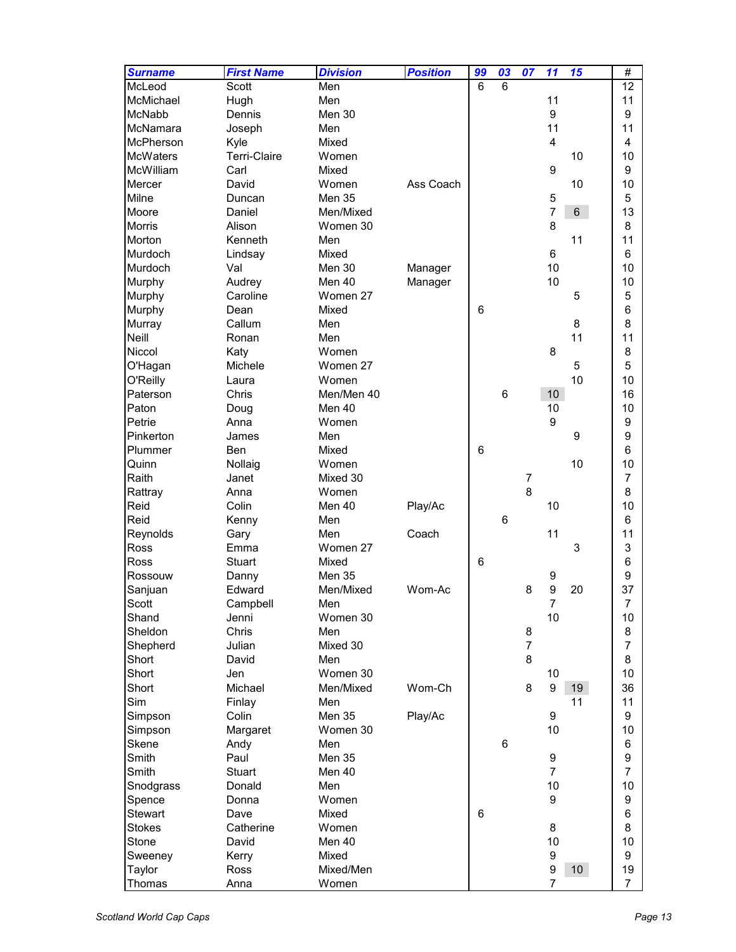| <b>Surname</b>   | <b>First Name</b>   | <b>Division</b> | <b>Position</b> | 99 | 03 | 07                  | 11               | 15              | #                   |
|------------------|---------------------|-----------------|-----------------|----|----|---------------------|------------------|-----------------|---------------------|
| McLeod           | Scott               | Men             |                 | 6  | 6  |                     |                  |                 | 12                  |
| McMichael        | Hugh                | Men             |                 |    |    |                     | 11               |                 | 11                  |
| McNabb           | Dennis              | Men 30          |                 |    |    |                     | 9                |                 | 9                   |
| McNamara         | Joseph              | Men             |                 |    |    |                     | 11               |                 | 11                  |
| <b>McPherson</b> | Kyle                | Mixed           |                 |    |    |                     | $\overline{4}$   |                 | 4                   |
| <b>McWaters</b>  | <b>Terri-Claire</b> | Women           |                 |    |    |                     |                  | 10              | 10                  |
| McWilliam        | Carl                | Mixed           |                 |    |    |                     | 9                |                 | 9                   |
| Mercer           | David               | Women           | Ass Coach       |    |    |                     |                  | 10              | 10                  |
| Milne            | Duncan              | <b>Men 35</b>   |                 |    |    |                     | $\mathbf 5$      |                 | $\mathbf 5$         |
| Moore            | Daniel              | Men/Mixed       |                 |    |    |                     | $\overline{7}$   | $6\overline{6}$ | 13                  |
| <b>Morris</b>    | Alison              | Women 30        |                 |    |    |                     | 8                |                 | 8                   |
| Morton           | Kenneth             | Men             |                 |    |    |                     |                  | 11              | 11                  |
| <b>Murdoch</b>   | Lindsay             | Mixed           |                 |    |    |                     | 6                |                 | 6                   |
| <b>Murdoch</b>   | Val                 | Men 30          | Manager         |    |    |                     | 10               |                 | 10                  |
| Murphy           | Audrey              | Men 40          | Manager         |    |    |                     | 10               |                 | 10                  |
| Murphy           | Caroline            | Women 27        |                 |    |    |                     |                  | 5               | $\mathbf 5$         |
| Murphy           | Dean                | Mixed           |                 | 6  |    |                     |                  |                 | 6                   |
| Murray           | Callum              | Men             |                 |    |    |                     |                  | 8               | 8                   |
| Neill            | Ronan               | Men             |                 |    |    |                     |                  | 11              | 11                  |
| Niccol           | Katy                | Women           |                 |    |    |                     | 8                |                 | 8                   |
| O'Hagan          | Michele             | Women 27        |                 |    |    |                     |                  | 5               | 5                   |
| O'Reilly         | Laura               | Women           |                 |    |    |                     |                  | 10              | 10                  |
| Paterson         | Chris               | Men/Men 40      |                 |    | 6  |                     | 10               |                 | 16                  |
| Paton            | Doug                | Men 40          |                 |    |    |                     | 10               |                 | 10                  |
| Petrie           | Anna                | Women           |                 |    |    |                     | 9                |                 | 9                   |
| Pinkerton        | James               | Men             |                 |    |    |                     |                  | 9               | 9                   |
| Plummer          | Ben                 | Mixed           |                 | 6  |    |                     |                  |                 | 6                   |
| Quinn            | Nollaig             | Women           |                 |    |    |                     |                  | 10              | 10                  |
| Raith            | Janet               | Mixed 30        |                 |    |    | 7                   |                  |                 | $\overline{7}$      |
| Rattray          | Anna                | Women           |                 |    |    | 8                   |                  |                 | 8                   |
| Reid             | Colin               | Men 40          | Play/Ac         |    |    |                     | 10               |                 | 10                  |
| Reid             | Kenny               | Men             |                 |    | 6  |                     |                  |                 | 6                   |
| Reynolds         | Gary                | Men             | Coach           |    |    |                     | 11               |                 | 11                  |
| <b>Ross</b>      | Emma                | Women 27        |                 |    |    |                     |                  | 3               | 3                   |
| <b>Ross</b>      | Stuart              | Mixed           |                 | 6  |    |                     |                  |                 | 6                   |
| Rossouw          | Danny               | Men 35          |                 |    |    |                     | 9                |                 | 9                   |
| Sanjuan          | Edward              | Men/Mixed       | Wom-Ac          |    |    | 8                   | $\boldsymbol{9}$ | 20              | 37                  |
|                  | Campbell            | Men             |                 |    |    |                     | 7                |                 | $\overline{7}$      |
| Scott            |                     |                 |                 |    |    |                     |                  |                 |                     |
| Shand<br>Sheldon | Jenni<br>Chris      | Women 30        |                 |    |    |                     | 10               |                 | 10                  |
|                  | Julian              | Men             |                 |    |    | 8<br>$\overline{7}$ |                  |                 | 8<br>$\overline{7}$ |
| Shepherd         |                     | Mixed 30        |                 |    |    | 8                   |                  |                 | 8                   |
| Short            | David               | Men             |                 |    |    |                     |                  |                 | 10                  |
| Short            | Jen                 | Women 30        | Wom-Ch          |    |    | 8                   | 10<br>9          |                 |                     |
| Short            | Michael             | Men/Mixed       |                 |    |    |                     |                  | 19              | 36                  |
| Sim              | Finlay              | Men             |                 |    |    |                     |                  | 11              | 11                  |
| Simpson          | Colin               | <b>Men 35</b>   | Play/Ac         |    |    |                     | 9                |                 | 9                   |
| Simpson          | Margaret            | Women 30        |                 |    |    |                     | 10               |                 | 10                  |
| Skene            | Andy                | Men             |                 |    | 6  |                     |                  |                 | 6                   |
| Smith            | Paul                | <b>Men 35</b>   |                 |    |    |                     | 9                |                 | 9                   |
| Smith            | Stuart              | Men 40          |                 |    |    |                     | $\overline{7}$   |                 | $\overline{7}$      |
| Snodgrass        | Donald              | Men             |                 |    |    |                     | 10               |                 | 10                  |
| Spence           | Donna               | Women           |                 |    |    |                     | 9                |                 | $\boldsymbol{9}$    |
| Stewart          | Dave                | Mixed           |                 | 6  |    |                     |                  |                 | 6                   |
| <b>Stokes</b>    | Catherine           | Women           |                 |    |    |                     | 8                |                 | 8                   |
| Stone            | David               | Men 40          |                 |    |    |                     | 10               |                 | 10                  |
| Sweeney          | Kerry               | Mixed           |                 |    |    |                     | 9                |                 | 9                   |
| Taylor           | Ross                | Mixed/Men       |                 |    |    |                     | $\boldsymbol{9}$ | 10 <sub>1</sub> | 19                  |
| Thomas           | Anna                | Women           |                 |    |    |                     | $\overline{7}$   |                 | $\overline{7}$      |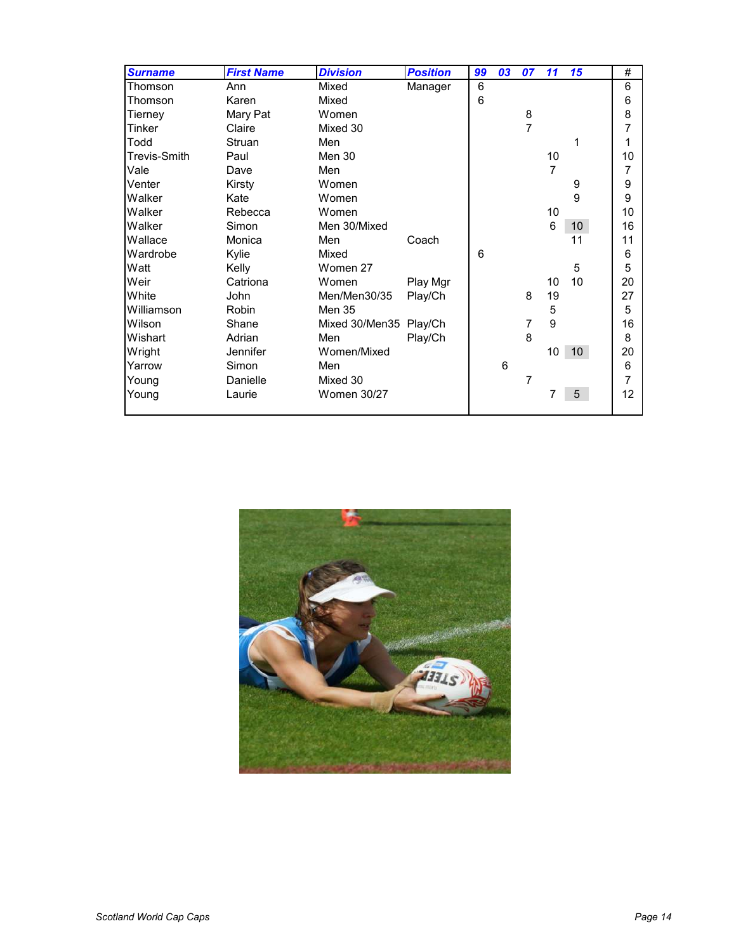| <b>Surname</b> | <b>First Name</b> | <b>Division</b>        | <b>Position</b> | 99 | 03 | 07 | 11              | 15              | $\#$ |
|----------------|-------------------|------------------------|-----------------|----|----|----|-----------------|-----------------|------|
| Thomson        | Ann               | Mixed                  | Manager         | 6  |    |    |                 |                 | 6    |
| Thomson        | Karen             | Mixed                  |                 | 6  |    |    |                 |                 | 6    |
| Tierney        | Mary Pat          | Women                  |                 |    |    | 8  |                 |                 | 8    |
| Tinker         | Claire            | Mixed 30               |                 |    |    | 7  |                 |                 |      |
| Todd           | Struan            | Men                    |                 |    |    |    |                 | 1               |      |
| Trevis-Smith   | Paul              | Men 30                 |                 |    |    |    | 10              |                 | 10   |
| Vale           | Dave              | Men                    |                 |    |    |    | $\overline{7}$  |                 | 7    |
| Venter         | Kirsty            | Women                  |                 |    |    |    |                 | 9               | 9    |
| Walker         | Kate              | Women                  |                 |    |    |    |                 | 9               | 9    |
| Walker         | Rebecca           | Women                  |                 |    |    |    | 10              |                 | 10   |
| Walker         | Simon             | Men 30/Mixed           |                 |    |    |    | 6               | 10 <sup>°</sup> | 16   |
| Wallace        | Monica            | Men                    | Coach           |    |    |    |                 | 11              | 11   |
| Wardrobe       | Kylie             | Mixed                  |                 | 6  |    |    |                 |                 | 6    |
| Watt           | Kelly             | Women 27               |                 |    |    |    |                 | 5               | 5    |
| Weir           | Catriona          | Women                  | Play Mgr        |    |    |    | 10              | 10              | 20   |
| White          | John              | Men/Men30/35           | Play/Ch         |    |    | 8  | 19              |                 | 27   |
| Williamson     | Robin             | Men 35                 |                 |    |    |    | 5               |                 | 5    |
| Wilson         | Shane             | Mixed 30/Men35 Play/Ch |                 |    |    | 7  | 9               |                 | 16   |
| Wishart        | Adrian            | Men                    | Play/Ch         |    |    | 8  |                 |                 | 8    |
| Wright         | Jennifer          | Women/Mixed            |                 |    |    |    | 10 <sup>1</sup> | 10 <sup>°</sup> | 20   |
| Yarrow         | Simon             | Men                    |                 |    | 6  |    |                 |                 | 6    |
| Young          | Danielle          | Mixed 30               |                 |    |    | 7  |                 |                 | 7    |
| Young          | Laurie            | <b>Women 30/27</b>     |                 |    |    |    | 7               | 5               | 12   |
|                |                   |                        |                 |    |    |    |                 |                 |      |

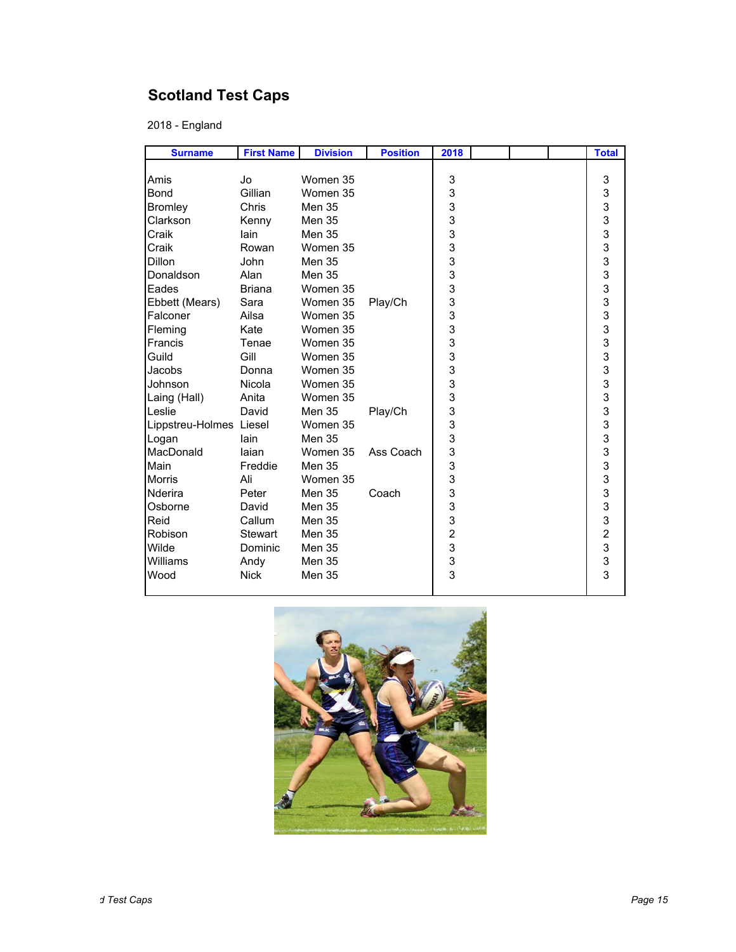# **Scotland Test Caps**

2018 - England

| <b>Surname</b>          | <b>First Name</b> | <b>Division</b> | <b>Position</b> | 2018          |  | <b>Total</b>      |
|-------------------------|-------------------|-----------------|-----------------|---------------|--|-------------------|
|                         |                   |                 |                 |               |  |                   |
| Amis                    | Jo                | Women 35        |                 | 3             |  | 3                 |
| <b>Bond</b>             | Gillian           | Women 35        |                 | 3             |  |                   |
| <b>Bromley</b>          | Chris             | <b>Men 35</b>   |                 | 3             |  | 3333333333        |
| Clarkson                | Kenny             | Men 35          |                 | $\frac{3}{3}$ |  |                   |
| Craik                   | lain              | <b>Men 35</b>   |                 |               |  |                   |
| Craik                   | Rowan             | Women 35        |                 | 3             |  |                   |
| Dillon                  | John              | <b>Men 35</b>   |                 | 3             |  |                   |
| Donaldson               | Alan              | <b>Men 35</b>   |                 | 3             |  |                   |
| Eades                   | <b>Briana</b>     | Women 35        |                 | 3             |  |                   |
| Ebbett (Mears)          | Sara              | Women 35        | Play/Ch         | 3             |  |                   |
| Falconer                | Ailsa             | Women 35        |                 | 3<br>3        |  |                   |
| Fleming                 | Kate              | Women 35        |                 |               |  |                   |
| Francis                 | Tenae             | Women 35        |                 | 3             |  |                   |
| Guild                   | Gill              | Women 35        |                 | 3             |  |                   |
| Jacobs                  | Donna             | Women 35        |                 | $\frac{3}{3}$ |  |                   |
| Johnson                 | Nicola            | Women 35        |                 |               |  |                   |
| Laing (Hall)            | Anita             | Women 35        |                 | 3             |  |                   |
| Leslie                  | David             | Men 35          | Play/Ch         | 3             |  |                   |
| Lippstreu-Holmes Liesel |                   | Women 35        |                 | 3             |  |                   |
| Logan                   | lain              | <b>Men 35</b>   |                 | 3             |  |                   |
| MacDonald               | laian             | Women 35        | Ass Coach       | 3             |  |                   |
| Main                    | Freddie           | Men 35          |                 | 3             |  |                   |
| <b>Morris</b>           | Ali               | Women 35        |                 | 3             |  |                   |
| Nderira                 | Peter             | <b>Men 35</b>   | Coach           | 3             |  |                   |
| Osborne                 | David             | <b>Men 35</b>   |                 | 3             |  |                   |
| Reid                    | Callum            | <b>Men 35</b>   |                 | $\frac{3}{2}$ |  |                   |
| Robison                 | <b>Stewart</b>    | Men 35          |                 |               |  |                   |
| Wilde                   | Dominic           | Men 35          |                 | 3             |  | $333233$<br>$333$ |
| Williams                | Andy              | Men 35          |                 | $\frac{3}{3}$ |  |                   |
| Wood                    | <b>Nick</b>       | Men 35          |                 |               |  |                   |
|                         |                   |                 |                 |               |  |                   |

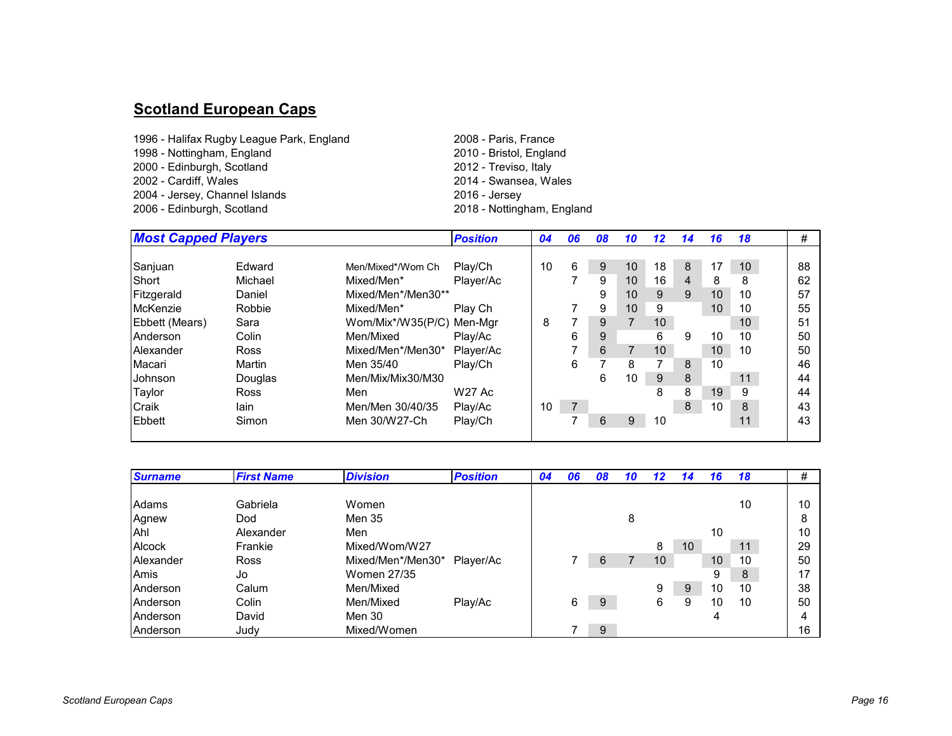#### **Scotland European Caps**

- 1996 Halifax Rugby League Park, England 2008 Paris, France 1998 - Nottingham, England2000 - Edinburgh, Scotland2002 - Cardiff, Wales2004 - Jersey, Channel Islands 2006 - Edinburgh, Scotland
	- 2010 Bristol, England 2012 - Treviso, Italy 2014 - Swansea, Wales 2018 - Nottingham, England

| <b>Most Capped Players</b> |             |                    | <b>Position</b> | 04 | 06 | 08 | 10 | 12 | 14             | 16 | 18              | #  |
|----------------------------|-------------|--------------------|-----------------|----|----|----|----|----|----------------|----|-----------------|----|
|                            |             |                    |                 |    |    |    |    |    |                |    |                 |    |
| Sanjuan                    | Edward      | Men/Mixed*/Wom Ch  | Play/Ch         | 10 | 6  | 9  | 10 | 18 | 8              | 17 | 10 <sup>°</sup> | 88 |
| Short                      | Michael     | Mixed/Men*         | Player/Ac       |    |    | 9  | 10 | 16 | $\overline{4}$ | 8  | 8               | 62 |
| Fitzgerald                 | Daniel      | Mixed/Men*/Men30** |                 |    |    | 9  | 10 | 9  | 9              | 10 | 10              | 57 |
| McKenzie                   | Robbie      | Mixed/Men*         | Play Ch         |    |    | 9  | 10 | 9  |                | 10 | 10              | 55 |
| Ebbett (Mears)             | Sara        | Wom/Mix*/W35(P/C)  | Men-Mar         | 8  |    | 9  |    | 10 |                |    | 10              | 51 |
| Anderson                   | Colin       | Men/Mixed          | Plav/Ac         |    | 6  | 9  |    | 6  | 9              | 10 | 10              | 50 |
| Alexander                  | <b>Ross</b> | Mixed/Men*/Men30*  | Player/Ac       |    |    | 6  |    | 10 |                | 10 | 10              | 50 |
| Macari                     | Martin      | Men 35/40          | Play/Ch         |    | 6  |    | 8  |    | 8              | 10 |                 | 46 |
| Johnson                    | Douglas     | Men/Mix/Mix30/M30  |                 |    |    | 6  | 10 | 9  | 8              |    | 11              | 44 |
| Taylor                     | <b>Ross</b> | Men                | <b>W27 Ac</b>   |    |    |    |    | 8  | 8              | 19 | 9               | 44 |
| Craik                      | lain        | Men/Men 30/40/35   | Play/Ac         | 10 |    |    |    |    | 8              | 10 | 8               | 43 |
| Ebbett                     | Simon       | Men 30/W27-Ch      | Play/Ch         |    |    | 6  | 9  | 10 |                |    | 11              | 43 |
|                            |             |                    |                 |    |    |    |    |    |                |    |                 |    |

| <b>Surname</b>  | <b>First Name</b> | <b>Division</b>   | <b>Position</b> | 04 | 06 | 08 | 10 | 12 | 14 | 16 | 18 | #  |
|-----------------|-------------------|-------------------|-----------------|----|----|----|----|----|----|----|----|----|
|                 |                   |                   |                 |    |    |    |    |    |    |    |    |    |
| Adams           | Gabriela          | Women             |                 |    |    |    |    |    |    |    | 10 | 10 |
| Agnew           | Dod               | Men 35            |                 |    |    |    | 8  |    |    |    |    |    |
| Ahl             | Alexander         | Men               |                 |    |    |    |    |    |    | 10 |    | 10 |
| Alcock          | Frankie           | Mixed/Wom/W27     |                 |    |    |    |    | 8  | 10 |    | 11 | 29 |
| Alexander       | Ross              | Mixed/Men*/Men30* | Player/Ac       |    |    | 6  |    | 10 |    | 10 | 10 | 50 |
| Amis            | Jo                | Women 27/35       |                 |    |    |    |    |    |    | 9  | 8  | 17 |
| Anderson        | Calum             | Men/Mixed         |                 |    |    |    |    | 9  | 9  | 10 | 10 | 38 |
| Anderson        | Colin             | Men/Mixed         | Play/Ac         |    | 6  | 9  |    | 6  | 9  | 10 | 10 | 50 |
| <b>Anderson</b> | David             | Men 30            |                 |    |    |    |    |    |    | 4  |    |    |
| Anderson        | Judy              | Mixed/Women       |                 |    |    | 9  |    |    |    |    |    | 16 |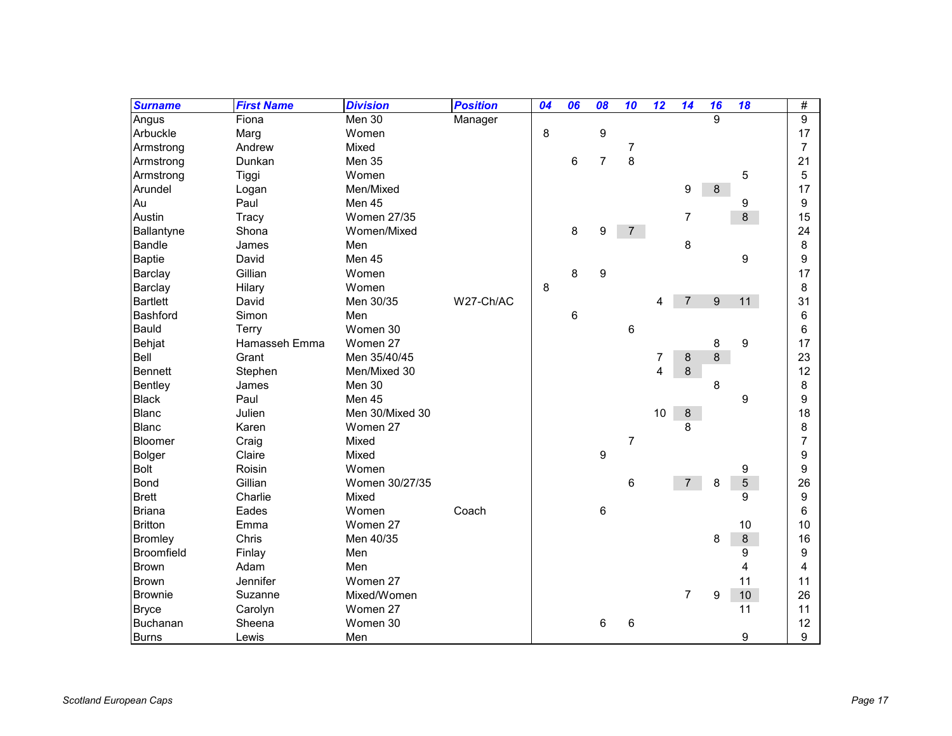| <b>Surname</b>    | <b>First Name</b> | <b>Division</b>    | <b>Position</b> | 04 | 06 | 08               | 10             | 12 | 14             | 16      | 18             | #              |
|-------------------|-------------------|--------------------|-----------------|----|----|------------------|----------------|----|----------------|---------|----------------|----------------|
| Angus             | Fiona             | Men 30             | Manager         |    |    |                  |                |    |                | 9       |                | 9              |
| Arbuckle          | Marg              | Women              |                 | 8  |    | 9                |                |    |                |         |                | 17             |
| Armstrong         | Andrew            | Mixed              |                 |    |    |                  | $\overline{7}$ |    |                |         |                | $\overline{7}$ |
| Armstrong         | Dunkan            | Men 35             |                 |    | 6  | $\overline{7}$   | 8              |    |                |         |                | 21             |
| Armstrong         | Tiggi             | Women              |                 |    |    |                  |                |    |                |         | 5              | 5              |
| Arundel           | Logan             | Men/Mixed          |                 |    |    |                  |                |    | 9              | $\bf 8$ |                | 17             |
| Au                | Paul              | Men 45             |                 |    |    |                  |                |    |                |         | 9              | 9              |
| Austin            | Tracy             | <b>Women 27/35</b> |                 |    |    |                  |                |    | $\overline{7}$ |         | 8              | 15             |
| Ballantyne        | Shona             | Women/Mixed        |                 |    | 8  | 9                | $\overline{7}$ |    |                |         |                | 24             |
| <b>Bandle</b>     | James             | Men                |                 |    |    |                  |                |    | 8              |         |                | 8              |
| <b>Baptie</b>     | David             | Men 45             |                 |    |    |                  |                |    |                |         | 9              | 9              |
| Barclay           | Gillian           | Women              |                 |    | 8  | 9                |                |    |                |         |                | 17             |
| Barclay           | Hilary            | Women              |                 | 8  |    |                  |                |    |                |         |                | 8              |
| <b>Bartlett</b>   | David             | Men 30/35          | W27-Ch/AC       |    |    |                  |                | 4  | $\overline{7}$ | 9       | 11             | 31             |
| Bashford          | Simon             | Men                |                 |    | 6  |                  |                |    |                |         |                | 6              |
| Bauld             | Terry             | Women 30           |                 |    |    |                  | 6              |    |                |         |                | 6              |
| Behjat            | Hamasseh Emma     | Women 27           |                 |    |    |                  |                |    |                | 8       | 9              | 17             |
| Bell              | Grant             | Men 35/40/45       |                 |    |    |                  |                | 7  | 8              | 8       |                | 23             |
| Bennett           | Stephen           | Men/Mixed 30       |                 |    |    |                  |                | 4  | 8              |         |                | 12             |
| Bentley           | James             | Men 30             |                 |    |    |                  |                |    |                | 8       |                | 8              |
| <b>Black</b>      | Paul              | Men 45             |                 |    |    |                  |                |    |                |         | 9              | 9              |
| Blanc             | Julien            | Men 30/Mixed 30    |                 |    |    |                  |                | 10 | $\bf 8$        |         |                | 18             |
| <b>Blanc</b>      | Karen             | Women 27           |                 |    |    |                  |                |    | 8              |         |                | 8              |
| Bloomer           | Craig             | Mixed              |                 |    |    |                  | $\overline{7}$ |    |                |         |                | 7              |
| Bolger            | Claire            | Mixed              |                 |    |    | $\boldsymbol{9}$ |                |    |                |         |                | 9              |
| <b>Bolt</b>       | Roisin            | Women              |                 |    |    |                  |                |    |                |         | 9              | 9              |
| <b>Bond</b>       | Gillian           | Women 30/27/35     |                 |    |    |                  | 6              |    | $\overline{7}$ | 8       | $\overline{5}$ | 26             |
| <b>Brett</b>      | Charlie           | Mixed              |                 |    |    |                  |                |    |                |         | 9              | 9              |
| <b>Briana</b>     | Eades             | Women              | Coach           |    |    | $\,6$            |                |    |                |         |                | 6              |
| <b>Britton</b>    | Emma              | Women 27           |                 |    |    |                  |                |    |                |         | 10             | 10             |
| <b>Bromley</b>    | Chris             | Men 40/35          |                 |    |    |                  |                |    |                | 8       | $\bf 8$        | 16             |
| <b>Broomfield</b> | Finlay            | Men                |                 |    |    |                  |                |    |                |         | 9              | 9              |
| <b>Brown</b>      | Adam              | Men                |                 |    |    |                  |                |    |                |         | 4              | 4              |
| <b>Brown</b>      | Jennifer          | Women 27           |                 |    |    |                  |                |    |                |         | 11             | 11             |
| <b>Brownie</b>    | Suzanne           | Mixed/Women        |                 |    |    |                  |                |    | $\overline{7}$ | 9       | 10             | 26             |
| <b>Bryce</b>      | Carolyn           | Women 27           |                 |    |    |                  |                |    |                |         | 11             | 11             |
| Buchanan          | Sheena            | Women 30           |                 |    |    | 6                | 6              |    |                |         |                | 12             |
| <b>Burns</b>      | Lewis             | Men                |                 |    |    |                  |                |    |                |         | 9              | 9              |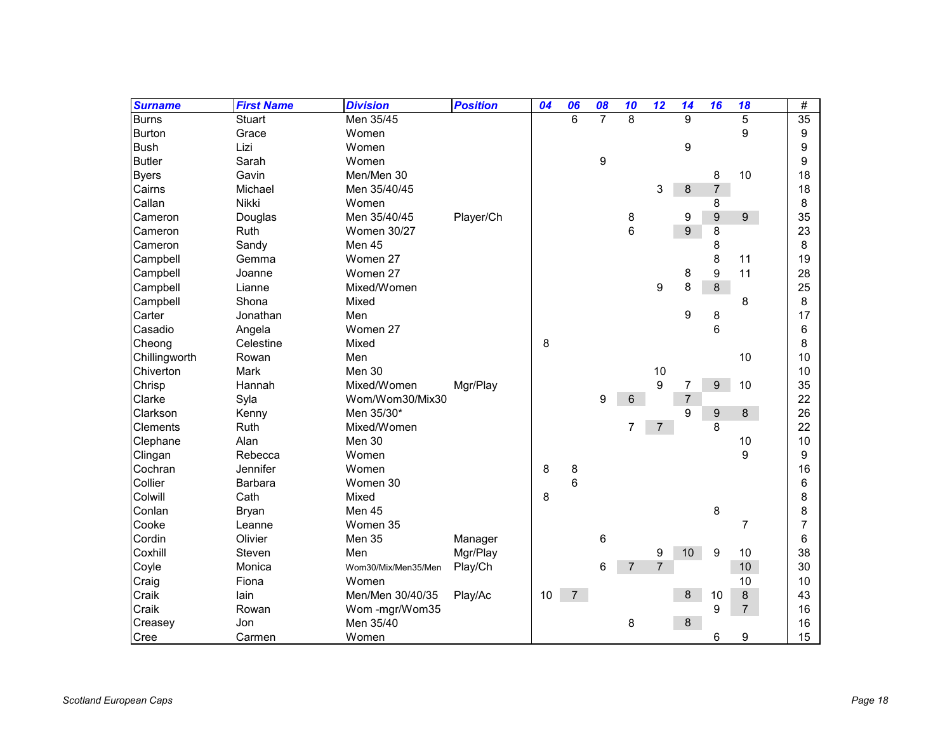| <b>Surname</b> | <b>First Name</b> | <b>Division</b>     | <b>Position</b> | 04   | 06             | 08             | 10             | 12             | 14             | 16               | 18             | #  |
|----------------|-------------------|---------------------|-----------------|------|----------------|----------------|----------------|----------------|----------------|------------------|----------------|----|
| <b>Burns</b>   | Stuart            | Men 35/45           |                 |      | 6              | $\overline{7}$ | 8              |                | 9              |                  | 5              | 35 |
| <b>Burton</b>  | Grace             | Women               |                 |      |                |                |                |                |                |                  | 9              | 9  |
| <b>Bush</b>    | Lizi              | Women               |                 |      |                |                |                |                | 9              |                  |                | 9  |
| <b>Butler</b>  | Sarah             | Women               |                 |      |                | 9              |                |                |                |                  |                | 9  |
| <b>Byers</b>   | Gavin             | Men/Men 30          |                 |      |                |                |                |                |                | 8                | 10             | 18 |
| Cairns         | Michael           | Men 35/40/45        |                 |      |                |                |                | 3              | 8              | $\overline{7}$   |                | 18 |
| Callan         | Nikki             | Women               |                 |      |                |                |                |                |                | 8                |                | 8  |
| Cameron        | Douglas           | Men 35/40/45        | Player/Ch       |      |                |                | 8              |                | 9              | $\boldsymbol{9}$ | 9 <sup>°</sup> | 35 |
| Cameron        | Ruth              | <b>Women 30/27</b>  |                 |      |                |                | $6\phantom{1}$ |                | 9              | 8                |                | 23 |
| Cameron        | Sandy             | Men 45              |                 |      |                |                |                |                |                | 8                |                | 8  |
| Campbell       | Gemma             | Women 27            |                 |      |                |                |                |                |                | 8                | 11             | 19 |
| Campbell       | Joanne            | Women 27            |                 |      |                |                |                |                | 8              | 9                | 11             | 28 |
| Campbell       | Lianne            | Mixed/Women         |                 |      |                |                |                | 9              | 8              | 8                |                | 25 |
| Campbell       | Shona             | Mixed               |                 |      |                |                |                |                |                |                  | 8              | 8  |
| Carter         | Jonathan          | Men                 |                 |      |                |                |                |                | 9              | 8                |                | 17 |
| Casadio        | Angela            | Women 27            |                 |      |                |                |                |                |                | 6                |                | 6  |
| Cheong         | Celestine         | Mixed               |                 | 8    |                |                |                |                |                |                  |                | 8  |
| Chillingworth  | Rowan             | Men                 |                 |      |                |                |                |                |                |                  | 10             | 10 |
| Chiverton      | Mark              | Men 30              |                 |      |                |                |                | 10             |                |                  |                | 10 |
| Chrisp         | Hannah            | Mixed/Women         | Mgr/Play        |      |                |                |                | 9              | $\overline{7}$ | 9                | 10             | 35 |
| Clarke         | Syla              | Wom/Wom30/Mix30     |                 |      |                | 9              | 6              |                | $\sqrt{7}$     |                  |                | 22 |
| Clarkson       | Kenny             | Men 35/30*          |                 |      |                |                |                |                | 9              | $\boldsymbol{9}$ | $\,8\,$        | 26 |
| Clements       | Ruth              | Mixed/Women         |                 |      |                |                | 7              | $\overline{7}$ |                | 8                |                | 22 |
| Clephane       | Alan              | Men 30              |                 |      |                |                |                |                |                |                  | 10             | 10 |
| Clingan        | Rebecca           | Women               |                 |      |                |                |                |                |                |                  | 9              | 9  |
| Cochran        | Jennifer          | Women               |                 | 8    | 8              |                |                |                |                |                  |                | 16 |
| Collier        | Barbara           | Women 30            |                 |      | 6              |                |                |                |                |                  |                | 6  |
| Colwill        | Cath              | Mixed               |                 | 8    |                |                |                |                |                |                  |                | 8  |
| Conlan         | Bryan             | Men 45              |                 |      |                |                |                |                |                | 8                |                | 8  |
| Cooke          | Leanne            | Women 35            |                 |      |                |                |                |                |                |                  | $\overline{7}$ | 7  |
| Cordin         | Olivier           | Men 35              | Manager         |      |                | 6              |                |                |                |                  |                | 6  |
| Coxhill        | Steven            | Men                 | Mgr/Play        |      |                |                |                | 9              | 10             | 9                | 10             | 38 |
| Coyle          | Monica            | Wom30/Mix/Men35/Men | Play/Ch         |      |                | 6              | $\overline{7}$ | $\overline{7}$ |                |                  | 10             | 30 |
| Craig          | Fiona             | Women               |                 |      |                |                |                |                |                |                  | 10             | 10 |
| Craik          | lain              | Men/Men 30/40/35    | Play/Ac         | $10$ | $\overline{7}$ |                |                |                | $\bf 8$        | 10               | $\bf 8$        | 43 |
| Craik          | Rowan             | Wom-mgr/Wom35       |                 |      |                |                |                |                |                | 9                | $\overline{7}$ | 16 |
| Creasey        | Jon               | Men 35/40           |                 |      |                |                | 8              |                | 8              |                  |                | 16 |
| Cree           | Carmen            | Women               |                 |      |                |                |                |                |                | 6                | 9              | 15 |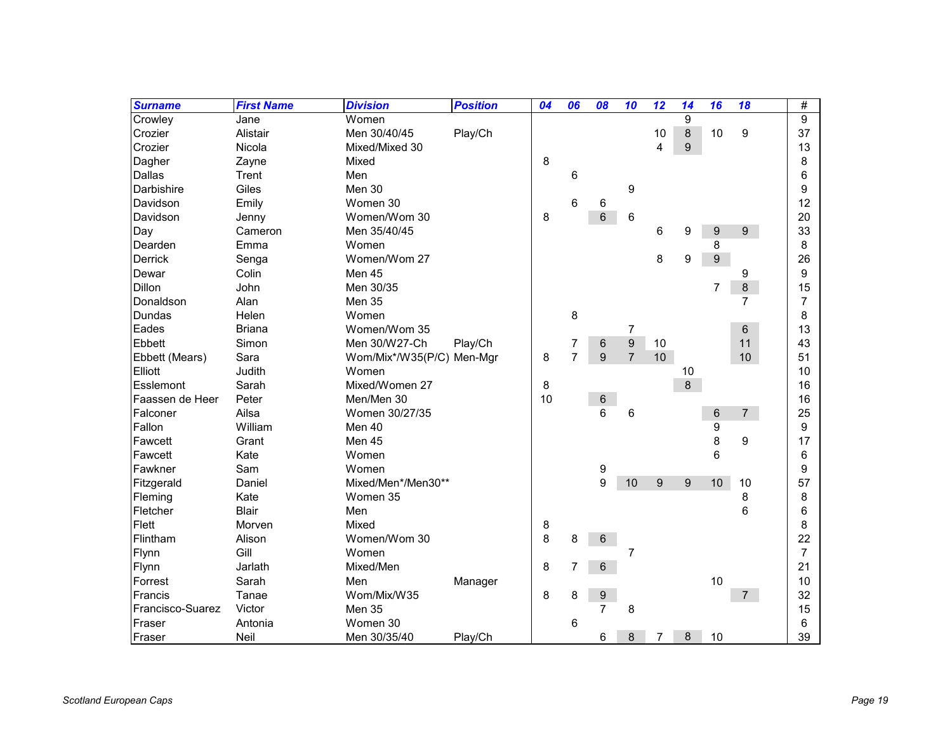| <b>Surname</b>   | <b>First Name</b> | <b>Division</b>           | <b>Position</b> | 04 | 06             | 08             | 10               | 12 | 14               | 16               | 18             | #              |
|------------------|-------------------|---------------------------|-----------------|----|----------------|----------------|------------------|----|------------------|------------------|----------------|----------------|
| Crowley          | Jane              | Women                     |                 |    |                |                |                  |    | 9                |                  |                | 9              |
| Crozier          | Alistair          | Men 30/40/45              | Play/Ch         |    |                |                |                  | 10 | $\bf 8$          | 10               | 9              | 37             |
| Crozier          | Nicola            | Mixed/Mixed 30            |                 |    |                |                |                  | 4  | $\boldsymbol{9}$ |                  |                | 13             |
| Dagher           | Zayne             | Mixed                     |                 | 8  |                |                |                  |    |                  |                  |                | 8              |
| Dallas           | Trent             | Men                       |                 |    | 6              |                |                  |    |                  |                  |                | 6              |
| Darbishire       | Giles             | Men 30                    |                 |    |                |                | 9                |    |                  |                  |                | 9              |
| Davidson         | Emily             | Women 30                  |                 |    | 6              | 6              |                  |    |                  |                  |                | 12             |
| Davidson         | Jenny             | Women/Wom 30              |                 | 8  |                | 6              | 6                |    |                  |                  |                | 20             |
| Day              | Cameron           | Men 35/40/45              |                 |    |                |                |                  | 6  | 9                | 9                | $9\,$          | 33             |
| Dearden          | Emma              | Women                     |                 |    |                |                |                  |    |                  | 8                |                | 8              |
| <b>Derrick</b>   | Senga             | Women/Wom 27              |                 |    |                |                |                  | 8  | 9                | $\boldsymbol{9}$ |                | 26             |
| Dewar            | Colin             | Men 45                    |                 |    |                |                |                  |    |                  |                  | 9              | 9              |
| Dillon           | John              | Men 30/35                 |                 |    |                |                |                  |    |                  | $\overline{7}$   | $\bf 8$        | 15             |
| Donaldson        | Alan              | Men 35                    |                 |    |                |                |                  |    |                  |                  | $\overline{7}$ | 7              |
| Dundas           | Helen             | Women                     |                 |    | 8              |                |                  |    |                  |                  |                | 8              |
| Eades            | <b>Briana</b>     | Women/Wom 35              |                 |    |                |                | 7                |    |                  |                  | 6              | 13             |
| Ebbett           | Simon             | Men 30/W27-Ch             | Play/Ch         |    | 7              | 6              | $\boldsymbol{9}$ | 10 |                  |                  | 11             | 43             |
| Ebbett (Mears)   | Sara              | Wom/Mix*/W35(P/C) Men-Mgr |                 | 8  | $\overline{7}$ | 9              | $\overline{7}$   | 10 |                  |                  | 10             | 51             |
| Elliott          | Judith            | Women                     |                 |    |                |                |                  |    | 10               |                  |                | 10             |
| Esslemont        | Sarah             | Mixed/Women 27            |                 | 8  |                |                |                  |    | 8                |                  |                | 16             |
| Faassen de Heer  | Peter             | Men/Men 30                |                 | 10 |                | $\,6$          |                  |    |                  |                  |                | 16             |
| Falconer         | Ailsa             | Women 30/27/35            |                 |    |                | 6              | 6                |    |                  | 6                | 7 <sup>7</sup> | 25             |
| Fallon           | William           | Men 40                    |                 |    |                |                |                  |    |                  | 9                |                | 9              |
| Fawcett          | Grant             | Men 45                    |                 |    |                |                |                  |    |                  | 8                | 9              | 17             |
| Fawcett          | Kate              | Women                     |                 |    |                |                |                  |    |                  | 6                |                | 6              |
| Fawkner          | Sam               | Women                     |                 |    |                | 9              |                  |    |                  |                  |                | 9              |
| Fitzgerald       | Daniel            | Mixed/Men*/Men30**        |                 |    |                | 9              | 10               | 9  | $\boldsymbol{9}$ | 10               | 10             | 57             |
| Fleming          | Kate              | Women 35                  |                 |    |                |                |                  |    |                  |                  | 8              | 8              |
| Fletcher         | <b>Blair</b>      | Men                       |                 |    |                |                |                  |    |                  |                  | 6              | 6              |
| Flett            | Morven            | Mixed                     |                 | 8  |                |                |                  |    |                  |                  |                | 8              |
| Flintham         | Alison            | Women/Wom 30              |                 | 8  | 8              | 6              |                  |    |                  |                  |                | 22             |
| Flynn            | Gill              | Women                     |                 |    |                |                | 7                |    |                  |                  |                | $\overline{7}$ |
| Flynn            | Jarlath           | Mixed/Men                 |                 | 8  | 7              | 6              |                  |    |                  |                  |                | 21             |
| Forrest          | Sarah             | Men                       | Manager         |    |                |                |                  |    |                  | 10               |                | 10             |
| Francis          | Tanae             | Wom/Mix/W35               |                 | 8  | 8              | 9              |                  |    |                  |                  | 7 <sup>7</sup> | 32             |
| Francisco-Suarez | Victor            | Men 35                    |                 |    |                | $\overline{7}$ | 8                |    |                  |                  |                | 15             |
| Fraser           | Antonia           | Women 30                  |                 |    | 6              |                |                  |    |                  |                  |                | 6              |
| Fraser           | Neil              | Men 30/35/40              | Play/Ch         |    |                | 6              | 8                | 7  | 8                | 10               |                | 39             |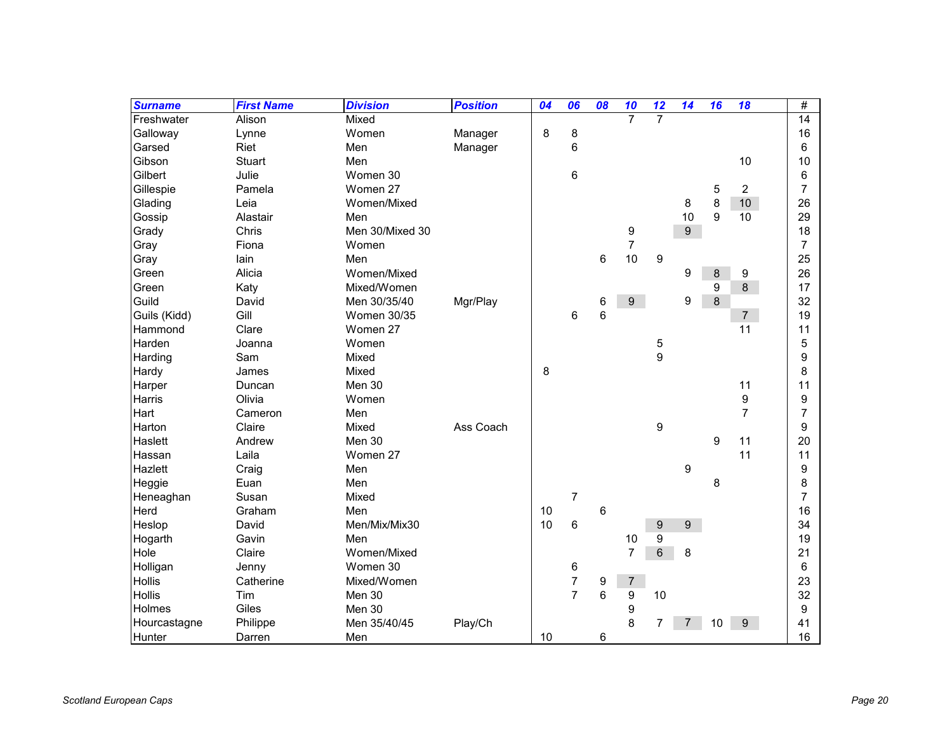| <b>Surname</b> | <b>First Name</b> | <b>Division</b>    | <b>Position</b> | 04 | 06             | 08 | 10               | 12               | 14               | 16 | 18             | #  |
|----------------|-------------------|--------------------|-----------------|----|----------------|----|------------------|------------------|------------------|----|----------------|----|
| Freshwater     | Alison            | Mixed              |                 |    |                |    | $\overline{7}$   | $\overline{7}$   |                  |    |                | 14 |
| Galloway       | Lynne             | Women              | Manager         | 8  | 8              |    |                  |                  |                  |    |                | 16 |
| Garsed         | Riet              | Men                | Manager         |    | 6              |    |                  |                  |                  |    |                | 6  |
| Gibson         | <b>Stuart</b>     | Men                |                 |    |                |    |                  |                  |                  |    | 10             | 10 |
| Gilbert        | Julie             | Women 30           |                 |    | 6              |    |                  |                  |                  |    |                | 6  |
| Gillespie      | Pamela            | Women 27           |                 |    |                |    |                  |                  |                  | 5  | $\overline{2}$ | 7  |
| Glading        | Leia              | Women/Mixed        |                 |    |                |    |                  |                  | 8                | 8  | 10             | 26 |
| Gossip         | Alastair          | Men                |                 |    |                |    |                  |                  | 10               | 9  | 10             | 29 |
| Grady          | Chris             | Men 30/Mixed 30    |                 |    |                |    | 9                |                  | 9                |    |                | 18 |
| Gray           | Fiona             | Women              |                 |    |                |    | $\overline{7}$   |                  |                  |    |                | 7  |
| Gray           | lain              | Men                |                 |    |                | 6  | 10               | 9                |                  |    |                | 25 |
| Green          | Alicia            | Women/Mixed        |                 |    |                |    |                  |                  | 9                | 8  | 9              | 26 |
| Green          | Katy              | Mixed/Women        |                 |    |                |    |                  |                  |                  | 9  | $\,8\,$        | 17 |
| Guild          | David             | Men 30/35/40       | Mgr/Play        |    |                | 6  | $\boldsymbol{9}$ |                  | 9                | 8  |                | 32 |
| Guils (Kidd)   | Gill              | <b>Women 30/35</b> |                 |    | 6              | 6  |                  |                  |                  |    | 7 <sup>7</sup> | 19 |
| Hammond        | Clare             | Women 27           |                 |    |                |    |                  |                  |                  |    | 11             | 11 |
| Harden         | Joanna            | Women              |                 |    |                |    |                  | 5                |                  |    |                | 5  |
| Harding        | Sam               | Mixed              |                 |    |                |    |                  | $\boldsymbol{9}$ |                  |    |                | 9  |
| Hardy          | James             | Mixed              |                 | 8  |                |    |                  |                  |                  |    |                | 8  |
| Harper         | Duncan            | Men 30             |                 |    |                |    |                  |                  |                  |    | 11             | 11 |
| Harris         | Olivia            | Women              |                 |    |                |    |                  |                  |                  |    | 9              | 9  |
| Hart           | Cameron           | Men                |                 |    |                |    |                  |                  |                  |    | $\overline{7}$ | 7  |
| Harton         | Claire            | Mixed              | Ass Coach       |    |                |    |                  | 9                |                  |    |                | 9  |
| Haslett        | Andrew            | Men 30             |                 |    |                |    |                  |                  |                  | 9  | 11             | 20 |
| Hassan         | Laila             | Women 27           |                 |    |                |    |                  |                  |                  |    | 11             | 11 |
| Hazlett        | Craig             | Men                |                 |    |                |    |                  |                  | 9                |    |                | 9  |
| Heggie         | Euan              | Men                |                 |    |                |    |                  |                  |                  | 8  |                | 8  |
| Heneaghan      | Susan             | Mixed              |                 |    | $\overline{7}$ |    |                  |                  |                  |    |                | 7  |
| Herd           | Graham            | Men                |                 | 10 |                | 6  |                  |                  |                  |    |                | 16 |
| Heslop         | David             | Men/Mix/Mix30      |                 | 10 | 6              |    |                  | 9                | $\boldsymbol{9}$ |    |                | 34 |
| Hogarth        | Gavin             | Men                |                 |    |                |    | 10               | 9                |                  |    |                | 19 |
| Hole           | Claire            | Women/Mixed        |                 |    |                |    | $\overline{7}$   | 6                | 8                |    |                | 21 |
| Holligan       | Jenny             | Women 30           |                 |    | 6              |    |                  |                  |                  |    |                | 6  |
| Hollis         | Catherine         | Mixed/Women        |                 |    | $\overline{7}$ | 9  | $\boldsymbol{7}$ |                  |                  |    |                | 23 |
| Hollis         | Tim               | Men 30             |                 |    | $\overline{7}$ | 6  | $\boldsymbol{9}$ | 10               |                  |    |                | 32 |
| Holmes         | Giles             | Men 30             |                 |    |                |    | 9                |                  |                  |    |                | 9  |
| Hourcastagne   | Philippe          | Men 35/40/45       | Play/Ch         |    |                |    | 8                | 7                |                  | 10 | 9 <sup>°</sup> | 41 |
| Hunter         | Darren            | Men                |                 | 10 |                | 6  |                  |                  |                  |    |                | 16 |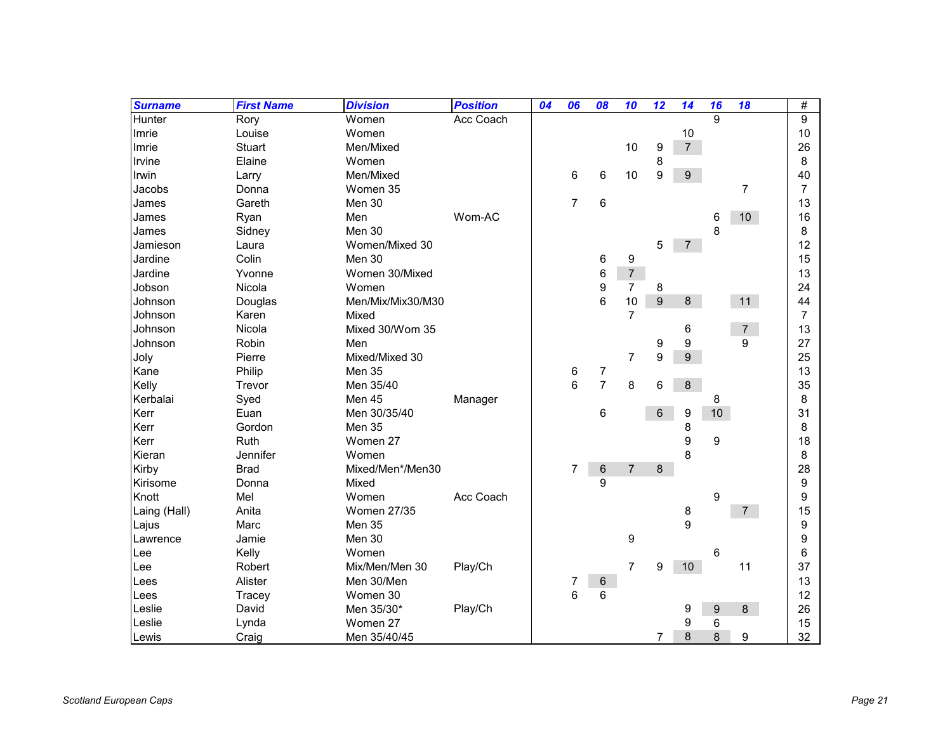| <b>Surname</b> | <b>First Name</b> | <b>Division</b>    | <b>Position</b> | 04 | 06             | 08             | 10             | 12               | 14               | 16 | 18             | #              |
|----------------|-------------------|--------------------|-----------------|----|----------------|----------------|----------------|------------------|------------------|----|----------------|----------------|
| Hunter         | Rory              | Women              | Acc Coach       |    |                |                |                |                  |                  | 9  |                | 9              |
| Imrie          | Louise            | Women              |                 |    |                |                |                |                  | 10               |    |                | 10             |
| Imrie          | Stuart            | Men/Mixed          |                 |    |                |                | 10             | $\boldsymbol{9}$ | $\overline{7}$   |    |                | 26             |
| Irvine         | Elaine            | Women              |                 |    |                |                |                | 8                |                  |    |                | 8              |
| Irwin          | Larry             | Men/Mixed          |                 |    | 6              | 6              | 10             | 9                | $\boldsymbol{9}$ |    |                | 40             |
| Jacobs         | Donna             | Women 35           |                 |    |                |                |                |                  |                  |    | 7              | 7              |
| James          | Gareth            | Men 30             |                 |    | $\overline{7}$ | 6              |                |                  |                  |    |                | 13             |
| James          | Ryan              | Men                | Wom-AC          |    |                |                |                |                  |                  | 6  | 10             | 16             |
| James          | Sidney            | Men 30             |                 |    |                |                |                |                  |                  | 8  |                | 8              |
| Jamieson       | Laura             | Women/Mixed 30     |                 |    |                |                |                | 5                | $7^{\circ}$      |    |                | 12             |
| Jardine        | Colin             | Men 30             |                 |    |                | 6              | 9              |                  |                  |    |                | 15             |
| Jardine        | Yvonne            | Women 30/Mixed     |                 |    |                | 6              | $\sqrt{7}$     |                  |                  |    |                | 13             |
| Jobson         | Nicola            | Women              |                 |    |                | 9              | $\overline{7}$ | 8                |                  |    |                | 24             |
| Johnson        | Douglas           | Men/Mix/Mix30/M30  |                 |    |                | 6              | 10             | $9\,$            | 8                |    | 11             | 44             |
| Johnson        | Karen             | Mixed              |                 |    |                |                | $\overline{7}$ |                  |                  |    |                | $\overline{7}$ |
| Johnson        | Nicola            | Mixed 30/Wom 35    |                 |    |                |                |                |                  | 6                |    | $\overline{7}$ | 13             |
| Johnson        | Robin             | Men                |                 |    |                |                |                | 9                | 9                |    | 9              | 27             |
| Joly           | Pierre            | Mixed/Mixed 30     |                 |    |                |                | $\overline{7}$ | 9                | $\boldsymbol{9}$ |    |                | 25             |
| Kane           | Philip            | Men 35             |                 |    | 6              | 7              |                |                  |                  |    |                | 13             |
| Kelly          | Trevor            | Men 35/40          |                 |    | 6              | $\overline{7}$ | 8              | 6                | $\bf 8$          |    |                | 35             |
| Kerbalai       | Syed              | Men 45             | Manager         |    |                |                |                |                  |                  | 8  |                | 8              |
| Kerr           | Euan              | Men 30/35/40       |                 |    |                | 6              |                | 6                | 9                | 10 |                | 31             |
| Kerr           | Gordon            | Men 35             |                 |    |                |                |                |                  | 8                |    |                | 8              |
| Kerr           | Ruth              | Women 27           |                 |    |                |                |                |                  | 9                | 9  |                | 18             |
| Kieran         | Jennifer          | Women              |                 |    |                |                |                |                  | 8                |    |                | 8              |
| Kirby          | <b>Brad</b>       | Mixed/Men*/Men30   |                 |    | 7              | $\,6$          | $\overline{7}$ | 8                |                  |    |                | 28             |
| Kirisome       | Donna             | Mixed              |                 |    |                | 9              |                |                  |                  |    |                | 9              |
| Knott          | Mel               | Women              | Acc Coach       |    |                |                |                |                  |                  | 9  |                | 9              |
| Laing (Hall)   | Anita             | <b>Women 27/35</b> |                 |    |                |                |                |                  | 8                |    | 7 <sup>7</sup> | 15             |
| Lajus          | Marc              | Men 35             |                 |    |                |                |                |                  | 9                |    |                | 9              |
| Lawrence       | Jamie             | Men 30             |                 |    |                |                | 9              |                  |                  |    |                | 9              |
| Lee            | Kelly             | Women              |                 |    |                |                |                |                  |                  | 6  |                | 6              |
| Lee            | Robert            | Mix/Men/Men 30     | Play/Ch         |    |                |                | $\overline{7}$ | 9                | 10               |    | 11             | 37             |
| Lees           | Alister           | Men 30/Men         |                 |    | 7              | 6              |                |                  |                  |    |                | 13             |
| Lees           | Tracey            | Women 30           |                 |    | 6              | 6              |                |                  |                  |    |                | 12             |
| Leslie         | David             | Men 35/30*         | Play/Ch         |    |                |                |                |                  | 9                | 9  | $8\phantom{1}$ | 26             |
| Leslie         | Lynda             | Women 27           |                 |    |                |                |                |                  | 9                | 6  |                | 15             |
| Lewis          | Craig             | Men 35/40/45       |                 |    |                |                |                | 7                | 8                | 8  | 9              | 32             |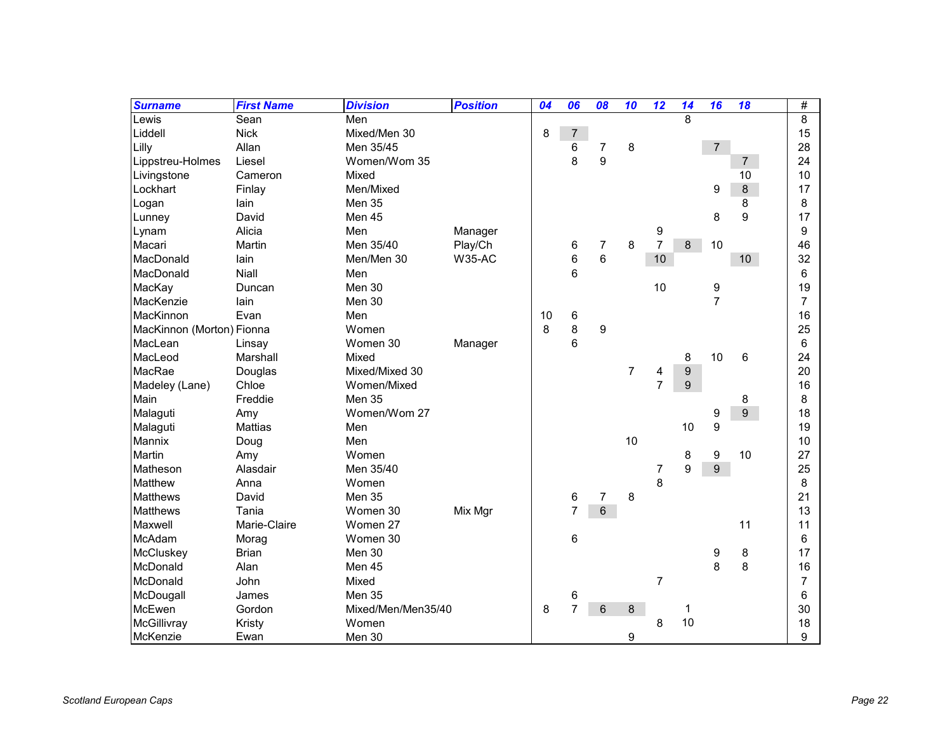| <b>Surname</b>            | <b>First Name</b> | <b>Division</b>    | <b>Position</b> | 04 | 06             | 08    | 10 | 12             | 14               | 16             | 18               | #              |
|---------------------------|-------------------|--------------------|-----------------|----|----------------|-------|----|----------------|------------------|----------------|------------------|----------------|
| Lewis                     | Sean              | Men                |                 |    |                |       |    |                | 8                |                |                  | 8              |
| Liddell                   | <b>Nick</b>       | Mixed/Men 30       |                 | 8  | 7              |       |    |                |                  |                |                  | 15             |
| Lilly                     | Allan             | Men 35/45          |                 |    | 6              | 7     | 8  |                |                  | $\overline{7}$ |                  | 28             |
| Lippstreu-Holmes          | Liesel            | Women/Wom 35       |                 |    | 8              | 9     |    |                |                  |                | $\overline{7}$   | 24             |
| Livingstone               | Cameron           | Mixed              |                 |    |                |       |    |                |                  |                | 10               | 10             |
| Lockhart                  | Finlay            | Men/Mixed          |                 |    |                |       |    |                |                  | 9              | 8                | 17             |
| Logan                     | lain              | Men 35             |                 |    |                |       |    |                |                  |                | 8                | 8              |
| Lunney                    | David             | Men 45             |                 |    |                |       |    |                |                  | 8              | 9                | 17             |
| Lynam                     | Alicia            | Men                | Manager         |    |                |       |    | 9              |                  |                |                  | 9              |
| Macari                    | Martin            | Men 35/40          | Play/Ch         |    | 6              | 7     | 8  | $\overline{7}$ | 8                | 10             |                  | 46             |
| MacDonald                 | lain              | Men/Men 30         | <b>W35-AC</b>   |    | 6              | 6     |    | 10             |                  |                | 10               | 32             |
| MacDonald                 | Niall             | Men                |                 |    | 6              |       |    |                |                  |                |                  | 6              |
| MacKay                    | Duncan            | Men 30             |                 |    |                |       |    | 10             |                  | 9              |                  | 19             |
| MacKenzie                 | lain              | Men 30             |                 |    |                |       |    |                |                  | $\overline{7}$ |                  | $\overline{7}$ |
| MacKinnon                 | Evan              | Men                |                 | 10 | 6              |       |    |                |                  |                |                  | 16             |
| MacKinnon (Morton) Fionna |                   | Women              |                 | 8  | 8              | 9     |    |                |                  |                |                  | 25             |
| MacLean                   | Linsay            | Women 30           | Manager         |    | 6              |       |    |                |                  |                |                  | 6              |
| MacLeod                   | Marshall          | Mixed              |                 |    |                |       |    |                | 8                | 10             | 6                | 24             |
| MacRae                    | Douglas           | Mixed/Mixed 30     |                 |    |                |       | 7  | 4              | $\boldsymbol{9}$ |                |                  | 20             |
| Madeley (Lane)            | Chloe             | Women/Mixed        |                 |    |                |       |    | $\overline{7}$ | $\boldsymbol{9}$ |                |                  | 16             |
| Main                      | Freddie           | Men 35             |                 |    |                |       |    |                |                  |                | 8                | 8              |
| Malaguti                  | Amy               | Women/Wom 27       |                 |    |                |       |    |                |                  | 9              | $\boldsymbol{9}$ | 18             |
| Malaguti                  | <b>Mattias</b>    | Men                |                 |    |                |       |    |                | 10               | 9              |                  | 19             |
| Mannix                    | Doug              | Men                |                 |    |                |       | 10 |                |                  |                |                  | 10             |
| <b>Martin</b>             | Amy               | Women              |                 |    |                |       |    |                | 8                | 9              | 10               | 27             |
| Matheson                  | Alasdair          | Men 35/40          |                 |    |                |       |    | 7              | 9                | 9              |                  | 25             |
| Matthew                   | Anna              | Women              |                 |    |                |       |    | 8              |                  |                |                  | 8              |
| <b>Matthews</b>           | David             | Men 35             |                 |    | 6              | 7     | 8  |                |                  |                |                  | 21             |
| <b>Matthews</b>           | Tania             | Women 30           | Mix Mgr         |    | $\overline{7}$ | $\,6$ |    |                |                  |                |                  | 13             |
| Maxwell                   | Marie-Claire      | Women 27           |                 |    |                |       |    |                |                  |                | 11               | 11             |
| McAdam                    | Morag             | Women 30           |                 |    | 6              |       |    |                |                  |                |                  | 6              |
| McCluskey                 | <b>Brian</b>      | Men 30             |                 |    |                |       |    |                |                  | 9              | 8                | 17             |
| McDonald                  | Alan              | Men 45             |                 |    |                |       |    |                |                  | 8              | 8                | 16             |
| McDonald                  | John              | Mixed              |                 |    |                |       |    | 7              |                  |                |                  | $\overline{7}$ |
| McDougall                 | James             | Men 35             |                 |    | 6              |       |    |                |                  |                |                  | 6              |
| McEwen                    | Gordon            | Mixed/Men/Men35/40 |                 | 8  | $\overline{7}$ | 6     | 8  |                | 1                |                |                  | 30             |
| McGillivray               | Kristy            | Women              |                 |    |                |       |    | 8              | 10               |                |                  | 18             |
| McKenzie                  | Ewan              | Men 30             |                 |    |                |       | 9  |                |                  |                |                  | 9              |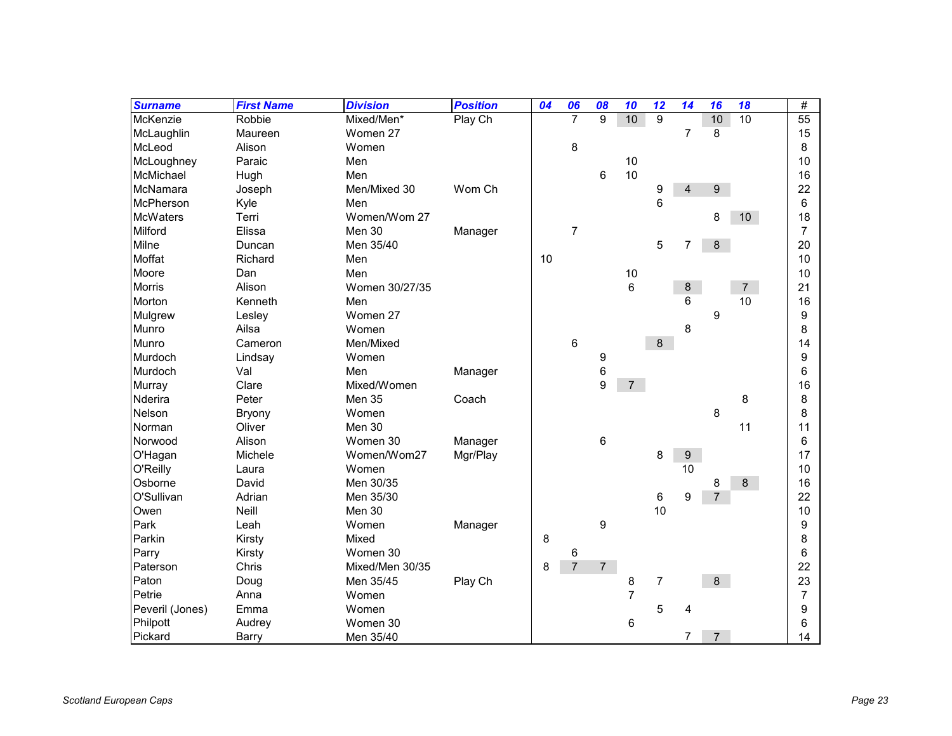| <b>Surname</b>  | <b>First Name</b> | <b>Division</b> | <b>Position</b> | 04 | 06             | 08             | 10             | 12             | 14               | 16             | 18 | #              |
|-----------------|-------------------|-----------------|-----------------|----|----------------|----------------|----------------|----------------|------------------|----------------|----|----------------|
| McKenzie        | Robbie            | Mixed/Men*      | Play Ch         |    | $\overline{7}$ | 9              | 10             | 9              |                  | 10             | 10 | 55             |
| McLaughlin      | Maureen           | Women 27        |                 |    |                |                |                |                | $\overline{7}$   | 8              |    | 15             |
| McLeod          | Alison            | Women           |                 |    | 8              |                |                |                |                  |                |    | 8              |
| McLoughney      | Paraic            | Men             |                 |    |                |                | 10             |                |                  |                |    | 10             |
| McMichael       | Hugh              | Men             |                 |    |                | 6              | 10             |                |                  |                |    | 16             |
| McNamara        | Joseph            | Men/Mixed 30    | Wom Ch          |    |                |                |                | 9              | $\overline{4}$   | 9              |    | 22             |
| McPherson       | Kyle              | Men             |                 |    |                |                |                | 6              |                  |                |    | 6              |
| <b>McWaters</b> | Terri             | Women/Wom 27    |                 |    |                |                |                |                |                  | 8              | 10 | 18             |
| Milford         | Elissa            | Men 30          | Manager         |    | $\overline{7}$ |                |                |                |                  |                |    | $\overline{7}$ |
| Milne           | Duncan            | Men 35/40       |                 |    |                |                |                | 5              | 7                | 8              |    | 20             |
| Moffat          | Richard           | Men             |                 | 10 |                |                |                |                |                  |                |    | 10             |
| Moore           | Dan               | Men             |                 |    |                |                | 10             |                |                  |                |    | 10             |
| <b>Morris</b>   | Alison            | Women 30/27/35  |                 |    |                |                | 6              |                | 8                |                | 7  | 21             |
| Morton          | Kenneth           | Men             |                 |    |                |                |                |                | 6                |                | 10 | 16             |
| Mulgrew         | Lesley            | Women 27        |                 |    |                |                |                |                |                  | 9              |    | 9              |
| Munro           | Ailsa             | Women           |                 |    |                |                |                |                | 8                |                |    | 8              |
| Munro           | Cameron           | Men/Mixed       |                 |    | 6              |                |                | 8              |                  |                |    | 14             |
| Murdoch         | Lindsay           | Women           |                 |    |                | 9              |                |                |                  |                |    | 9              |
| Murdoch         | Val               | Men             | Manager         |    |                | 6              |                |                |                  |                |    | 6              |
| Murray          | Clare             | Mixed/Women     |                 |    |                | 9              | $\overline{7}$ |                |                  |                |    | 16             |
| Nderira         | Peter             | Men 35          | Coach           |    |                |                |                |                |                  |                | 8  | 8              |
| Nelson          | <b>Bryony</b>     | Women           |                 |    |                |                |                |                |                  | 8              |    | 8              |
| Norman          | Oliver            | Men 30          |                 |    |                |                |                |                |                  |                | 11 | 11             |
| Norwood         | Alison            | Women 30        | Manager         |    |                | 6              |                |                |                  |                |    | 6              |
| O'Hagan         | Michele           | Women/Wom27     | Mgr/Play        |    |                |                |                | 8              | $\boldsymbol{9}$ |                |    | 17             |
| O'Reilly        | Laura             | Women           |                 |    |                |                |                |                | 10               |                |    | 10             |
| Osborne         | David             | Men 30/35       |                 |    |                |                |                |                |                  | 8              | 8  | 16             |
| O'Sullivan      | Adrian            | Men 35/30       |                 |    |                |                |                | 6              | 9                | $\overline{7}$ |    | 22             |
| Owen            | Neill             | Men 30          |                 |    |                |                |                | 10             |                  |                |    | 10             |
| Park            | Leah              | Women           | Manager         |    |                | 9              |                |                |                  |                |    | 9              |
| Parkin          | Kirsty            | Mixed           |                 | 8  |                |                |                |                |                  |                |    | 8              |
| Parry           | Kirsty            | Women 30        |                 |    | 6              |                |                |                |                  |                |    | 6              |
| Paterson        | Chris             | Mixed/Men 30/35 |                 | 8  | $\overline{7}$ | $\overline{7}$ |                |                |                  |                |    | 22             |
| Paton           | Doug              | Men 35/45       | Play Ch         |    |                |                | 8              | $\overline{7}$ |                  | 8              |    | 23             |
| Petrie          | Anna              | Women           |                 |    |                |                | $\overline{7}$ |                |                  |                |    | $\overline{7}$ |
| Peveril (Jones) | Emma              | Women           |                 |    |                |                |                | 5              | 4                |                |    | 9              |
| Philpott        | Audrey            | Women 30        |                 |    |                |                | 6              |                |                  |                |    | 6              |
| Pickard         | Barry             | Men 35/40       |                 |    |                |                |                |                | 7                | $\overline{7}$ |    | 14             |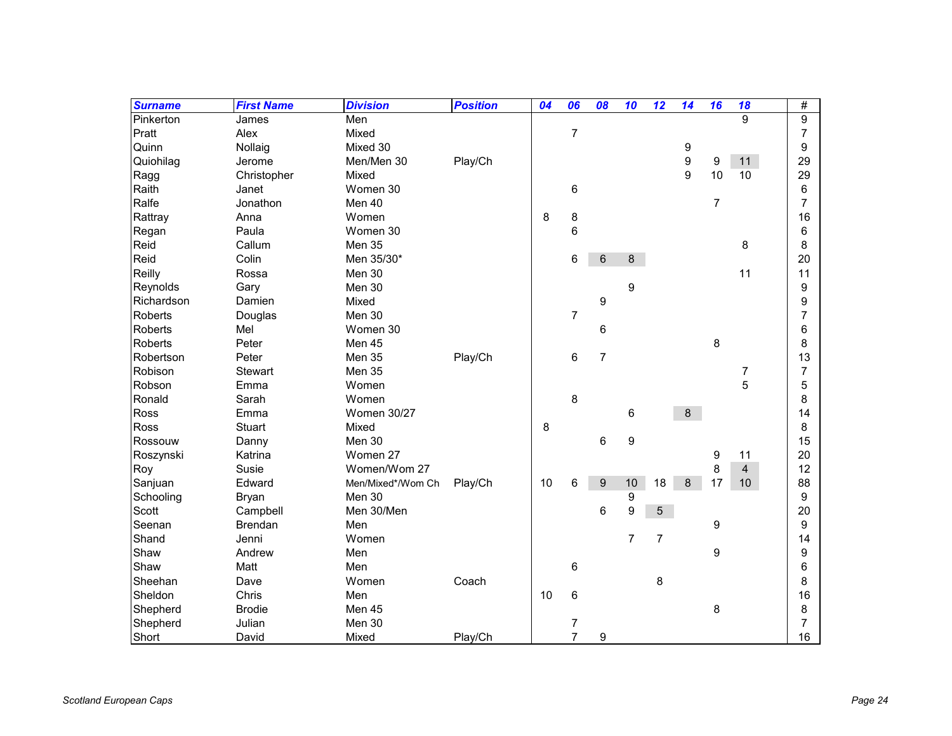| <b>Surname</b> | <b>First Name</b> | <b>Division</b>    | <b>Position</b> | 04 | 06             | 08             | 10               | 12             | 14      | 16               | 18             | $\#$           |
|----------------|-------------------|--------------------|-----------------|----|----------------|----------------|------------------|----------------|---------|------------------|----------------|----------------|
| Pinkerton      | James             | Men                |                 |    |                |                |                  |                |         |                  | 9              | 9              |
| Pratt          | Alex              | Mixed              |                 |    | $\overline{7}$ |                |                  |                |         |                  |                | $\overline{7}$ |
| Quinn          | Nollaig           | Mixed 30           |                 |    |                |                |                  |                | 9       |                  |                | 9              |
| Quiohilag      | Jerome            | Men/Men 30         | Play/Ch         |    |                |                |                  |                | 9       | $\boldsymbol{9}$ | 11             | 29             |
| Ragg           | Christopher       | Mixed              |                 |    |                |                |                  |                | 9       | 10               | 10             | 29             |
| Raith          | Janet             | Women 30           |                 |    | 6              |                |                  |                |         |                  |                | 6              |
| Ralfe          | Jonathon          | Men 40             |                 |    |                |                |                  |                |         | $\overline{7}$   |                | $\overline{7}$ |
| Rattray        | Anna              | Women              |                 | 8  | 8              |                |                  |                |         |                  |                | 16             |
| Regan          | Paula             | Women 30           |                 |    | 6              |                |                  |                |         |                  |                | 6              |
| Reid           | Callum            | Men 35             |                 |    |                |                |                  |                |         |                  | 8              | 8              |
| Reid           | Colin             | Men 35/30*         |                 |    | 6              | 6              | 8                |                |         |                  |                | 20             |
| Reilly         | Rossa             | Men 30             |                 |    |                |                |                  |                |         |                  | 11             | 11             |
| Reynolds       | Gary              | Men 30             |                 |    |                |                | 9                |                |         |                  |                | 9              |
| Richardson     | Damien            | Mixed              |                 |    |                | 9              |                  |                |         |                  |                | 9              |
| <b>Roberts</b> | Douglas           | Men 30             |                 |    | $\overline{7}$ |                |                  |                |         |                  |                | 7              |
| <b>Roberts</b> | Mel               | Women 30           |                 |    |                | 6              |                  |                |         |                  |                | 6              |
| <b>Roberts</b> | Peter             | Men 45             |                 |    |                |                |                  |                |         | 8                |                | 8              |
| Robertson      | Peter             | Men 35             | Play/Ch         |    | 6              | $\overline{7}$ |                  |                |         |                  |                | 13             |
| Robison        | Stewart           | Men 35             |                 |    |                |                |                  |                |         |                  | 7              | 7              |
| Robson         | Emma              | Women              |                 |    |                |                |                  |                |         |                  | 5              | 5              |
| Ronald         | Sarah             | Women              |                 |    | 8              |                |                  |                |         |                  |                | 8              |
| Ross           | Emma              | <b>Women 30/27</b> |                 |    |                |                | 6                |                | 8       |                  |                | 14             |
| Ross           | <b>Stuart</b>     | Mixed              |                 | 8  |                |                |                  |                |         |                  |                | 8              |
| Rossouw        | Danny             | Men 30             |                 |    |                | 6              | 9                |                |         |                  |                | 15             |
| Roszynski      | Katrina           | Women 27           |                 |    |                |                |                  |                |         | 9                | 11             | 20             |
| Roy            | Susie             | Women/Wom 27       |                 |    |                |                |                  |                |         | 8                | $\overline{4}$ | 12             |
| Sanjuan        | Edward            | Men/Mixed*/Wom Ch  | Play/Ch         | 10 | 6              | 9              | 10               | 18             | $\bf 8$ | 17               | 10             | 88             |
| Schooling      | <b>Bryan</b>      | Men 30             |                 |    |                |                | 9                |                |         |                  |                | 9              |
| Scott          | Campbell          | Men 30/Men         |                 |    |                | 6              | $\boldsymbol{9}$ | 5              |         |                  |                | 20             |
| Seenan         | <b>Brendan</b>    | Men                |                 |    |                |                |                  |                |         | $\boldsymbol{9}$ |                | 9              |
| Shand          | Jenni             | Women              |                 |    |                |                | $\overline{7}$   | $\overline{7}$ |         |                  |                | 14             |
| Shaw           | Andrew            | Men                |                 |    |                |                |                  |                |         | 9                |                | 9              |
| Shaw           | Matt              | Men                |                 |    | 6              |                |                  |                |         |                  |                | 6              |
| Sheehan        | Dave              | Women              | Coach           |    |                |                |                  | 8              |         |                  |                | 8              |
| Sheldon        | Chris             | Men                |                 | 10 | 6              |                |                  |                |         |                  |                | 16             |
| Shepherd       | <b>Brodie</b>     | Men 45             |                 |    |                |                |                  |                |         | 8                |                | 8              |
| Shepherd       | Julian            | Men 30             |                 |    | 7              |                |                  |                |         |                  |                | 7              |
| Short          | David             | Mixed              | Play/Ch         |    | $\overline{7}$ | 9              |                  |                |         |                  |                | 16             |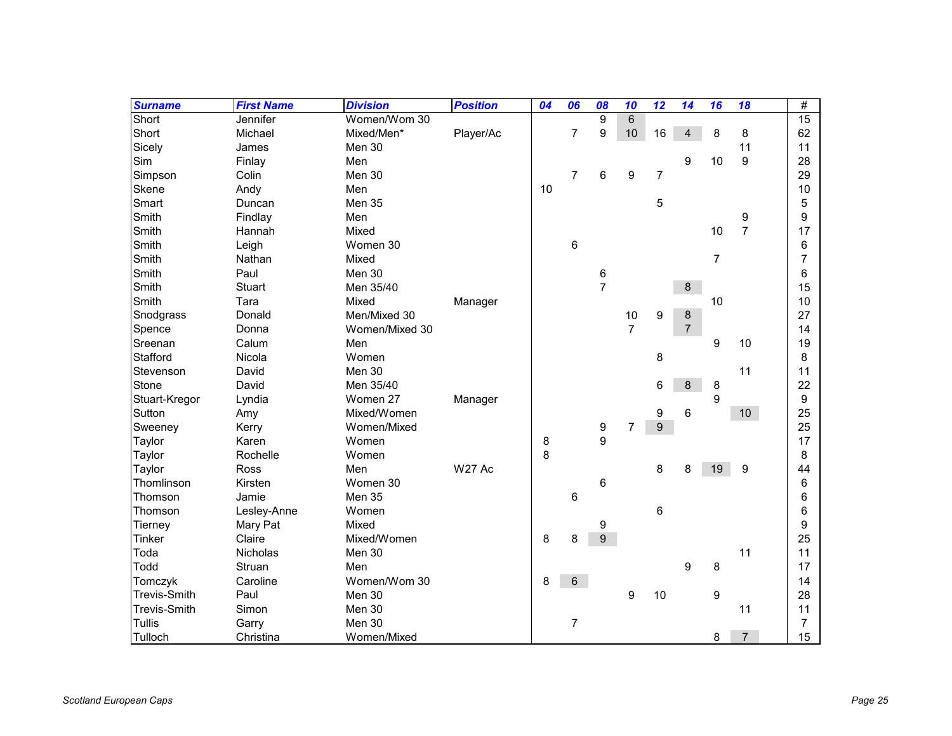| <b>Surname</b>      | <b>First Name</b> | <b>Division</b> | <b>Position</b> | 04 | 06             | 08             | 10             | 12             | 14             | 16             | 18               | #  |
|---------------------|-------------------|-----------------|-----------------|----|----------------|----------------|----------------|----------------|----------------|----------------|------------------|----|
| Short               | Jennifer          | Women/Wom 30    |                 |    |                | 9              | $\,6$          |                |                |                |                  | 15 |
| Short               | Michael           | Mixed/Men*      | Player/Ac       |    | 7              | 9              | 10             | 16             | $\overline{4}$ | 8              | 8                | 62 |
| Sicely              | James             | Men 30          |                 |    |                |                |                |                |                |                | 11               | 11 |
| Sim                 | Finlay            | Men             |                 |    |                |                |                |                | 9              | 10             | $\boldsymbol{9}$ | 28 |
| Simpson             | Colin             | Men 30          |                 |    | $\overline{7}$ | 6              | 9              | $\overline{7}$ |                |                |                  | 29 |
| Skene               | Andy              | Men             |                 | 10 |                |                |                |                |                |                |                  | 10 |
| Smart               | Duncan            | Men 35          |                 |    |                |                |                | 5              |                |                |                  | 5  |
| Smith               | Findlay           | Men             |                 |    |                |                |                |                |                |                | 9                | 9  |
| Smith               | Hannah            | Mixed           |                 |    |                |                |                |                |                | 10             | $\overline{7}$   | 17 |
| Smith               | Leigh             | Women 30        |                 |    | 6              |                |                |                |                |                |                  | 6  |
| Smith               | Nathan            | Mixed           |                 |    |                |                |                |                |                | $\overline{7}$ |                  | 7  |
| Smith               | Paul              | Men 30          |                 |    |                | 6              |                |                |                |                |                  | 6  |
| Smith               | Stuart            | Men 35/40       |                 |    |                | $\overline{7}$ |                |                | $\,8\,$        |                |                  | 15 |
| Smith               | Tara              | Mixed           | Manager         |    |                |                |                |                |                | 10             |                  | 10 |
| Snodgrass           | Donald            | Men/Mixed 30    |                 |    |                |                | 10             | 9              | $\bf 8$        |                |                  | 27 |
| Spence              | Donna             | Women/Mixed 30  |                 |    |                |                | $\overline{7}$ |                | $\overline{7}$ |                |                  | 14 |
| Sreenan             | Calum             | Men             |                 |    |                |                |                |                |                | 9              | 10               | 19 |
| Stafford            | Nicola            | Women           |                 |    |                |                |                | 8              |                |                |                  | 8  |
| Stevenson           | David             | Men 30          |                 |    |                |                |                |                |                |                | 11               | 11 |
| Stone               | David             | Men 35/40       |                 |    |                |                |                | 6              | 8              | 8              |                  | 22 |
| Stuart-Kregor       | Lyndia            | Women 27        | Manager         |    |                |                |                |                |                | 9              |                  | 9  |
| Sutton              | Amy               | Mixed/Women     |                 |    |                |                |                | 9              | 6              |                | 10 <sup>°</sup>  | 25 |
| Sweeney             | Kerry             | Women/Mixed     |                 |    |                | 9              | $\overline{7}$ | 9              |                |                |                  | 25 |
| Taylor              | Karen             | Women           |                 | 8  |                | 9              |                |                |                |                |                  | 17 |
| Taylor              | Rochelle          | Women           |                 | 8  |                |                |                |                |                |                |                  | 8  |
| Taylor              | <b>Ross</b>       | Men             | <b>W27 Ac</b>   |    |                |                |                | 8              | 8              | 19             | 9                | 44 |
| Thomlinson          | Kirsten           | Women 30        |                 |    |                | 6              |                |                |                |                |                  | 6  |
| Thomson             | Jamie             | Men 35          |                 |    | 6              |                |                |                |                |                |                  | 6  |
| Thomson             | Lesley-Anne       | Women           |                 |    |                |                |                | 6              |                |                |                  | 6  |
| <b>Tierney</b>      | Mary Pat          | Mixed           |                 |    |                | 9              |                |                |                |                |                  | 9  |
| Tinker              | Claire            | Mixed/Women     |                 | 8  | 8              | 9              |                |                |                |                |                  | 25 |
| Toda                | Nicholas          | Men 30          |                 |    |                |                |                |                |                |                | 11               | 11 |
| Todd                | Struan            | Men             |                 |    |                |                |                |                | 9              | 8              |                  | 17 |
| Tomczyk             | Caroline          | Women/Wom 30    |                 | 8  | 6              |                |                |                |                |                |                  | 14 |
| <b>Trevis-Smith</b> | Paul              | Men 30          |                 |    |                |                | 9              | 10             |                | 9              |                  | 28 |
| <b>Trevis-Smith</b> | Simon             | Men 30          |                 |    |                |                |                |                |                |                | 11               | 11 |
| Tullis              | Garry             | Men 30          |                 |    | 7              |                |                |                |                |                |                  | 7  |
| Tulloch             | Christina         | Women/Mixed     |                 |    |                |                |                |                |                | 8              | $\overline{7}$   | 15 |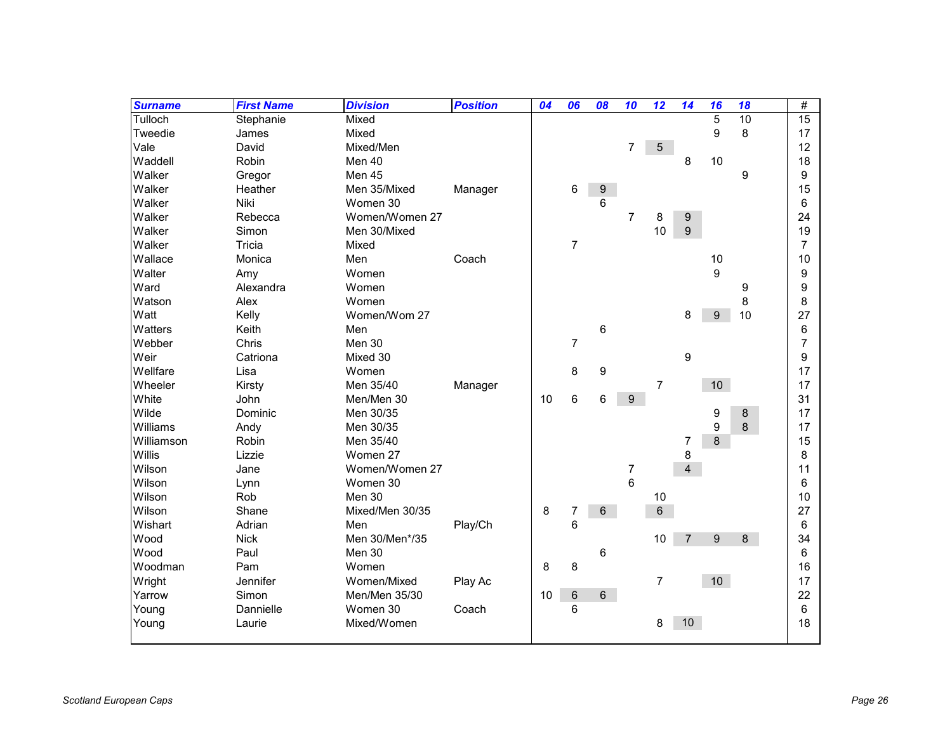| <b>Surname</b> | <b>First Name</b> | <b>Division</b> | <b>Position</b> | 04 | 06             | 08 | 10               | 12             | 14             | 16               | 18 | $\#$           |
|----------------|-------------------|-----------------|-----------------|----|----------------|----|------------------|----------------|----------------|------------------|----|----------------|
| Tulloch        | Stephanie         | Mixed           |                 |    |                |    |                  |                |                | $\overline{5}$   | 10 | 15             |
| Tweedie        | James             | Mixed           |                 |    |                |    |                  |                |                | 9                | 8  | 17             |
| Vale           | David             | Mixed/Men       |                 |    |                |    | $\overline{7}$   | 5              |                |                  |    | 12             |
| Waddell        | Robin             | Men 40          |                 |    |                |    |                  |                | 8              | 10               |    | 18             |
| Walker         | Gregor            | Men 45          |                 |    |                |    |                  |                |                |                  | 9  | 9              |
| Walker         | Heather           | Men 35/Mixed    | Manager         |    | 6              | 9  |                  |                |                |                  |    | 15             |
| Walker         | Niki              | Women 30        |                 |    |                | 6  |                  |                |                |                  |    | 6              |
| Walker         | Rebecca           | Women/Women 27  |                 |    |                |    | $\overline{7}$   | 8              | $9\,$          |                  |    | 24             |
| Walker         | Simon             | Men 30/Mixed    |                 |    |                |    |                  | 10             | 9              |                  |    | 19             |
| Walker         | Tricia            | Mixed           |                 |    | $\overline{7}$ |    |                  |                |                |                  |    | $\overline{7}$ |
| Wallace        | Monica            | Men             | Coach           |    |                |    |                  |                |                | 10               |    | 10             |
| Walter         | Amy               | Women           |                 |    |                |    |                  |                |                | 9                |    | 9              |
| Ward           | Alexandra         | Women           |                 |    |                |    |                  |                |                |                  | 9  | 9              |
| Watson         | Alex              | Women           |                 |    |                |    |                  |                |                |                  | 8  | 8              |
| Watt           | Kelly             | Women/Wom 27    |                 |    |                |    |                  |                | 8              | $\boldsymbol{9}$ | 10 | 27             |
| Watters        | Keith             | Men             |                 |    |                | 6  |                  |                |                |                  |    | 6              |
| Webber         | Chris             | Men 30          |                 |    | $\overline{7}$ |    |                  |                |                |                  |    | 7              |
| Weir           | Catriona          | Mixed 30        |                 |    |                |    |                  |                | 9              |                  |    | 9              |
| Wellfare       | Lisa              | Women           |                 |    | 8              | 9  |                  |                |                |                  |    | 17             |
| Wheeler        | Kirsty            | Men 35/40       | Manager         |    |                |    |                  | 7              |                | 10               |    | 17             |
| White          | John              | Men/Men 30      |                 | 10 | 6              | 6  | 9                |                |                |                  |    | 31             |
| Wilde          | Dominic           | Men 30/35       |                 |    |                |    |                  |                |                | 9                | 8  | 17             |
| Williams       | Andy              | Men 30/35       |                 |    |                |    |                  |                |                | 9                | 8  | 17             |
| Williamson     | Robin             | Men 35/40       |                 |    |                |    |                  |                | 7              | 8                |    | 15             |
| Willis         | Lizzie            | Women 27        |                 |    |                |    |                  |                | 8              |                  |    | 8              |
| Wilson         | Jane              | Women/Women 27  |                 |    |                |    | $\boldsymbol{7}$ |                | $\overline{4}$ |                  |    | 11             |
| Wilson         | Lynn              | Women 30        |                 |    |                |    | 6                |                |                |                  |    | 6              |
| Wilson         | Rob               | Men 30          |                 |    |                |    |                  | 10             |                |                  |    | 10             |
| Wilson         | Shane             | Mixed/Men 30/35 |                 | 8  | 7              | 6  |                  | 6              |                |                  |    | 27             |
| Wishart        | Adrian            | Men             | Play/Ch         |    | 6              |    |                  |                |                |                  |    | 6              |
| Wood           | <b>Nick</b>       | Men 30/Men*/35  |                 |    |                |    |                  | 10             | $\overline{7}$ | 9                | 8  | 34             |
| Wood           | Paul              | Men 30          |                 |    |                | 6  |                  |                |                |                  |    | 6              |
| Woodman        | Pam               | Women           |                 | 8  | 8              |    |                  |                |                |                  |    | 16             |
| Wright         | Jennifer          | Women/Mixed     | Play Ac         |    |                |    |                  | $\overline{7}$ |                | 10               |    | 17             |
| Yarrow         | Simon             | Men/Men 35/30   |                 | 10 | $\,6$          | 6  |                  |                |                |                  |    | 22             |
| Young          | Dannielle         | Women 30        | Coach           |    | $\,6$          |    |                  |                |                |                  |    | 6              |
| Young          | Laurie            | Mixed/Women     |                 |    |                |    |                  | 8              | 10             |                  |    | 18             |
|                |                   |                 |                 |    |                |    |                  |                |                |                  |    |                |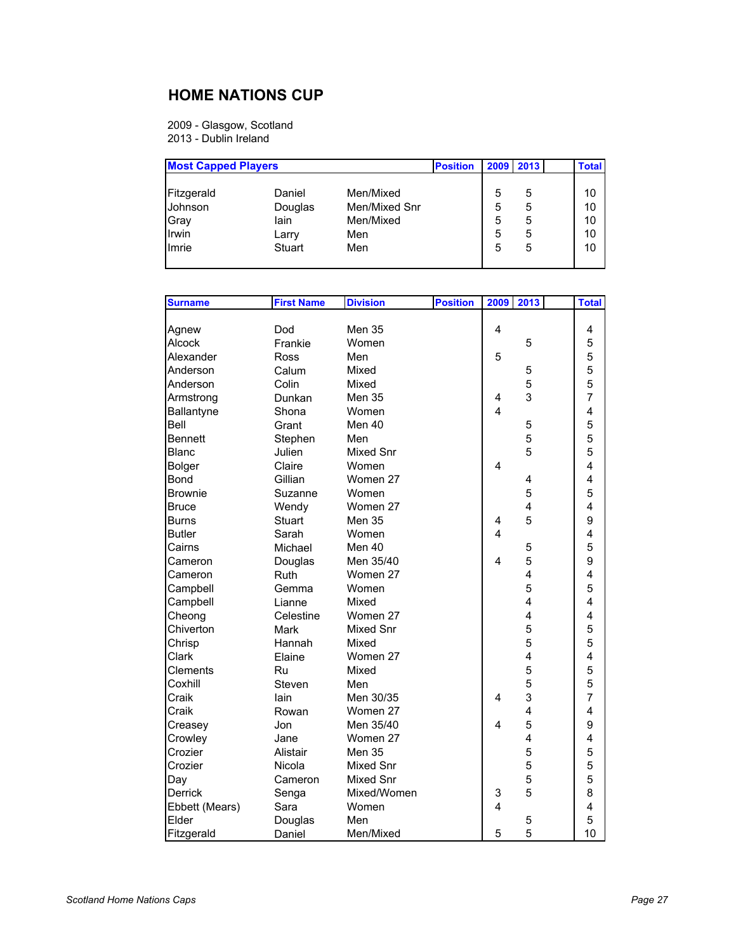## **HOME NATIONS CUP**

2009 - Glasgow, Scotland 2013 - Dublin Ireland

| <b>Most Capped Players</b> |         |               | <b>Position</b> | 2009 | 2013 | <b>Total</b> |
|----------------------------|---------|---------------|-----------------|------|------|--------------|
| Fitzgerald                 | Daniel  | Men/Mixed     |                 | 5    | 5    | 10           |
| Johnson                    | Douglas | Men/Mixed Snr |                 | 5    | 5    | 10           |
| Gray                       | lain    | Men/Mixed     |                 | 5    | 5    | 10           |
| Irwin                      | Larry   | Men           |                 | 5    | 5    | 10           |
| Imrie                      | Stuart  | Men           |                 | 5    | 5    | 10           |

| <b>Surname</b>  | <b>First Name</b> | <b>Division</b>  | <b>Position</b> | 2009                    | 2013                    | <b>Total</b>            |
|-----------------|-------------------|------------------|-----------------|-------------------------|-------------------------|-------------------------|
|                 |                   |                  |                 |                         |                         |                         |
| Agnew           | Dod               | <b>Men 35</b>    |                 | 4                       |                         | 4                       |
| Alcock          | Frankie           | Women            |                 |                         | 5                       | 5                       |
| Alexander       | Ross              | Men              |                 | 5                       |                         | 5                       |
| Anderson        | Calum             | Mixed            |                 |                         | 5                       | 5                       |
| Anderson        | Colin             | Mixed            |                 |                         | 5                       | 5                       |
| Armstrong       | Dunkan            | <b>Men 35</b>    |                 | 4                       | 3                       | $\overline{7}$          |
| Ballantyne      | Shona             | Women            |                 | $\overline{\mathbf{A}}$ |                         | $\overline{\mathbf{4}}$ |
| Bell            | Grant             | Men 40           |                 |                         | 5                       | 5                       |
| <b>Bennett</b>  | Stephen           | Men              |                 |                         | 5                       | 5                       |
| Blanc           | Julien            | <b>Mixed Snr</b> |                 |                         | 5                       | 5                       |
| <b>Bolger</b>   | Claire            | Women            |                 | 4                       |                         | 4                       |
| Bond            | Gillian           | Women 27         |                 |                         | 4                       | 4                       |
| <b>Brownie</b>  | Suzanne           | Women            |                 |                         | 5                       | 5                       |
| <b>Bruce</b>    | Wendy             | Women 27         |                 |                         | $\overline{4}$          | 4                       |
| Burns           | <b>Stuart</b>     | <b>Men 35</b>    |                 | 4                       | 5                       | 9                       |
| <b>Butler</b>   | Sarah             | Women            |                 | $\overline{4}$          |                         | $\overline{\mathbf{4}}$ |
| Cairns          | Michael           | Men 40           |                 |                         | 5                       | 5                       |
| Cameron         | Douglas           | Men 35/40        |                 | 4                       | 5                       | 9                       |
| Cameron         | Ruth              | Women 27         |                 |                         | 4                       | 4                       |
| Campbell        | Gemma             | Women            |                 |                         | 5                       | 5                       |
| Campbell        | Lianne            | Mixed            |                 |                         | $\overline{\mathbf{4}}$ | $\overline{\mathbf{4}}$ |
| Cheong          | Celestine         | Women 27         |                 |                         | $\overline{4}$          | $\overline{4}$          |
| Chiverton       | <b>Mark</b>       | Mixed Snr        |                 |                         | 5                       | 5                       |
| Chrisp          | Hannah            | Mixed            |                 |                         | 5                       | 5                       |
| Clark           | Elaine            | Women 27         |                 |                         | 4                       | 4                       |
| <b>Clements</b> | Ru                | Mixed            |                 |                         | 5                       | 5                       |
| Coxhill         | Steven            | Men              |                 |                         | 5                       | 5                       |
| Craik           | lain              | Men 30/35        |                 | 4                       | 3                       | $\overline{7}$          |
| Craik           | Rowan             | Women 27         |                 |                         | 4                       | $\overline{\mathbf{4}}$ |
| Creasey         | Jon               | Men 35/40        |                 | 4                       | 5                       | 9                       |
| Crowley         | Jane              | Women 27         |                 |                         | 4                       | 4                       |
| Crozier         | Alistair          | Men 35           |                 |                         | 5                       | 5                       |
| Crozier         | Nicola            | Mixed Snr        |                 |                         | 5                       | 5                       |
| Day             | Cameron           | Mixed Snr        |                 |                         | 5                       | 5                       |
| <b>Derrick</b>  | Senga             | Mixed/Women      |                 | 3                       | 5                       | 8                       |
| Ebbett (Mears)  | Sara              | Women            |                 | $\overline{\mathbf{4}}$ |                         | 4                       |
| Elder           | Douglas           | Men              |                 |                         | 5                       | 5                       |
| Fitzgerald      | Daniel            | Men/Mixed        |                 | 5                       | 5                       | 10                      |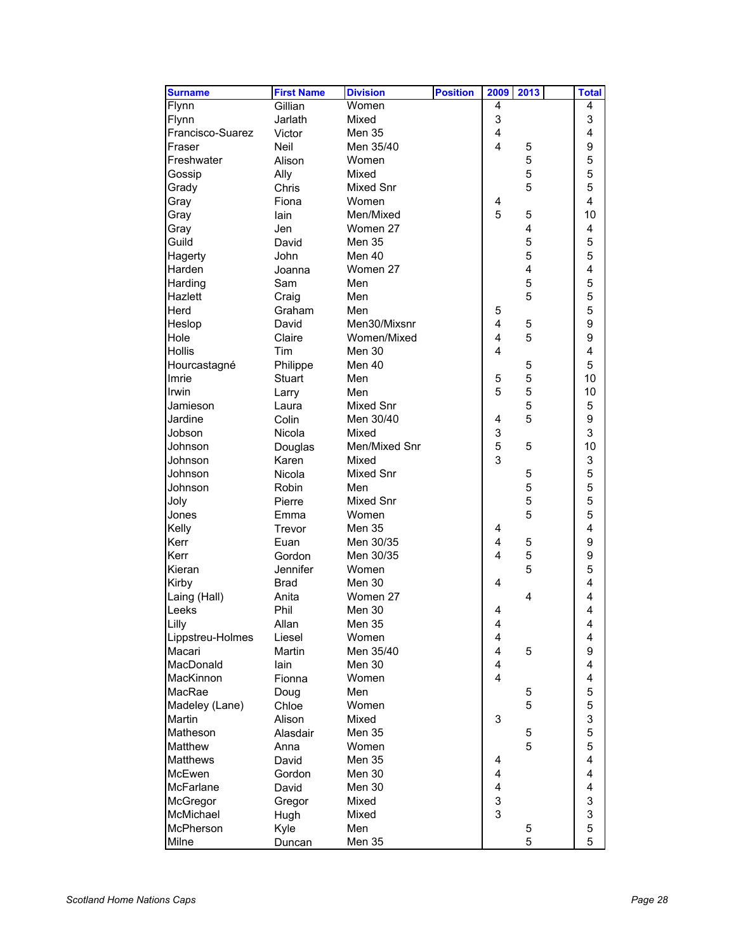| <b>Surname</b>   | <b>First Name</b> | <b>Division</b>  | <b>Position</b> | 2009                    | 2013                    | <b>Total</b>            |
|------------------|-------------------|------------------|-----------------|-------------------------|-------------------------|-------------------------|
| Flynn            | Gillian           | Women            |                 | 4                       |                         | 4                       |
| Flynn            | Jarlath           | Mixed            |                 | 3                       |                         | 3                       |
| Francisco-Suarez | Victor            | Men 35           |                 | $\overline{\mathbf{4}}$ |                         | $\overline{\mathbf{4}}$ |
| Fraser           | <b>Neil</b>       | Men 35/40        |                 | $\overline{4}$          | 5                       | 9                       |
| Freshwater       | Alison            | Women            |                 |                         | 5                       | 5                       |
| Gossip           | Ally              | Mixed            |                 |                         | 5                       | 5                       |
| Grady            | Chris             | <b>Mixed Snr</b> |                 |                         | 5                       | 5                       |
| Gray             | Fiona             | Women            |                 | 4                       |                         | $\overline{4}$          |
| Gray             | lain              | Men/Mixed        |                 | 5                       | 5                       | 10                      |
| Gray             | Jen               | Women 27         |                 |                         | $\overline{\mathbf{4}}$ | 4                       |
| Guild            | David             | Men 35           |                 |                         | 5                       | 5                       |
| Hagerty          | John              | Men 40           |                 |                         | 5                       | 5                       |
| Harden           | Joanna            | Women 27         |                 |                         | 4                       | 4                       |
| Harding          | Sam               | Men              |                 |                         | 5                       | 5                       |
| Hazlett          | Craig             | Men              |                 |                         | 5                       | 5                       |
| Herd             | Graham            | Men              |                 | 5                       |                         | 5                       |
| Heslop           | David             | Men30/Mixsnr     |                 | 4                       | 5                       | 9                       |
| Hole             | Claire            | Women/Mixed      |                 | $\overline{\mathbf{4}}$ | 5                       | 9                       |
| <b>Hollis</b>    | Tim               | Men 30           |                 | $\overline{4}$          |                         | $\overline{\mathbf{4}}$ |
| Hourcastagné     | Philippe          | Men 40           |                 |                         | 5                       | 5                       |
| Imrie            | <b>Stuart</b>     | Men              |                 | 5                       | 5                       | 10                      |
| Irwin            | Larry             | Men              |                 | 5                       | 5                       | 10                      |
| Jamieson         | Laura             | Mixed Snr        |                 |                         | 5                       | 5                       |
| Jardine          | Colin             | Men 30/40        |                 | 4                       | 5                       | 9                       |
| Jobson           | Nicola            | Mixed            |                 | 3                       |                         | 3                       |
| Johnson          | Douglas           | Men/Mixed Snr    |                 | 5                       | 5                       | 10                      |
| Johnson          | Karen             | Mixed            |                 | 3                       |                         | 3                       |
| Johnson          | Nicola            | <b>Mixed Snr</b> |                 |                         | 5                       | 5                       |
| Johnson          | Robin             | Men              |                 |                         | 5                       | 5                       |
| Joly             | Pierre            | Mixed Snr        |                 |                         | 5                       | 5                       |
| Jones            | Emma              | Women            |                 |                         | 5                       | 5                       |
| Kelly            | Trevor            | <b>Men 35</b>    |                 | 4                       |                         | $\overline{\mathbf{4}}$ |
| Kerr             | Euan              | Men 30/35        |                 | 4                       | 5                       | 9                       |
| Kerr             | Gordon            | Men 30/35        |                 | $\overline{4}$          | 5                       | 9                       |
| Kieran           | Jennifer          | Women            |                 |                         | 5                       | 5                       |
| Kirby            | <b>Brad</b>       | Men 30           |                 | 4                       |                         | $\overline{\mathbf{4}}$ |
| Laing (Hall)     | Anita             | Women 27         |                 |                         | 4                       | $\overline{\mathbf{4}}$ |
| Leeks            | Phil              | Men 30           |                 | 4                       |                         | $\overline{\mathbf{4}}$ |
| Lilly            | Allan             | Men 35           |                 | 4                       |                         | 4                       |
| Lippstreu-Holmes | Liesel            | Women            |                 | 4                       |                         | 4                       |
| Macari           | Martin            | Men 35/40        |                 | 4                       | 5                       | 9                       |
| MacDonald        | lain              | Men 30           |                 | 4                       |                         | 4                       |
| MacKinnon        | Fionna            | Women            |                 | 4                       |                         | 4                       |
| MacRae           | Doug              | Men              |                 |                         | 5                       | 5                       |
| Madeley (Lane)   | Chloe             | Women            |                 |                         | 5                       | 5                       |
| Martin           | Alison            | Mixed            |                 | 3                       |                         | 3                       |
| Matheson         | Alasdair          | Men 35           |                 |                         | 5                       | 5                       |
| Matthew          | Anna              | Women            |                 |                         | 5                       | 5                       |
| <b>Matthews</b>  | David             | Men 35           |                 | 4                       |                         | 4                       |
| McEwen           | Gordon            | Men 30           |                 | 4                       |                         | 4                       |
| McFarlane        | David             | Men 30           |                 | 4                       |                         | 4                       |
| McGregor         | Gregor            | Mixed            |                 | 3                       |                         | 3                       |
| McMichael        | Hugh              | Mixed            |                 | 3                       |                         | 3                       |
| McPherson        | Kyle              | Men              |                 |                         | 5                       | 5                       |
| Milne            | Duncan            | Men 35           |                 |                         | 5                       | 5                       |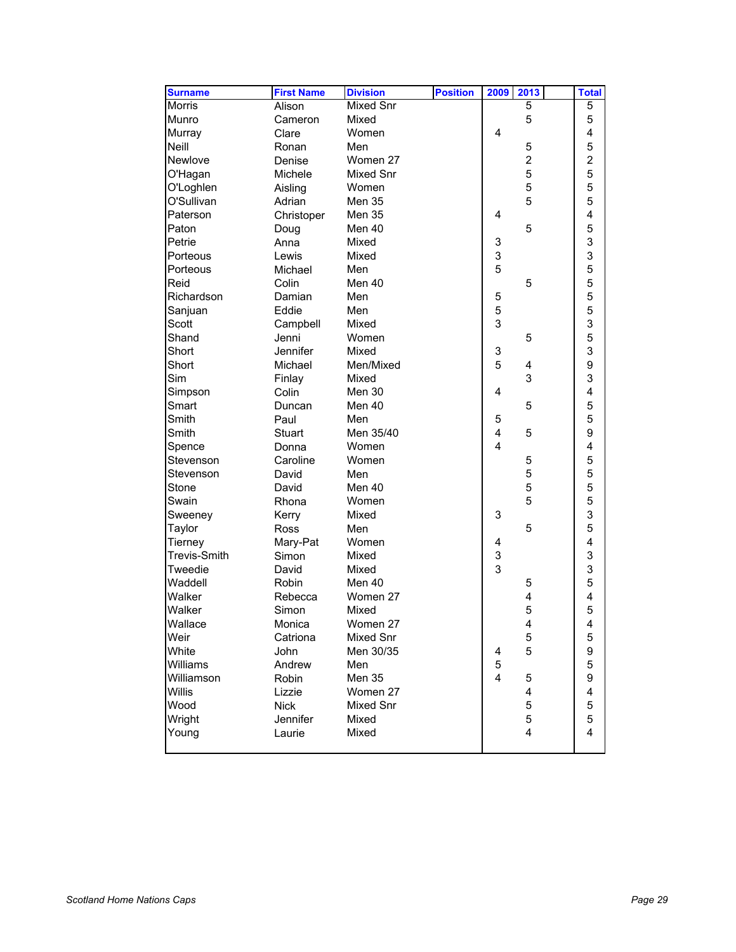| <b>Surname</b>      | <b>First Name</b> | <b>Division</b>  | <b>Position</b> | 2009                    | 2013                    | <b>Total</b>            |
|---------------------|-------------------|------------------|-----------------|-------------------------|-------------------------|-------------------------|
| <b>Morris</b>       | Alison            | Mixed Snr        |                 |                         | 5                       | 5                       |
| Munro               | Cameron           | Mixed            |                 |                         | 5                       | 5                       |
| Murray              | Clare             | Women            |                 | 4                       |                         | 4                       |
| Neill               | Ronan             | Men              |                 |                         | 5                       | 5                       |
| Newlove             | Denise            | Women 27         |                 |                         | $\boldsymbol{2}$        | $\overline{c}$          |
| O'Hagan             | Michele           | <b>Mixed Snr</b> |                 |                         | 5                       | 5                       |
| O'Loghlen           | Aisling           | Women            |                 |                         | 5                       | 5                       |
| O'Sullivan          | Adrian            | <b>Men 35</b>    |                 |                         | 5                       | 5                       |
| Paterson            | Christoper        | Men 35           |                 | 4                       |                         | $\overline{\mathbf{4}}$ |
| Paton               | Doug              | Men 40           |                 |                         | 5                       | 5                       |
| Petrie              | Anna              | Mixed            |                 | 3                       |                         | 3                       |
| Porteous            | Lewis             | Mixed            |                 | 3                       |                         | 3                       |
| Porteous            | Michael           | Men              |                 | 5                       |                         | 5                       |
| Reid                | Colin             | Men 40           |                 |                         | 5                       | 5                       |
| Richardson          | Damian            | Men              |                 | 5                       |                         | 5                       |
| Sanjuan             | Eddie             | Men              |                 | 5                       |                         | 5                       |
| Scott               | Campbell          | Mixed            |                 | 3                       |                         | 3                       |
| Shand               | Jenni             | Women            |                 |                         | 5                       | 5                       |
| Short               | Jennifer          | Mixed            |                 | 3                       |                         | 3                       |
| Short               | Michael           | Men/Mixed        |                 | 5                       | $\overline{\mathbf{4}}$ | 9                       |
| Sim                 | Finlay            | Mixed            |                 |                         | 3                       | 3                       |
| Simpson             | Colin             | Men 30           |                 | 4                       |                         | $\overline{\mathbf{4}}$ |
| Smart               | Duncan            | Men 40           |                 |                         | 5                       | 5                       |
| Smith               | Paul              | Men              |                 | 5                       |                         | 5                       |
| Smith               | Stuart            | Men 35/40        |                 | $\overline{\mathbf{4}}$ | 5                       | 9                       |
| Spence              | Donna             | Women            |                 | $\overline{4}$          |                         | $\overline{\mathbf{4}}$ |
| Stevenson           | Caroline          | Women            |                 |                         | 5                       | 5                       |
| Stevenson           | David             | Men              |                 |                         | 5                       | 5                       |
| Stone               | David             | Men 40           |                 |                         | 5                       | 5                       |
| Swain               | Rhona             | Women            |                 |                         | 5                       | 5                       |
| Sweeney             | Kerry             | Mixed            |                 | 3                       |                         | 3                       |
| Taylor              | <b>Ross</b>       | Men              |                 |                         | 5                       | 5                       |
| Tierney             | Mary-Pat          | Women            |                 | 4                       |                         | $\overline{\mathbf{4}}$ |
| <b>Trevis-Smith</b> | Simon             | Mixed            |                 | 3                       |                         | 3                       |
| Tweedie             | David             | Mixed            |                 | 3                       |                         | 3                       |
| Waddell             | Robin             | Men 40           |                 |                         | 5                       | 5                       |
| Walker              | Rebecca           | Women 27         |                 |                         | 4                       | $\overline{\mathbf{4}}$ |
| Walker              | Simon             | Mixed            |                 |                         | 5                       | 5                       |
| Wallace             | Monica            | Women 27         |                 |                         | $\overline{\mathbf{4}}$ | 4                       |
| Weir                | Catriona          | Mixed Snr        |                 |                         | 5                       | 5                       |
| White               | John              | Men 30/35        |                 | 4                       | 5                       | 9                       |
| Williams            | Andrew            | Men              |                 | 5                       |                         | 5                       |
| Williamson          | Robin             | Men 35           |                 | $\overline{4}$          | 5                       | 9                       |
| <b>Willis</b>       | Lizzie            | Women 27         |                 |                         | 4                       | $\overline{\mathbf{4}}$ |
| Wood                | <b>Nick</b>       | Mixed Snr        |                 |                         | 5                       | 5                       |
| Wright              | Jennifer          | Mixed            |                 |                         | 5                       | 5                       |
| Young               | Laurie            | Mixed            |                 |                         | $\overline{\mathbf{4}}$ | $\overline{4}$          |
|                     |                   |                  |                 |                         |                         |                         |